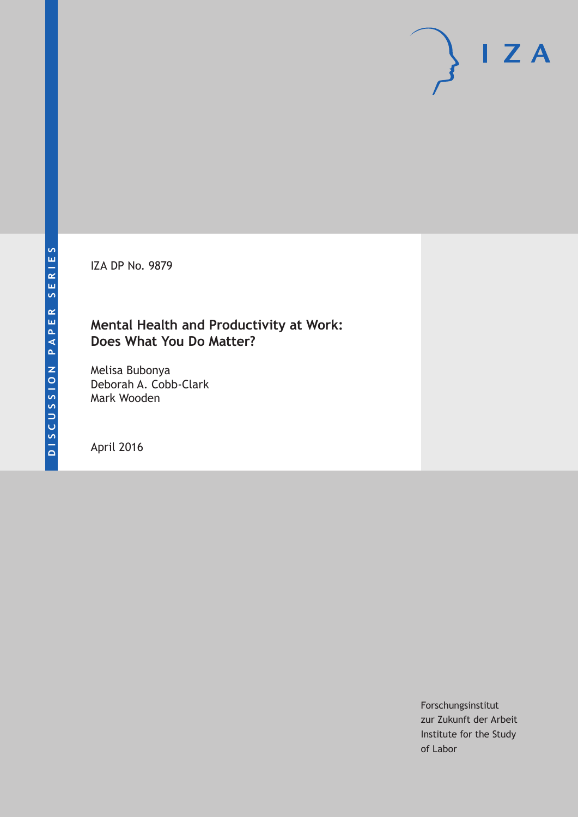IZA DP No. 9879

# **Mental Health and Productivity at Work: Does What You Do Matter?**

Melisa Bubonya Deborah A. Cobb-Clark Mark Wooden

April 2016

Forschungsinstitut zur Zukunft der Arbeit Institute for the Study of Labor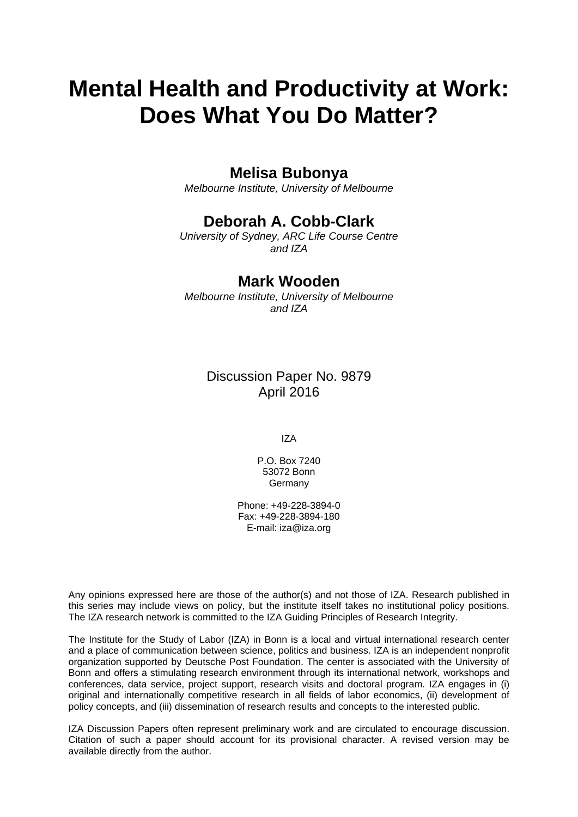# **Mental Health and Productivity at Work: Does What You Do Matter?**

### **Melisa Bubonya**

*Melbourne Institute, University of Melbourne* 

# **Deborah A. Cobb-Clark**

*University of Sydney, ARC Life Course Centre and IZA* 

### **Mark Wooden**

*Melbourne Institute, University of Melbourne and IZA*

> Discussion Paper No. 9879 April 2016

> > IZA

P.O. Box 7240 53072 Bonn **Germany** 

Phone: +49-228-3894-0 Fax: +49-228-3894-180 E-mail: iza@iza.org

Any opinions expressed here are those of the author(s) and not those of IZA. Research published in this series may include views on policy, but the institute itself takes no institutional policy positions. The IZA research network is committed to the IZA Guiding Principles of Research Integrity.

The Institute for the Study of Labor (IZA) in Bonn is a local and virtual international research center and a place of communication between science, politics and business. IZA is an independent nonprofit organization supported by Deutsche Post Foundation. The center is associated with the University of Bonn and offers a stimulating research environment through its international network, workshops and conferences, data service, project support, research visits and doctoral program. IZA engages in (i) original and internationally competitive research in all fields of labor economics, (ii) development of policy concepts, and (iii) dissemination of research results and concepts to the interested public.

IZA Discussion Papers often represent preliminary work and are circulated to encourage discussion. Citation of such a paper should account for its provisional character. A revised version may be available directly from the author.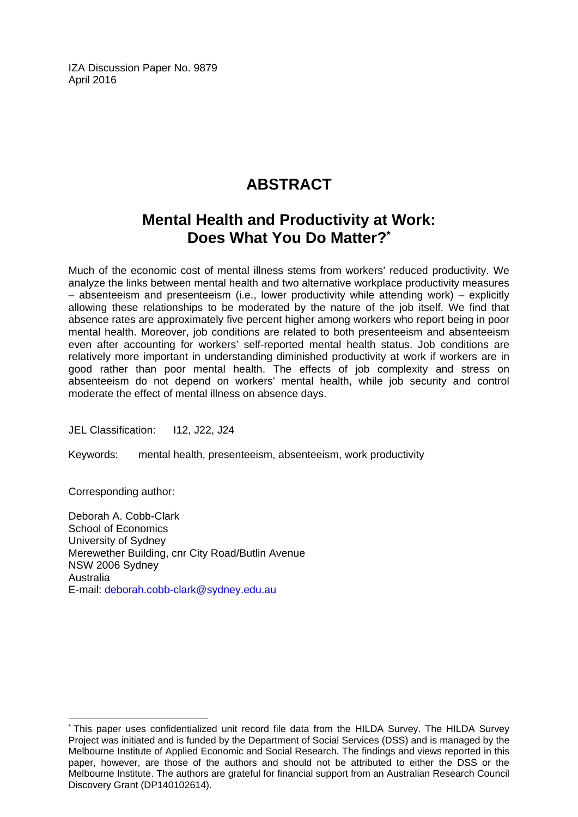IZA Discussion Paper No. 9879 April 2016

# **ABSTRACT**

# **Mental Health and Productivity at Work: Does What You Do Matter?\***

Much of the economic cost of mental illness stems from workers' reduced productivity. We analyze the links between mental health and two alternative workplace productivity measures – absenteeism and presenteeism (i.e., lower productivity while attending work) – explicitly allowing these relationships to be moderated by the nature of the job itself. We find that absence rates are approximately five percent higher among workers who report being in poor mental health. Moreover, job conditions are related to both presenteeism and absenteeism even after accounting for workers' self-reported mental health status. Job conditions are relatively more important in understanding diminished productivity at work if workers are in good rather than poor mental health. The effects of job complexity and stress on absenteeism do not depend on workers' mental health, while job security and control moderate the effect of mental illness on absence days.

JEL Classification: I12, J22, J24

Keywords: mental health, presenteeism, absenteeism, work productivity

Corresponding author:

 $\overline{a}$ 

Deborah A. Cobb-Clark School of Economics University of Sydney Merewether Building, cnr City Road/Butlin Avenue NSW 2006 Sydney Australia E-mail: deborah.cobb-clark@sydney.edu.au

<sup>\*</sup> This paper uses confidentialized unit record file data from the HILDA Survey. The HILDA Survey Project was initiated and is funded by the Department of Social Services (DSS) and is managed by the Melbourne Institute of Applied Economic and Social Research. The findings and views reported in this paper, however, are those of the authors and should not be attributed to either the DSS or the Melbourne Institute. The authors are grateful for financial support from an Australian Research Council Discovery Grant (DP140102614).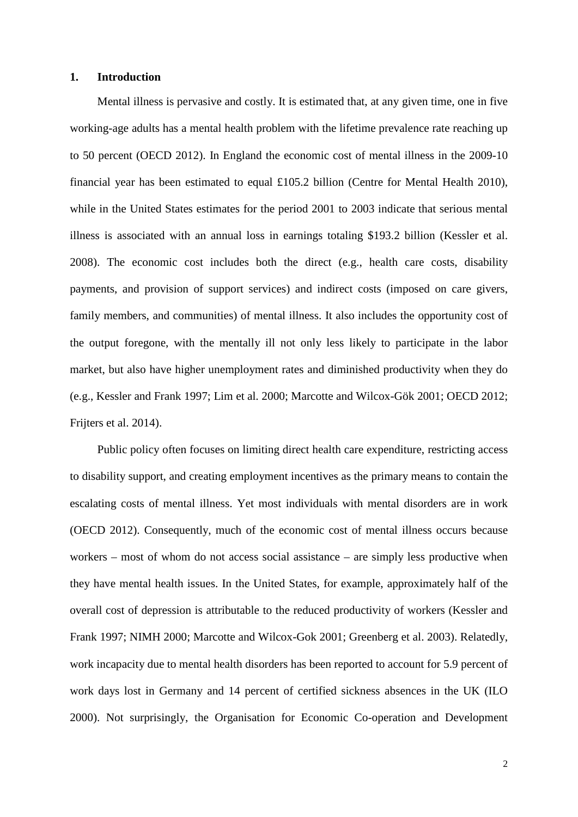#### **1. Introduction**

Mental illness is pervasive and costly. It is estimated that, at any given time, one in five working-age adults has a mental health problem with the lifetime prevalence rate reaching up to 50 percent (OECD 2012). In England the economic cost of mental illness in the 2009-10 financial year has been estimated to equal £105.2 billion (Centre for Mental Health 2010), while in the United States estimates for the period 2001 to 2003 indicate that serious mental illness is associated with an annual loss in earnings totaling \$193.2 billion (Kessler et al. 2008). The economic cost includes both the direct (e.g., health care costs, disability payments, and provision of support services) and indirect costs (imposed on care givers, family members, and communities) of mental illness. It also includes the opportunity cost of the output foregone, with the mentally ill not only less likely to participate in the labor market, but also have higher unemployment rates and diminished productivity when they do (e.g., Kessler and Frank 1997; Lim et al. 2000; Marcotte and Wilcox-Gök 2001; OECD 2012; Frijters et al. 2014).

Public policy often focuses on limiting direct health care expenditure, restricting access to disability support, and creating employment incentives as the primary means to contain the escalating costs of mental illness. Yet most individuals with mental disorders are in work (OECD 2012). Consequently, much of the economic cost of mental illness occurs because workers – most of whom do not access social assistance – are simply less productive when they have mental health issues. In the United States, for example, approximately half of the overall cost of depression is attributable to the reduced productivity of workers (Kessler and Frank 1997; NIMH 2000; Marcotte and Wilcox-Gok 2001; Greenberg et al. 2003). Relatedly, work incapacity due to mental health disorders has been reported to account for 5.9 percent of work days lost in Germany and 14 percent of certified sickness absences in the UK (ILO 2000). Not surprisingly, the Organisation for Economic Co-operation and Development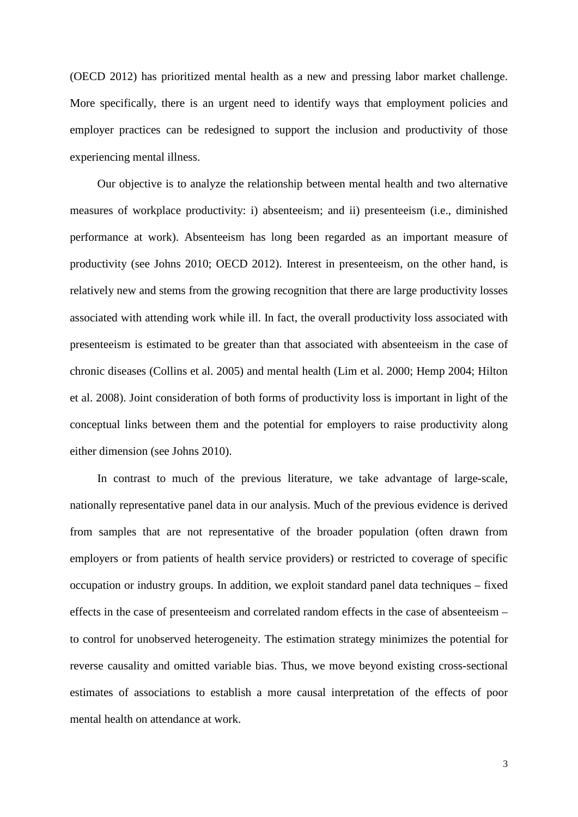(OECD 2012) has prioritized mental health as a new and pressing labor market challenge. More specifically, there is an urgent need to identify ways that employment policies and employer practices can be redesigned to support the inclusion and productivity of those experiencing mental illness.

Our objective is to analyze the relationship between mental health and two alternative measures of workplace productivity: i) absenteeism; and ii) presenteeism (i.e., diminished performance at work). Absenteeism has long been regarded as an important measure of productivity (see Johns 2010; OECD 2012). Interest in presenteeism, on the other hand, is relatively new and stems from the growing recognition that there are large productivity losses associated with attending work while ill. In fact, the overall productivity loss associated with presenteeism is estimated to be greater than that associated with absenteeism in the case of chronic diseases (Collins et al. 2005) and mental health (Lim et al. 2000; Hemp 2004; Hilton et al. 2008). Joint consideration of both forms of productivity loss is important in light of the conceptual links between them and the potential for employers to raise productivity along either dimension (see Johns 2010).

In contrast to much of the previous literature, we take advantage of large-scale, nationally representative panel data in our analysis. Much of the previous evidence is derived from samples that are not representative of the broader population (often drawn from employers or from patients of health service providers) or restricted to coverage of specific occupation or industry groups. In addition, we exploit standard panel data techniques – fixed effects in the case of presenteeism and correlated random effects in the case of absenteeism – to control for unobserved heterogeneity. The estimation strategy minimizes the potential for reverse causality and omitted variable bias. Thus, we move beyond existing cross-sectional estimates of associations to establish a more causal interpretation of the effects of poor mental health on attendance at work.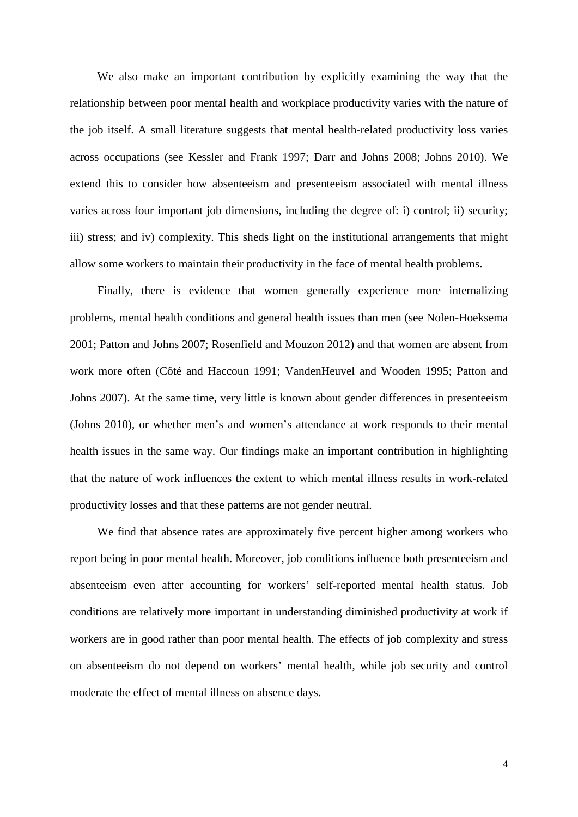We also make an important contribution by explicitly examining the way that the relationship between poor mental health and workplace productivity varies with the nature of the job itself. A small literature suggests that mental health-related productivity loss varies across occupations (see Kessler and Frank 1997; Darr and Johns 2008; Johns 2010). We extend this to consider how absenteeism and presenteeism associated with mental illness varies across four important job dimensions, including the degree of: i) control; ii) security; iii) stress; and iv) complexity. This sheds light on the institutional arrangements that might allow some workers to maintain their productivity in the face of mental health problems.

Finally, there is evidence that women generally experience more internalizing problems, mental health conditions and general health issues than men (see Nolen-Hoeksema 2001; Patton and Johns 2007; Rosenfield and Mouzon 2012) and that women are absent from work more often (Côté and Haccoun 1991; VandenHeuvel and Wooden 1995; Patton and Johns 2007). At the same time, very little is known about gender differences in presenteeism (Johns 2010), or whether men's and women's attendance at work responds to their mental health issues in the same way. Our findings make an important contribution in highlighting that the nature of work influences the extent to which mental illness results in work-related productivity losses and that these patterns are not gender neutral.

We find that absence rates are approximately five percent higher among workers who report being in poor mental health. Moreover, job conditions influence both presenteeism and absenteeism even after accounting for workers' self-reported mental health status. Job conditions are relatively more important in understanding diminished productivity at work if workers are in good rather than poor mental health. The effects of job complexity and stress on absenteeism do not depend on workers' mental health, while job security and control moderate the effect of mental illness on absence days.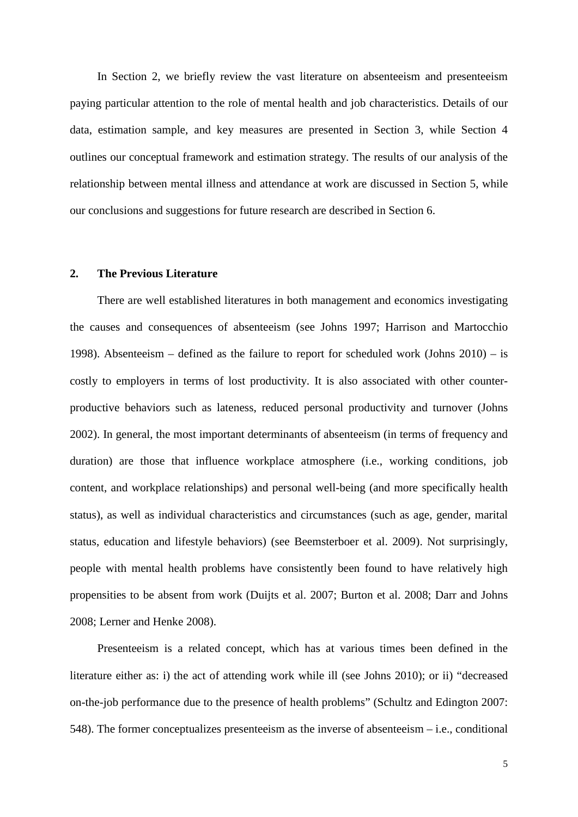In Section 2, we briefly review the vast literature on absenteeism and presenteeism paying particular attention to the role of mental health and job characteristics. Details of our data, estimation sample, and key measures are presented in Section 3, while Section 4 outlines our conceptual framework and estimation strategy. The results of our analysis of the relationship between mental illness and attendance at work are discussed in Section 5, while our conclusions and suggestions for future research are described in Section 6.

#### **2. The Previous Literature**

There are well established literatures in both management and economics investigating the causes and consequences of absenteeism (see Johns 1997; Harrison and Martocchio 1998). Absenteeism – defined as the failure to report for scheduled work (Johns  $2010$ ) – is costly to employers in terms of lost productivity. It is also associated with other counterproductive behaviors such as lateness, reduced personal productivity and turnover (Johns 2002). In general, the most important determinants of absenteeism (in terms of frequency and duration) are those that influence workplace atmosphere (i.e., working conditions, job content, and workplace relationships) and personal well-being (and more specifically health status), as well as individual characteristics and circumstances (such as age, gender, marital status, education and lifestyle behaviors) (see Beemsterboer et al. 2009). Not surprisingly, people with mental health problems have consistently been found to have relatively high propensities to be absent from work (Duijts et al. 2007; Burton et al. 2008; Darr and Johns 2008; Lerner and Henke 2008).

Presenteeism is a related concept, which has at various times been defined in the literature either as: i) the act of attending work while ill (see Johns 2010); or ii) "decreased on-the-job performance due to the presence of health problems" (Schultz and Edington 2007: 548). The former conceptualizes presenteeism as the inverse of absenteeism – i.e., conditional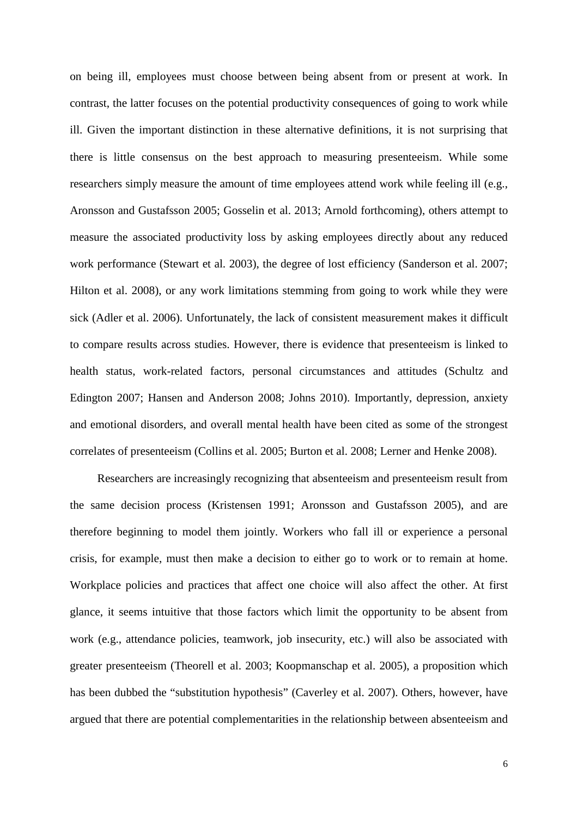on being ill, employees must choose between being absent from or present at work. In contrast, the latter focuses on the potential productivity consequences of going to work while ill. Given the important distinction in these alternative definitions, it is not surprising that there is little consensus on the best approach to measuring presenteeism. While some researchers simply measure the amount of time employees attend work while feeling ill (e.g., Aronsson and Gustafsson 2005; Gosselin et al. 2013; Arnold forthcoming), others attempt to measure the associated productivity loss by asking employees directly about any reduced work performance (Stewart et al. 2003), the degree of lost efficiency (Sanderson et al. 2007; Hilton et al. 2008), or any work limitations stemming from going to work while they were sick (Adler et al. 2006). Unfortunately, the lack of consistent measurement makes it difficult to compare results across studies. However, there is evidence that presenteeism is linked to health status, work-related factors, personal circumstances and attitudes (Schultz and Edington 2007; Hansen and Anderson 2008; Johns 2010). Importantly, depression, anxiety and emotional disorders, and overall mental health have been cited as some of the strongest correlates of presenteeism (Collins et al. 2005; Burton et al. 2008; Lerner and Henke 2008).

Researchers are increasingly recognizing that absenteeism and presenteeism result from the same decision process (Kristensen 1991; Aronsson and Gustafsson 2005), and are therefore beginning to model them jointly. Workers who fall ill or experience a personal crisis, for example, must then make a decision to either go to work or to remain at home. Workplace policies and practices that affect one choice will also affect the other. At first glance, it seems intuitive that those factors which limit the opportunity to be absent from work (e.g., attendance policies, teamwork, job insecurity, etc.) will also be associated with greater presenteeism (Theorell et al. 2003; Koopmanschap et al. 2005), a proposition which has been dubbed the "substitution hypothesis" (Caverley et al. 2007). Others, however, have argued that there are potential complementarities in the relationship between absenteeism and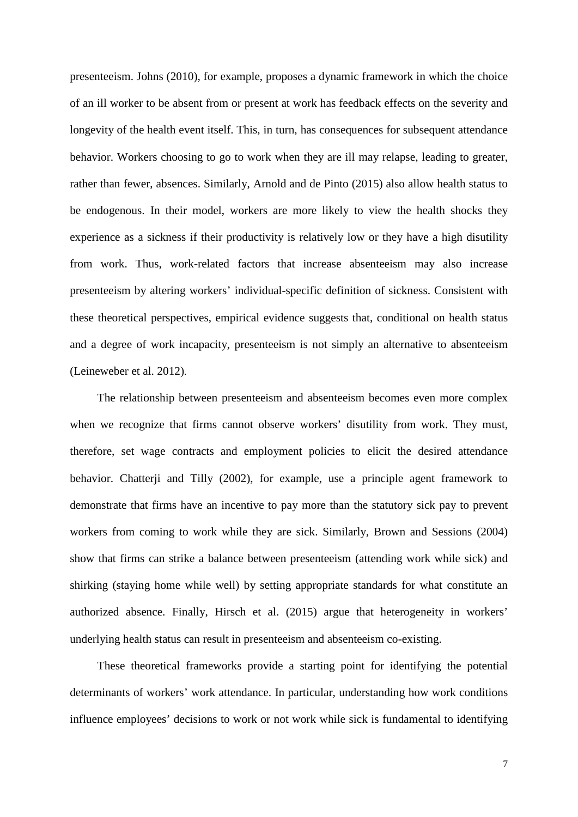presenteeism. Johns (2010), for example, proposes a dynamic framework in which the choice of an ill worker to be absent from or present at work has feedback effects on the severity and longevity of the health event itself. This, in turn, has consequences for subsequent attendance behavior. Workers choosing to go to work when they are ill may relapse, leading to greater, rather than fewer, absences. Similarly, Arnold and de Pinto (2015) also allow health status to be endogenous. In their model, workers are more likely to view the health shocks they experience as a sickness if their productivity is relatively low or they have a high disutility from work. Thus, work-related factors that increase absenteeism may also increase presenteeism by altering workers' individual-specific definition of sickness. Consistent with these theoretical perspectives, empirical evidence suggests that, conditional on health status and a degree of work incapacity, presenteeism is not simply an alternative to absenteeism (Leineweber et al. 2012).

The relationship between presenteeism and absenteeism becomes even more complex when we recognize that firms cannot observe workers' disutility from work. They must, therefore, set wage contracts and employment policies to elicit the desired attendance behavior. Chatterji and Tilly (2002), for example, use a principle agent framework to demonstrate that firms have an incentive to pay more than the statutory sick pay to prevent workers from coming to work while they are sick. Similarly, Brown and Sessions (2004) show that firms can strike a balance between presenteeism (attending work while sick) and shirking (staying home while well) by setting appropriate standards for what constitute an authorized absence. Finally, Hirsch et al. (2015) argue that heterogeneity in workers' underlying health status can result in presenteeism and absenteeism co-existing.

These theoretical frameworks provide a starting point for identifying the potential determinants of workers' work attendance. In particular, understanding how work conditions influence employees' decisions to work or not work while sick is fundamental to identifying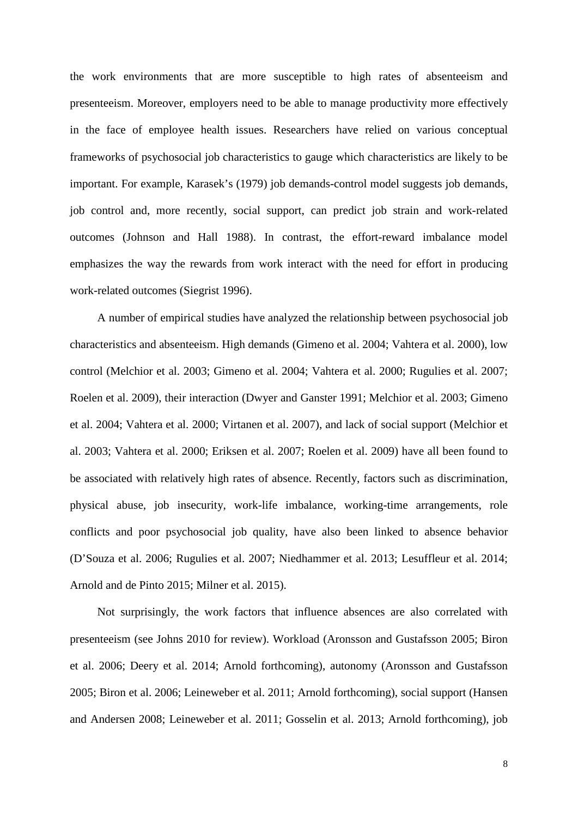the work environments that are more susceptible to high rates of absenteeism and presenteeism. Moreover, employers need to be able to manage productivity more effectively in the face of employee health issues. Researchers have relied on various conceptual frameworks of psychosocial job characteristics to gauge which characteristics are likely to be important. For example, Karasek's (1979) job demands-control model suggests job demands, job control and, more recently, social support, can predict job strain and work-related outcomes (Johnson and Hall 1988). In contrast, the effort-reward imbalance model emphasizes the way the rewards from work interact with the need for effort in producing work-related outcomes (Siegrist 1996).

A number of empirical studies have analyzed the relationship between psychosocial job characteristics and absenteeism. High demands (Gimeno et al. 2004; Vahtera et al. 2000), low control (Melchior et al. 2003; Gimeno et al. 2004; Vahtera et al. 2000; Rugulies et al. 2007; Roelen et al. 2009), their interaction (Dwyer and Ganster 1991; Melchior et al. 2003; Gimeno et al. 2004; Vahtera et al. 2000; Virtanen et al. 2007), and lack of social support (Melchior et al. 2003; Vahtera et al. 2000; Eriksen et al. 2007; Roelen et al. 2009) have all been found to be associated with relatively high rates of absence. Recently, factors such as discrimination, physical abuse, job insecurity, work-life imbalance, working-time arrangements, role conflicts and poor psychosocial job quality, have also been linked to absence behavior (D'Souza et al. 2006; Rugulies et al. 2007; Niedhammer et al. 2013; Lesuffleur et al. 2014; Arnold and de Pinto 2015; Milner et al. 2015).

Not surprisingly, the work factors that influence absences are also correlated with presenteeism (see Johns 2010 for review). Workload (Aronsson and Gustafsson 2005; Biron et al. 2006; Deery et al. 2014; Arnold forthcoming), autonomy (Aronsson and Gustafsson 2005; Biron et al. 2006; Leineweber et al. 2011; Arnold forthcoming), social support (Hansen and Andersen 2008; Leineweber et al. 2011; Gosselin et al. 2013; Arnold forthcoming), job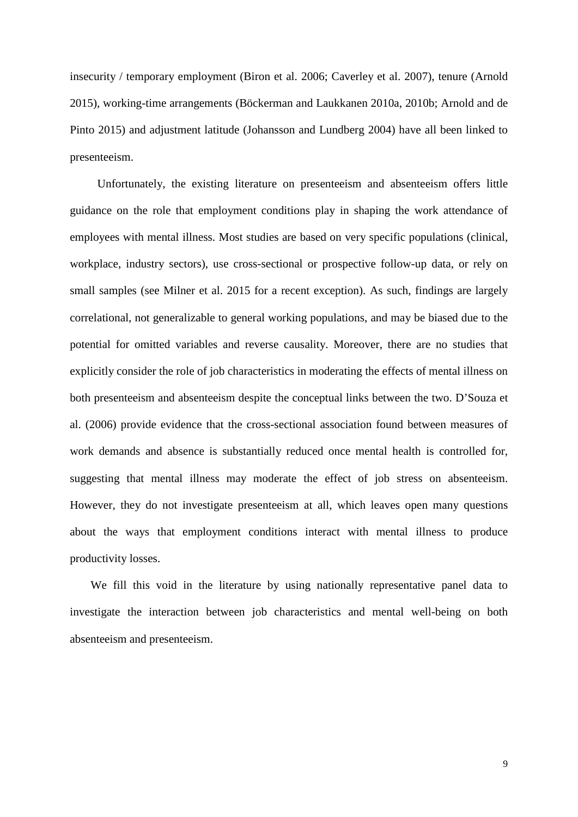insecurity / temporary employment (Biron et al. 2006; Caverley et al. 2007), tenure (Arnold 2015), working-time arrangements (Böckerman and Laukkanen 2010a, 2010b; Arnold and de Pinto 2015) and adjustment latitude (Johansson and Lundberg 2004) have all been linked to presenteeism.

Unfortunately, the existing literature on presenteeism and absenteeism offers little guidance on the role that employment conditions play in shaping the work attendance of employees with mental illness. Most studies are based on very specific populations (clinical, workplace, industry sectors), use cross-sectional or prospective follow-up data, or rely on small samples (see Milner et al. 2015 for a recent exception). As such, findings are largely correlational, not generalizable to general working populations, and may be biased due to the potential for omitted variables and reverse causality. Moreover, there are no studies that explicitly consider the role of job characteristics in moderating the effects of mental illness on both presenteeism and absenteeism despite the conceptual links between the two. D'Souza et al. (2006) provide evidence that the cross-sectional association found between measures of work demands and absence is substantially reduced once mental health is controlled for, suggesting that mental illness may moderate the effect of job stress on absenteeism. However, they do not investigate presenteeism at all, which leaves open many questions about the ways that employment conditions interact with mental illness to produce productivity losses.

We fill this void in the literature by using nationally representative panel data to investigate the interaction between job characteristics and mental well-being on both absenteeism and presenteeism.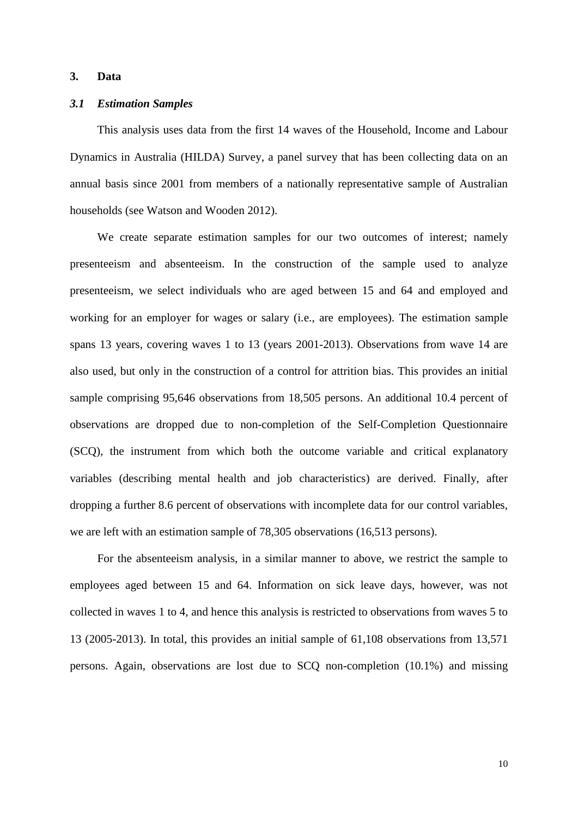#### **3. Data**

#### *3.1 Estimation Samples*

This analysis uses data from the first 14 waves of the Household, Income and Labour Dynamics in Australia (HILDA) Survey, a panel survey that has been collecting data on an annual basis since 2001 from members of a nationally representative sample of Australian households (see Watson and Wooden 2012).

We create separate estimation samples for our two outcomes of interest; namely presenteeism and absenteeism. In the construction of the sample used to analyze presenteeism, we select individuals who are aged between 15 and 64 and employed and working for an employer for wages or salary (i.e., are employees). The estimation sample spans 13 years, covering waves 1 to 13 (years 2001-2013). Observations from wave 14 are also used, but only in the construction of a control for attrition bias. This provides an initial sample comprising 95,646 observations from 18,505 persons. An additional 10.4 percent of observations are dropped due to non-completion of the Self-Completion Questionnaire (SCQ), the instrument from which both the outcome variable and critical explanatory variables (describing mental health and job characteristics) are derived. Finally, after dropping a further 8.6 percent of observations with incomplete data for our control variables, we are left with an estimation sample of 78,305 observations (16,513 persons).

For the absenteeism analysis, in a similar manner to above, we restrict the sample to employees aged between 15 and 64. Information on sick leave days, however, was not collected in waves 1 to 4, and hence this analysis is restricted to observations from waves 5 to 13 (2005-2013). In total, this provides an initial sample of 61,108 observations from 13,571 persons. Again, observations are lost due to SCQ non-completion (10.1%) and missing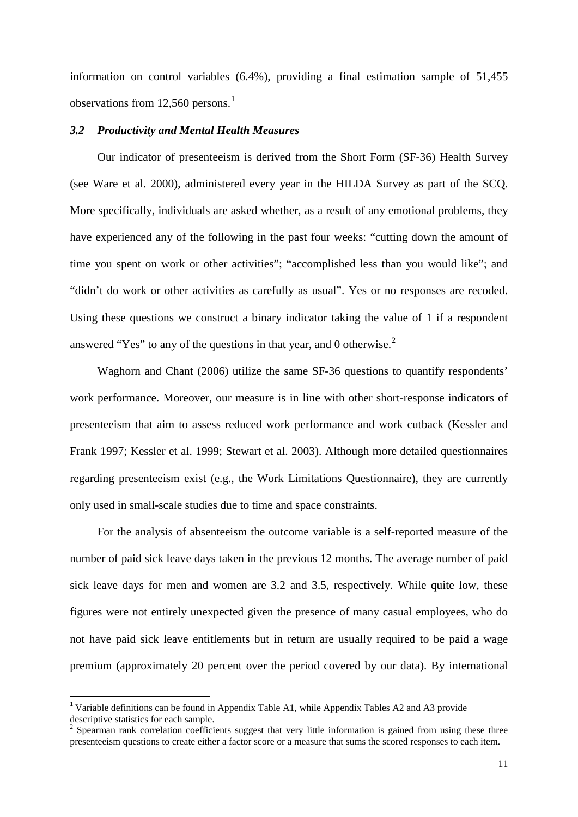information on control variables (6.4%), providing a final estimation sample of 51,455 observations from [1](#page-12-0)2.560 persons.<sup>1</sup>

#### *3.2 Productivity and Mental Health Measures*

Our indicator of presenteeism is derived from the Short Form (SF-36) Health Survey (see Ware et al. 2000), administered every year in the HILDA Survey as part of the SCQ. More specifically, individuals are asked whether, as a result of any emotional problems, they have experienced any of the following in the past four weeks: "cutting down the amount of time you spent on work or other activities"; "accomplished less than you would like"; and "didn't do work or other activities as carefully as usual". Yes or no responses are recoded. Using these questions we construct a binary indicator taking the value of 1 if a respondent answered "Yes" to any of the questions in that year, and 0 otherwise.<sup>[2](#page-12-1)</sup>

Waghorn and Chant (2006) utilize the same SF-36 questions to quantify respondents' work performance. Moreover, our measure is in line with other short-response indicators of presenteeism that aim to assess reduced work performance and work cutback (Kessler and Frank 1997; Kessler et al. 1999; Stewart et al. 2003). Although more detailed questionnaires regarding presenteeism exist (e.g., the Work Limitations Questionnaire), they are currently only used in small-scale studies due to time and space constraints.

For the analysis of absenteeism the outcome variable is a self-reported measure of the number of paid sick leave days taken in the previous 12 months. The average number of paid sick leave days for men and women are 3.2 and 3.5, respectively. While quite low, these figures were not entirely unexpected given the presence of many casual employees, who do not have paid sick leave entitlements but in return are usually required to be paid a wage premium (approximately 20 percent over the period covered by our data). By international

<span id="page-12-0"></span><sup>&</sup>lt;sup>1</sup> Variable definitions can be found in Appendix Table A1, while Appendix Tables A2 and A3 provide descriptive statistics for each sample.

<span id="page-12-1"></span><sup>&</sup>lt;sup>2</sup> Spearman rank correlation coefficients suggest that very little information is gained from using these three presenteeism questions to create either a factor score or a measure that sums the scored responses to each item.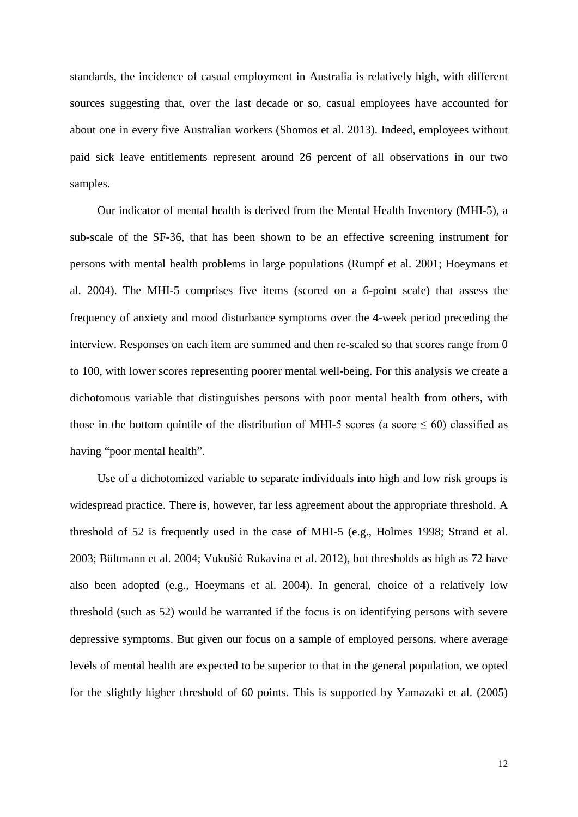standards, the incidence of casual employment in Australia is relatively high, with different sources suggesting that, over the last decade or so, casual employees have accounted for about one in every five Australian workers (Shomos et al. 2013). Indeed, employees without paid sick leave entitlements represent around 26 percent of all observations in our two samples.

Our indicator of mental health is derived from the Mental Health Inventory (MHI-5), a sub-scale of the SF-36, that has been shown to be an effective screening instrument for persons with mental health problems in large populations (Rumpf et al. 2001; Hoeymans et al. 2004). The MHI-5 comprises five items (scored on a 6-point scale) that assess the frequency of anxiety and mood disturbance symptoms over the 4-week period preceding the interview. Responses on each item are summed and then re-scaled so that scores range from 0 to 100, with lower scores representing poorer mental well-being. For this analysis we create a dichotomous variable that distinguishes persons with poor mental health from others, with those in the bottom quintile of the distribution of MHI-5 scores (a score  $\leq 60$ ) classified as having "poor mental health".

Use of a dichotomized variable to separate individuals into high and low risk groups is widespread practice. There is, however, far less agreement about the appropriate threshold. A threshold of 52 is frequently used in the case of MHI-5 (e.g., Holmes 1998; Strand et al. 2003; Bültmann et al. 2004; Vukušić Rukavina et al. 2012), but thresholds as high as 72 have also been adopted (e.g., Hoeymans et al. 2004). In general, choice of a relatively low threshold (such as 52) would be warranted if the focus is on identifying persons with severe depressive symptoms. But given our focus on a sample of employed persons, where average levels of mental health are expected to be superior to that in the general population, we opted for the slightly higher threshold of 60 points. This is supported by Yamazaki et al. (2005)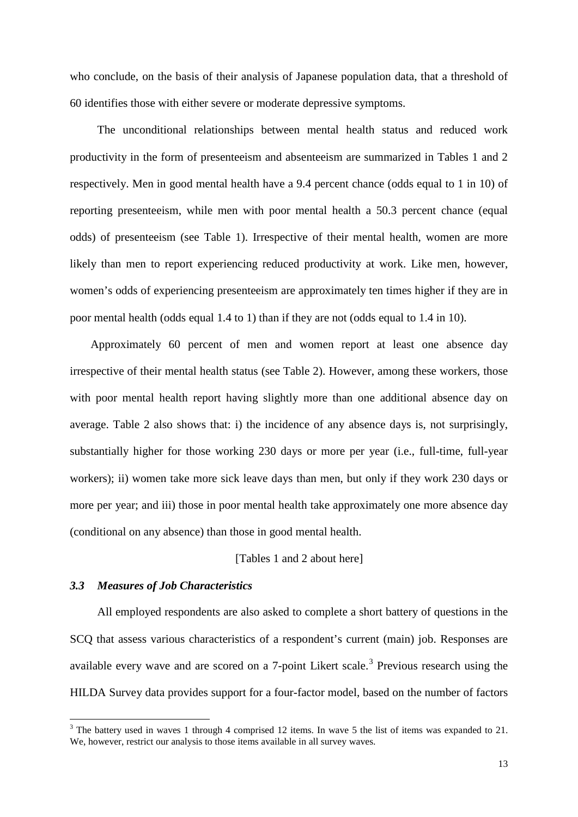who conclude, on the basis of their analysis of Japanese population data, that a threshold of 60 identifies those with either severe or moderate depressive symptoms.

The unconditional relationships between mental health status and reduced work productivity in the form of presenteeism and absenteeism are summarized in Tables 1 and 2 respectively. Men in good mental health have a 9.4 percent chance (odds equal to 1 in 10) of reporting presenteeism, while men with poor mental health a 50.3 percent chance (equal odds) of presenteeism (see Table 1). Irrespective of their mental health, women are more likely than men to report experiencing reduced productivity at work. Like men, however, women's odds of experiencing presenteeism are approximately ten times higher if they are in poor mental health (odds equal 1.4 to 1) than if they are not (odds equal to 1.4 in 10).

Approximately 60 percent of men and women report at least one absence day irrespective of their mental health status (see Table 2). However, among these workers, those with poor mental health report having slightly more than one additional absence day on average. Table 2 also shows that: i) the incidence of any absence days is, not surprisingly, substantially higher for those working 230 days or more per year (i.e., full-time, full-year workers); ii) women take more sick leave days than men, but only if they work 230 days or more per year; and iii) those in poor mental health take approximately one more absence day (conditional on any absence) than those in good mental health.

#### [Tables 1 and 2 about here]

#### *3.3 Measures of Job Characteristics*

All employed respondents are also asked to complete a short battery of questions in the SCQ that assess various characteristics of a respondent's current (main) job. Responses are available every wave and are scored on a  $7$ -point Likert scale.<sup>[3](#page-14-0)</sup> Previous research using the HILDA Survey data provides support for a four-factor model, based on the number of factors

<span id="page-14-0"></span><sup>&</sup>lt;sup>3</sup> The battery used in waves 1 through 4 comprised 12 items. In wave 5 the list of items was expanded to 21. We, however, restrict our analysis to those items available in all survey waves.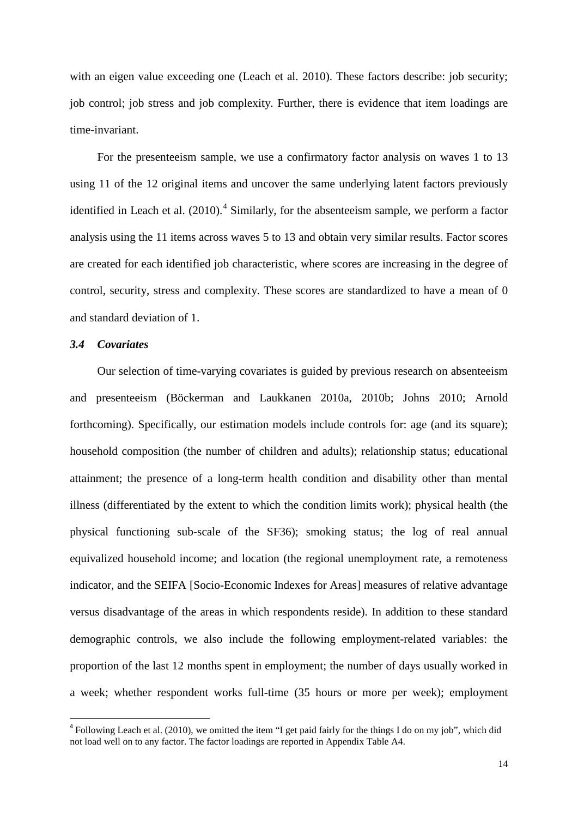with an eigen value exceeding one (Leach et al. 2010). These factors describe: job security; job control; job stress and job complexity. Further, there is evidence that item loadings are time-invariant.

For the presenteeism sample, we use a confirmatory factor analysis on waves 1 to 13 using 11 of the 12 original items and uncover the same underlying latent factors previously identified in Leach et al.  $(2010)$ .<sup>[4](#page-15-0)</sup> Similarly, for the absenteeism sample, we perform a factor analysis using the 11 items across waves 5 to 13 and obtain very similar results. Factor scores are created for each identified job characteristic, where scores are increasing in the degree of control, security, stress and complexity. These scores are standardized to have a mean of 0 and standard deviation of 1.

#### *3.4 Covariates*

Our selection of time-varying covariates is guided by previous research on absenteeism and presenteeism (Böckerman and Laukkanen 2010a, 2010b; Johns 2010; Arnold forthcoming). Specifically, our estimation models include controls for: age (and its square); household composition (the number of children and adults); relationship status; educational attainment; the presence of a long-term health condition and disability other than mental illness (differentiated by the extent to which the condition limits work); physical health (the physical functioning sub-scale of the SF36); smoking status; the log of real annual equivalized household income; and location (the regional unemployment rate, a remoteness indicator, and the SEIFA [Socio-Economic Indexes for Areas] measures of relative advantage versus disadvantage of the areas in which respondents reside). In addition to these standard demographic controls, we also include the following employment-related variables: the proportion of the last 12 months spent in employment; the number of days usually worked in a week; whether respondent works full-time (35 hours or more per week); employment

<span id="page-15-0"></span> $4$  Following Leach et al. (2010), we omitted the item "I get paid fairly for the things I do on my job", which did not load well on to any factor. The factor loadings are reported in Appendix Table A4.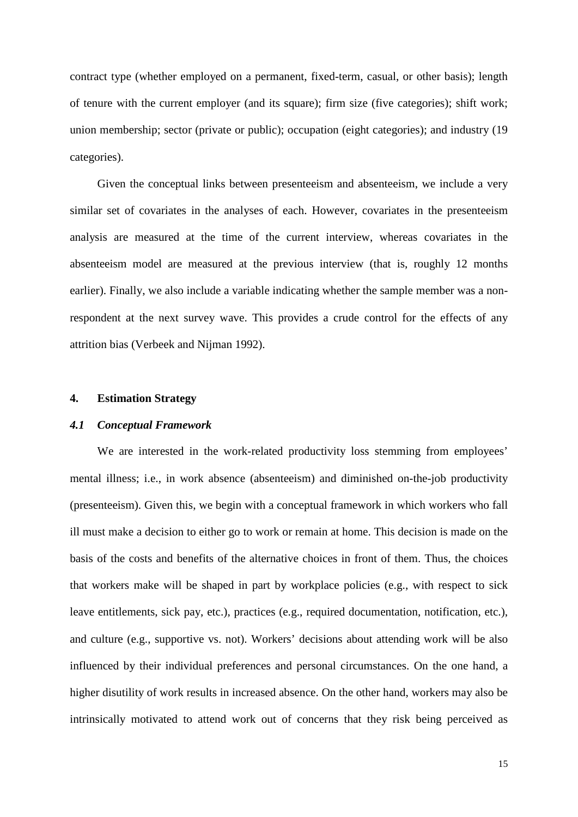contract type (whether employed on a permanent, fixed-term, casual, or other basis); length of tenure with the current employer (and its square); firm size (five categories); shift work; union membership; sector (private or public); occupation (eight categories); and industry (19 categories).

Given the conceptual links between presenteeism and absenteeism, we include a very similar set of covariates in the analyses of each. However, covariates in the presenteeism analysis are measured at the time of the current interview, whereas covariates in the absenteeism model are measured at the previous interview (that is, roughly 12 months earlier). Finally, we also include a variable indicating whether the sample member was a nonrespondent at the next survey wave. This provides a crude control for the effects of any attrition bias (Verbeek and Nijman 1992).

#### **4. Estimation Strategy**

#### *4.1 Conceptual Framework*

We are interested in the work-related productivity loss stemming from employees' mental illness; i.e., in work absence (absenteeism) and diminished on-the-job productivity (presenteeism). Given this, we begin with a conceptual framework in which workers who fall ill must make a decision to either go to work or remain at home. This decision is made on the basis of the costs and benefits of the alternative choices in front of them. Thus, the choices that workers make will be shaped in part by workplace policies (e.g., with respect to sick leave entitlements, sick pay, etc.), practices (e.g., required documentation, notification, etc.), and culture (e.g., supportive vs. not). Workers' decisions about attending work will be also influenced by their individual preferences and personal circumstances. On the one hand, a higher disutility of work results in increased absence. On the other hand, workers may also be intrinsically motivated to attend work out of concerns that they risk being perceived as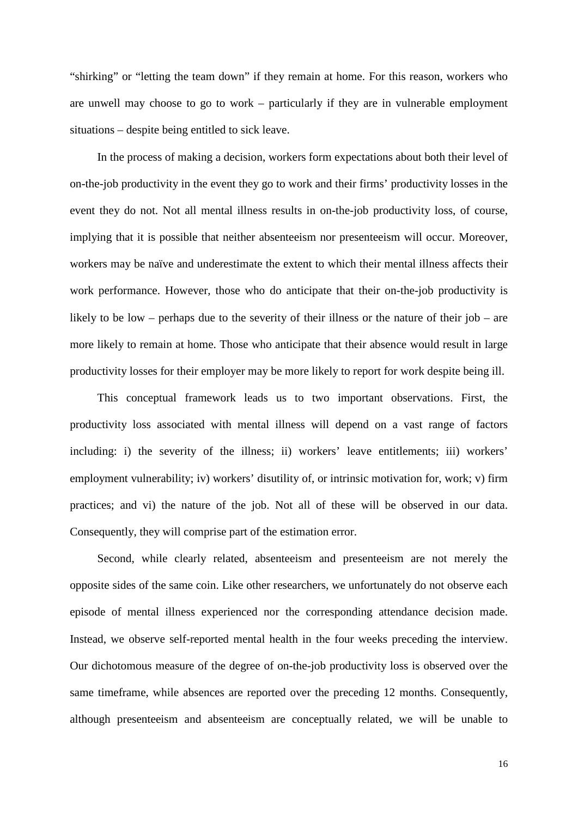"shirking" or "letting the team down" if they remain at home. For this reason, workers who are unwell may choose to go to work – particularly if they are in vulnerable employment situations – despite being entitled to sick leave.

In the process of making a decision, workers form expectations about both their level of on-the-job productivity in the event they go to work and their firms' productivity losses in the event they do not. Not all mental illness results in on-the-job productivity loss, of course, implying that it is possible that neither absenteeism nor presenteeism will occur. Moreover, workers may be naïve and underestimate the extent to which their mental illness affects their work performance. However, those who do anticipate that their on-the-job productivity is likely to be low – perhaps due to the severity of their illness or the nature of their job – are more likely to remain at home. Those who anticipate that their absence would result in large productivity losses for their employer may be more likely to report for work despite being ill.

This conceptual framework leads us to two important observations. First, the productivity loss associated with mental illness will depend on a vast range of factors including: i) the severity of the illness; ii) workers' leave entitlements; iii) workers' employment vulnerability; iv) workers' disutility of, or intrinsic motivation for, work; v) firm practices; and vi) the nature of the job. Not all of these will be observed in our data. Consequently, they will comprise part of the estimation error.

Second, while clearly related, absenteeism and presenteeism are not merely the opposite sides of the same coin. Like other researchers, we unfortunately do not observe each episode of mental illness experienced nor the corresponding attendance decision made. Instead, we observe self-reported mental health in the four weeks preceding the interview. Our dichotomous measure of the degree of on-the-job productivity loss is observed over the same timeframe, while absences are reported over the preceding 12 months. Consequently, although presenteeism and absenteeism are conceptually related, we will be unable to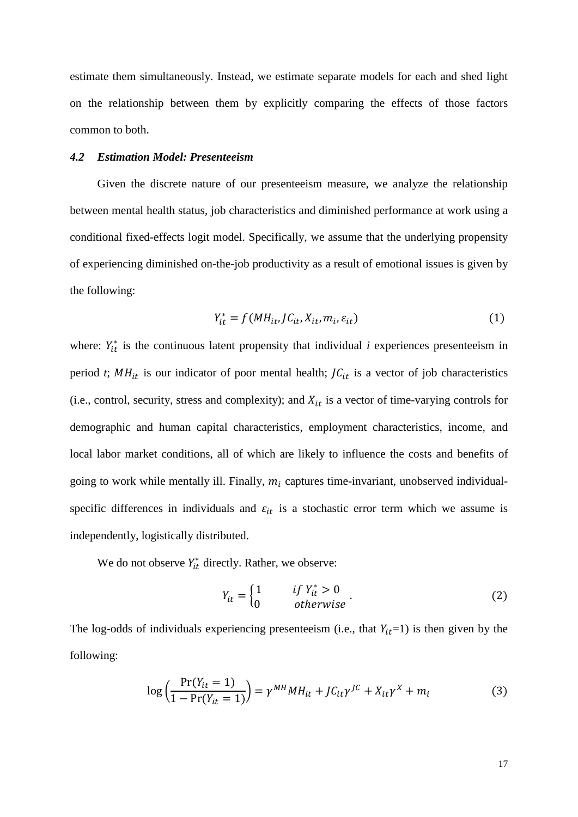estimate them simultaneously. Instead, we estimate separate models for each and shed light on the relationship between them by explicitly comparing the effects of those factors common to both.

#### *4.2 Estimation Model: Presenteeism*

Given the discrete nature of our presenteeism measure, we analyze the relationship between mental health status, job characteristics and diminished performance at work using a conditional fixed-effects logit model. Specifically, we assume that the underlying propensity of experiencing diminished on-the-job productivity as a result of emotional issues is given by the following:

$$
Y_{it}^* = f(MH_{it}, JC_{it}, X_{it}, m_i, \varepsilon_{it})
$$
\n<sup>(1)</sup>

where:  $Y_{it}^*$  is the continuous latent propensity that individual  $i$  experiences presenteeism in period *t*;  $MH_{it}$  is our indicator of poor mental health;  $JC_{it}$  is a vector of job characteristics (i.e., control, security, stress and complexity); and  $X_{it}$  is a vector of time-varying controls for demographic and human capital characteristics, employment characteristics, income, and local labor market conditions, all of which are likely to influence the costs and benefits of going to work while mentally ill. Finally,  $m_i$  captures time-invariant, unobserved individualspecific differences in individuals and  $\varepsilon_{it}$  is a stochastic error term which we assume is independently, logistically distributed.

We do not observe  $Y_{it}^*$  directly. Rather, we observe:

$$
Y_{it} = \begin{cases} 1 & \text{if } Y_{it}^* > 0 \\ 0 & \text{otherwise} \end{cases} \tag{2}
$$

The log-odds of individuals experiencing presenteeism (i.e., that  $Y_{it}=1$ ) is then given by the following:

$$
\log\left(\frac{\Pr(Y_{it} = 1)}{1 - \Pr(Y_{it} = 1)}\right) = \gamma^{MH} M H_{it} + J C_{it} \gamma^{JC} + X_{it} \gamma^{X} + m_{i}
$$
(3)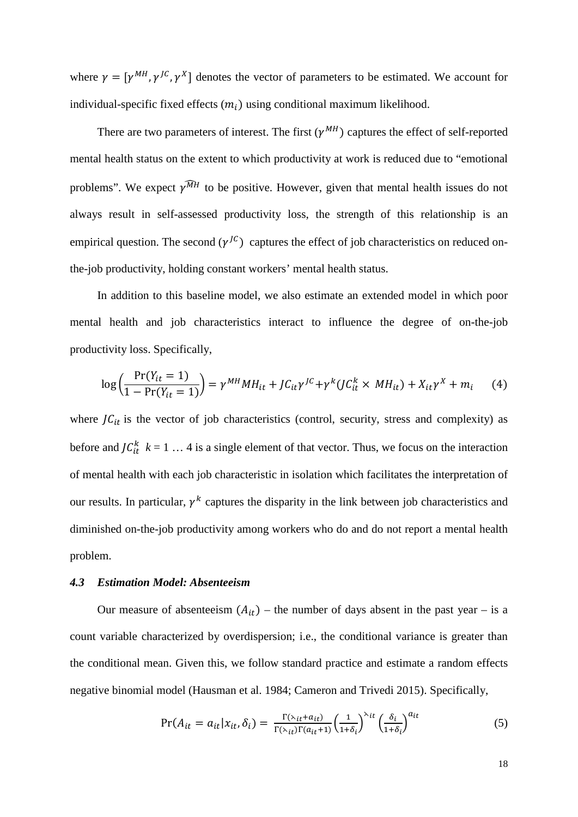where  $\gamma = [\gamma^{MH}, \gamma^{JC}, \gamma^{X}]$  denotes the vector of parameters to be estimated. We account for individual-specific fixed effects  $(m_i)$  using conditional maximum likelihood.

There are two parameters of interest. The first  $(\gamma^{MH})$  captures the effect of self-reported mental health status on the extent to which productivity at work is reduced due to "emotional problems". We expect  $\widehat{v^{MH}}$  to be positive. However, given that mental health issues do not always result in self-assessed productivity loss, the strength of this relationship is an empirical question. The second  $(\gamma^{JC})$  captures the effect of job characteristics on reduced onthe-job productivity, holding constant workers' mental health status.

In addition to this baseline model, we also estimate an extended model in which poor mental health and job characteristics interact to influence the degree of on-the-job productivity loss. Specifically,

$$
\log\left(\frac{\Pr(Y_{it}=1)}{1-\Pr(Y_{it}=1)}\right) = \gamma^{MH} M H_{it} + J C_{it} \gamma^{JC} + \gamma^k (J C_{it}^k \times M H_{it}) + X_{it} \gamma^X + m_i \tag{4}
$$

where  $\int C_{it}$  is the vector of job characteristics (control, security, stress and complexity) as before and  $JC_{it}^{k}$   $k = 1 ... 4$  is a single element of that vector. Thus, we focus on the interaction of mental health with each job characteristic in isolation which facilitates the interpretation of our results. In particular,  $\gamma^k$  captures the disparity in the link between job characteristics and diminished on-the-job productivity among workers who do and do not report a mental health problem.

#### *4.3 Estimation Model: Absenteeism*

Our measure of absenteeism  $(A_{it})$  – the number of days absent in the past year – is a count variable characterized by overdispersion; i.e., the conditional variance is greater than the conditional mean. Given this, we follow standard practice and estimate a random effects negative binomial model (Hausman et al. 1984; Cameron and Trivedi 2015). Specifically,

$$
\Pr(A_{it} = a_{it} | x_{it}, \delta_i) = \frac{\Gamma(\lambda_{it} + a_{it})}{\Gamma(\lambda_{it})\Gamma(a_{it} + 1)} \left(\frac{1}{1 + \delta_i}\right)^{\lambda_{it}} \left(\frac{\delta_i}{1 + \delta_i}\right)^{a_{it}} \tag{5}
$$

18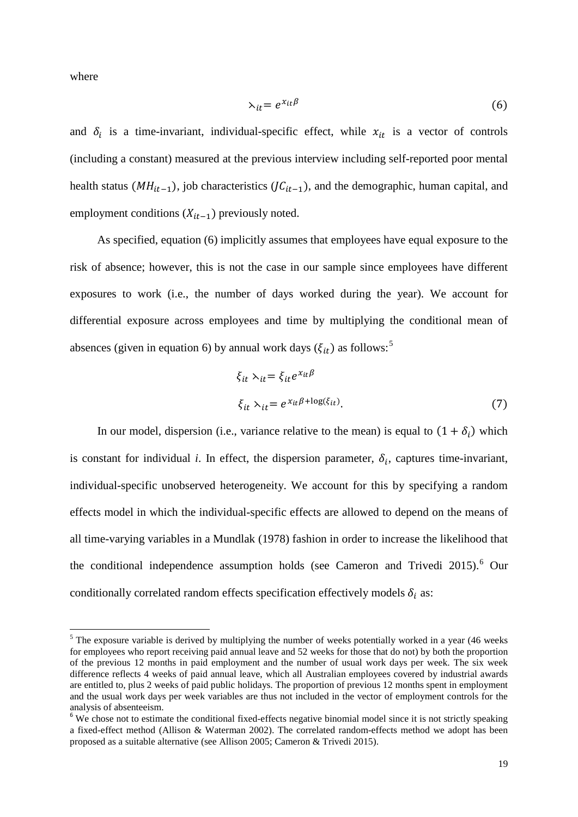where

$$
\lambda_{it} = e^{\chi_{it}\beta} \tag{6}
$$

and  $\delta_i$  is a time-invariant, individual-specific effect, while  $x_{it}$  is a vector of controls (including a constant) measured at the previous interview including self-reported poor mental health status ( $MH_{it-1}$ ), job characteristics ( $JC_{it-1}$ ), and the demographic, human capital, and employment conditions  $(X_{it-1})$  previously noted.

As specified, equation (6) implicitly assumes that employees have equal exposure to the risk of absence; however, this is not the case in our sample since employees have different exposures to work (i.e., the number of days worked during the year). We account for differential exposure across employees and time by multiplying the conditional mean of absences (given in equation 6) by annual work days ( $\xi_{it}$ ) as follows:<sup>[5](#page-20-0)</sup>

$$
\xi_{it} \lambda_{it} = \xi_{it} e^{x_{it}\beta}
$$
  

$$
\xi_{it} \lambda_{it} = e^{x_{it}\beta + \log(\xi_{it})}.
$$
 (7)

In our model, dispersion (i.e., variance relative to the mean) is equal to  $(1 + \delta_i)$  which is constant for individual *i*. In effect, the dispersion parameter,  $\delta_i$ , captures time-invariant, individual-specific unobserved heterogeneity. We account for this by specifying a random effects model in which the individual-specific effects are allowed to depend on the means of all time-varying variables in a Mundlak (1978) fashion in order to increase the likelihood that the conditional independence assumption holds (see Cameron and Trivedi 2015).<sup>[6](#page-20-1)</sup> Our conditionally correlated random effects specification effectively models  $\delta_i$  as:

<span id="page-20-0"></span><sup>&</sup>lt;sup>5</sup> The exposure variable is derived by multiplying the number of weeks potentially worked in a year (46 weeks for employees who report receiving paid annual leave and 52 weeks for those that do not) by both the proportion of the previous 12 months in paid employment and the number of usual work days per week. The six week difference reflects 4 weeks of paid annual leave, which all Australian employees covered by industrial awards are entitled to, plus 2 weeks of paid public holidays. The proportion of previous 12 months spent in employment and the usual work days per week variables are thus not included in the vector of employment controls for the

<span id="page-20-1"></span>analysis of absenteeism.<br><sup>6</sup> We chose not to estimate the conditional fixed-effects negative binomial model since it is not strictly speaking a fixed-effect method (Allison & Waterman 2002). The correlated random-effects method we adopt has been proposed as a suitable alternative (see Allison 2005; Cameron & Trivedi 2015).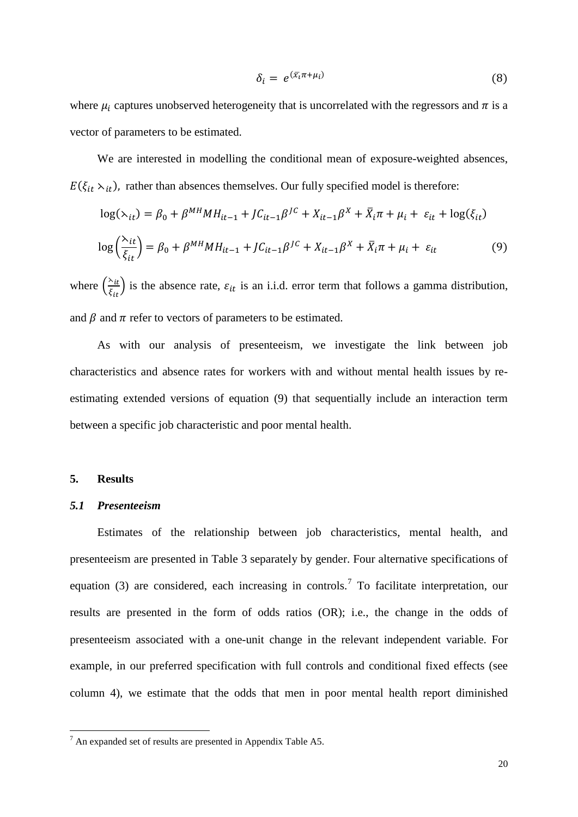$$
\delta_i = e^{(\bar{x}_i \pi + \mu_i)} \tag{8}
$$

where  $\mu_i$  captures unobserved heterogeneity that is uncorrelated with the regressors and  $\pi$  is a vector of parameters to be estimated.

We are interested in modelling the conditional mean of exposure-weighted absences,  $E(\xi_{it} \lambda_{it})$ , rather than absences themselves. Our fully specified model is therefore:

$$
\log(\lambda_{it}) = \beta_0 + \beta^{MH} M H_{it-1} + J C_{it-1} \beta^{JC} + X_{it-1} \beta^{X} + \overline{X}_i \pi + \mu_i + \varepsilon_{it} + \log(\xi_{it})
$$
  

$$
\log\left(\frac{\lambda_{it}}{\xi_{it}}\right) = \beta_0 + \beta^{MH} M H_{it-1} + J C_{it-1} \beta^{JC} + X_{it-1} \beta^{X} + \overline{X}_i \pi + \mu_i + \varepsilon_{it}
$$
 (9)

where  $\left(\frac{\lambda_{it}}{\xi_{it}}\right)$  $\frac{\partial u_t}{\partial t}$  is the absence rate,  $\varepsilon_{it}$  is an i.i.d. error term that follows a gamma distribution, and  $\beta$  and  $\pi$  refer to vectors of parameters to be estimated.

As with our analysis of presenteeism, we investigate the link between job characteristics and absence rates for workers with and without mental health issues by reestimating extended versions of equation (9) that sequentially include an interaction term between a specific job characteristic and poor mental health.

#### **5. Results**

#### *5.1 Presenteeism*

Estimates of the relationship between job characteristics, mental health, and presenteeism are presented in Table 3 separately by gender. Four alternative specifications of equation (3) are considered, each increasing in controls.<sup>[7](#page-21-0)</sup> To facilitate interpretation, our results are presented in the form of odds ratios (OR); i.e., the change in the odds of presenteeism associated with a one-unit change in the relevant independent variable. For example, in our preferred specification with full controls and conditional fixed effects (see column 4), we estimate that the odds that men in poor mental health report diminished

<span id="page-21-0"></span><sup>7</sup> An expanded set of results are presented in Appendix Table A5.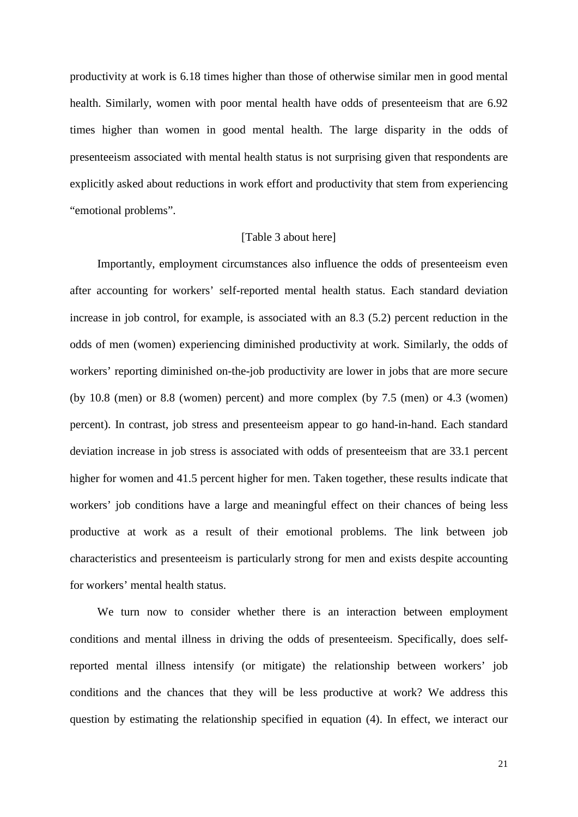productivity at work is 6.18 times higher than those of otherwise similar men in good mental health. Similarly, women with poor mental health have odds of presenteeism that are 6.92 times higher than women in good mental health. The large disparity in the odds of presenteeism associated with mental health status is not surprising given that respondents are explicitly asked about reductions in work effort and productivity that stem from experiencing "emotional problems".

#### [Table 3 about here]

Importantly, employment circumstances also influence the odds of presenteeism even after accounting for workers' self-reported mental health status. Each standard deviation increase in job control, for example, is associated with an 8.3 (5.2) percent reduction in the odds of men (women) experiencing diminished productivity at work. Similarly, the odds of workers' reporting diminished on-the-job productivity are lower in jobs that are more secure (by 10.8 (men) or 8.8 (women) percent) and more complex (by 7.5 (men) or 4.3 (women) percent). In contrast, job stress and presenteeism appear to go hand-in-hand. Each standard deviation increase in job stress is associated with odds of presenteeism that are 33.1 percent higher for women and 41.5 percent higher for men. Taken together, these results indicate that workers' job conditions have a large and meaningful effect on their chances of being less productive at work as a result of their emotional problems. The link between job characteristics and presenteeism is particularly strong for men and exists despite accounting for workers' mental health status.

We turn now to consider whether there is an interaction between employment conditions and mental illness in driving the odds of presenteeism. Specifically, does selfreported mental illness intensify (or mitigate) the relationship between workers' job conditions and the chances that they will be less productive at work? We address this question by estimating the relationship specified in equation (4). In effect, we interact our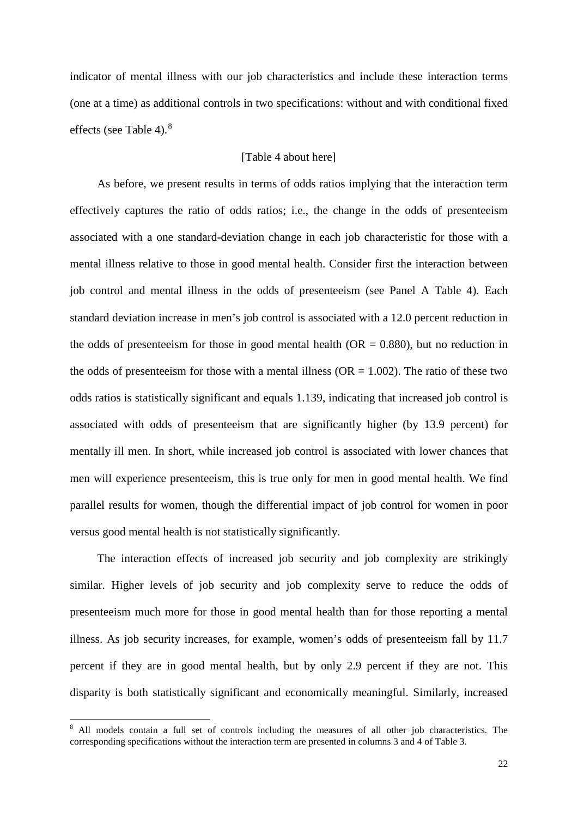indicator of mental illness with our job characteristics and include these interaction terms (one at a time) as additional controls in two specifications: without and with conditional fixed effects (see Table 4).<sup>[8](#page-23-0)</sup>

#### [Table 4 about here]

As before, we present results in terms of odds ratios implying that the interaction term effectively captures the ratio of odds ratios; i.e., the change in the odds of presenteeism associated with a one standard-deviation change in each job characteristic for those with a mental illness relative to those in good mental health. Consider first the interaction between job control and mental illness in the odds of presenteeism (see Panel A Table 4). Each standard deviation increase in men's job control is associated with a 12.0 percent reduction in the odds of presenteeism for those in good mental health ( $OR = 0.880$ ), but no reduction in the odds of presenteeism for those with a mental illness ( $OR = 1.002$ ). The ratio of these two odds ratios is statistically significant and equals 1.139, indicating that increased job control is associated with odds of presenteeism that are significantly higher (by 13.9 percent) for mentally ill men. In short, while increased job control is associated with lower chances that men will experience presenteeism, this is true only for men in good mental health. We find parallel results for women, though the differential impact of job control for women in poor versus good mental health is not statistically significantly.

The interaction effects of increased job security and job complexity are strikingly similar. Higher levels of job security and job complexity serve to reduce the odds of presenteeism much more for those in good mental health than for those reporting a mental illness. As job security increases, for example, women's odds of presenteeism fall by 11.7 percent if they are in good mental health, but by only 2.9 percent if they are not. This disparity is both statistically significant and economically meaningful. Similarly, increased

<span id="page-23-0"></span><sup>&</sup>lt;sup>8</sup> All models contain a full set of controls including the measures of all other job characteristics. The corresponding specifications without the interaction term are presented in columns 3 and 4 of Table 3.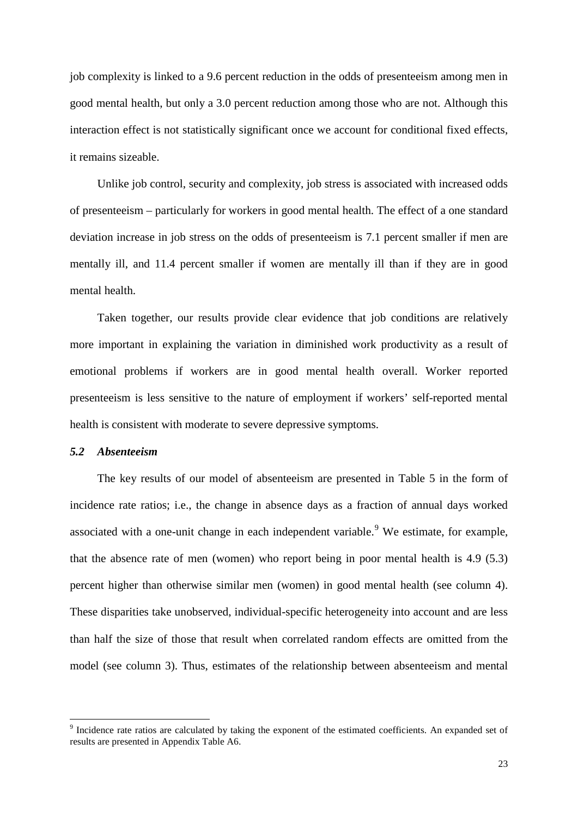job complexity is linked to a 9.6 percent reduction in the odds of presenteeism among men in good mental health, but only a 3.0 percent reduction among those who are not. Although this interaction effect is not statistically significant once we account for conditional fixed effects, it remains sizeable.

Unlike job control, security and complexity, job stress is associated with increased odds of presenteeism – particularly for workers in good mental health. The effect of a one standard deviation increase in job stress on the odds of presenteeism is 7.1 percent smaller if men are mentally ill, and 11.4 percent smaller if women are mentally ill than if they are in good mental health.

Taken together, our results provide clear evidence that job conditions are relatively more important in explaining the variation in diminished work productivity as a result of emotional problems if workers are in good mental health overall. Worker reported presenteeism is less sensitive to the nature of employment if workers' self-reported mental health is consistent with moderate to severe depressive symptoms.

#### *5.2 Absenteeism*

The key results of our model of absenteeism are presented in Table 5 in the form of incidence rate ratios; i.e., the change in absence days as a fraction of annual days worked associated with a one-unit change in each independent variable.<sup>[9](#page-24-0)</sup> We estimate, for example, that the absence rate of men (women) who report being in poor mental health is 4.9 (5.3) percent higher than otherwise similar men (women) in good mental health (see column 4). These disparities take unobserved, individual-specific heterogeneity into account and are less than half the size of those that result when correlated random effects are omitted from the model (see column 3). Thus, estimates of the relationship between absenteeism and mental

<span id="page-24-0"></span><sup>9</sup> Incidence rate ratios are calculated by taking the exponent of the estimated coefficients. An expanded set of results are presented in Appendix Table A6.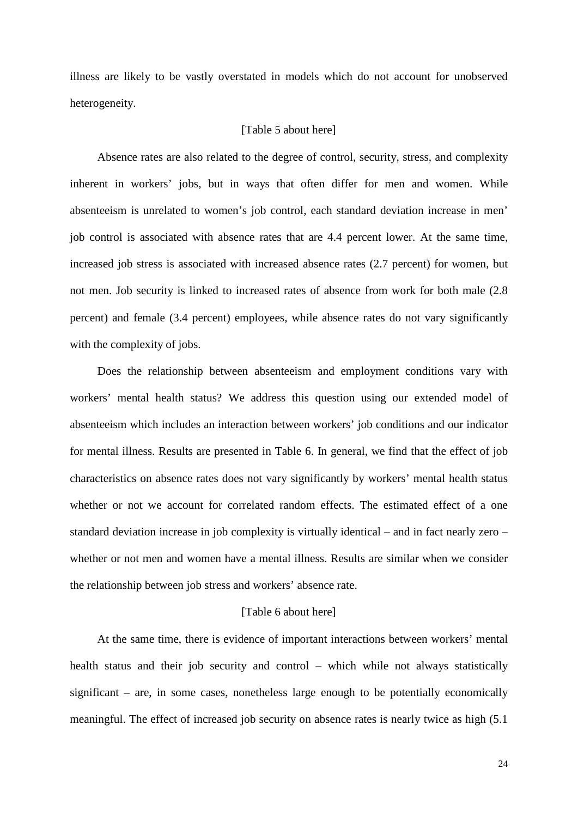illness are likely to be vastly overstated in models which do not account for unobserved heterogeneity.

#### [Table 5 about here]

Absence rates are also related to the degree of control, security, stress, and complexity inherent in workers' jobs, but in ways that often differ for men and women. While absenteeism is unrelated to women's job control, each standard deviation increase in men' job control is associated with absence rates that are 4.4 percent lower. At the same time, increased job stress is associated with increased absence rates (2.7 percent) for women, but not men. Job security is linked to increased rates of absence from work for both male (2.8 percent) and female (3.4 percent) employees, while absence rates do not vary significantly with the complexity of jobs.

Does the relationship between absenteeism and employment conditions vary with workers' mental health status? We address this question using our extended model of absenteeism which includes an interaction between workers' job conditions and our indicator for mental illness. Results are presented in Table 6. In general, we find that the effect of job characteristics on absence rates does not vary significantly by workers' mental health status whether or not we account for correlated random effects. The estimated effect of a one standard deviation increase in job complexity is virtually identical – and in fact nearly zero – whether or not men and women have a mental illness. Results are similar when we consider the relationship between job stress and workers' absence rate.

#### [Table 6 about here]

At the same time, there is evidence of important interactions between workers' mental health status and their job security and control – which while not always statistically significant – are, in some cases, nonetheless large enough to be potentially economically meaningful. The effect of increased job security on absence rates is nearly twice as high (5.1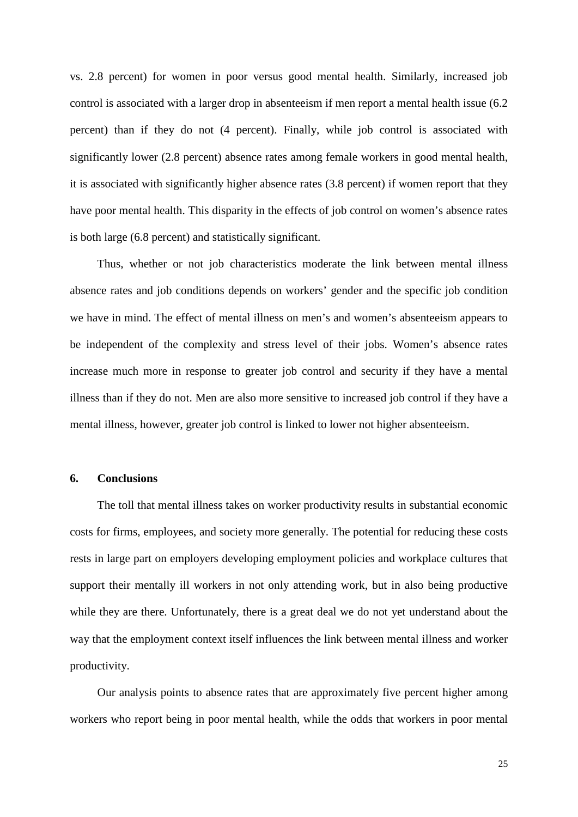vs. 2.8 percent) for women in poor versus good mental health. Similarly, increased job control is associated with a larger drop in absenteeism if men report a mental health issue (6.2 percent) than if they do not (4 percent). Finally, while job control is associated with significantly lower (2.8 percent) absence rates among female workers in good mental health, it is associated with significantly higher absence rates (3.8 percent) if women report that they have poor mental health. This disparity in the effects of job control on women's absence rates is both large (6.8 percent) and statistically significant.

Thus, whether or not job characteristics moderate the link between mental illness absence rates and job conditions depends on workers' gender and the specific job condition we have in mind. The effect of mental illness on men's and women's absenteeism appears to be independent of the complexity and stress level of their jobs. Women's absence rates increase much more in response to greater job control and security if they have a mental illness than if they do not. Men are also more sensitive to increased job control if they have a mental illness, however, greater job control is linked to lower not higher absenteeism.

#### **6. Conclusions**

The toll that mental illness takes on worker productivity results in substantial economic costs for firms, employees, and society more generally. The potential for reducing these costs rests in large part on employers developing employment policies and workplace cultures that support their mentally ill workers in not only attending work, but in also being productive while they are there. Unfortunately, there is a great deal we do not yet understand about the way that the employment context itself influences the link between mental illness and worker productivity.

Our analysis points to absence rates that are approximately five percent higher among workers who report being in poor mental health, while the odds that workers in poor mental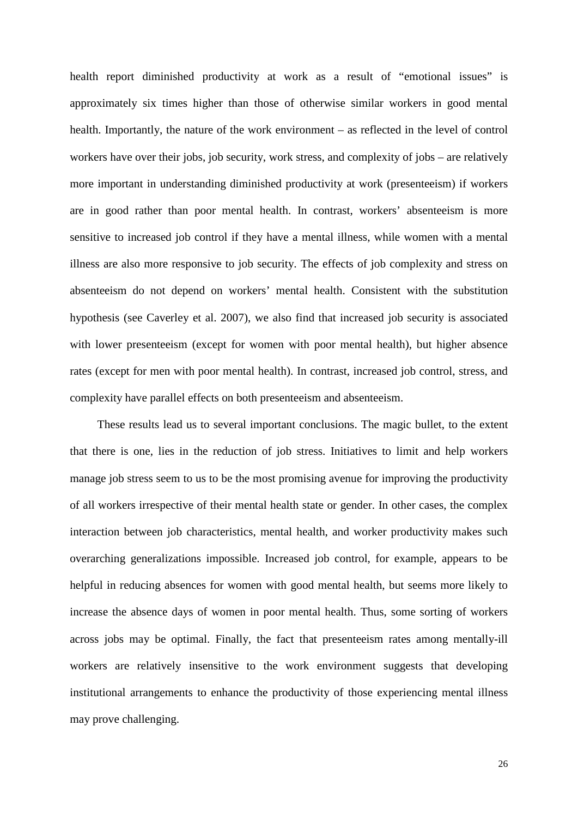health report diminished productivity at work as a result of "emotional issues" is approximately six times higher than those of otherwise similar workers in good mental health. Importantly, the nature of the work environment – as reflected in the level of control workers have over their jobs, job security, work stress, and complexity of jobs – are relatively more important in understanding diminished productivity at work (presenteeism) if workers are in good rather than poor mental health. In contrast, workers' absenteeism is more sensitive to increased job control if they have a mental illness, while women with a mental illness are also more responsive to job security. The effects of job complexity and stress on absenteeism do not depend on workers' mental health. Consistent with the substitution hypothesis (see Caverley et al. 2007), we also find that increased job security is associated with lower presenteeism (except for women with poor mental health), but higher absence rates (except for men with poor mental health). In contrast, increased job control, stress, and complexity have parallel effects on both presenteeism and absenteeism.

These results lead us to several important conclusions. The magic bullet, to the extent that there is one, lies in the reduction of job stress. Initiatives to limit and help workers manage job stress seem to us to be the most promising avenue for improving the productivity of all workers irrespective of their mental health state or gender. In other cases, the complex interaction between job characteristics, mental health, and worker productivity makes such overarching generalizations impossible. Increased job control, for example, appears to be helpful in reducing absences for women with good mental health, but seems more likely to increase the absence days of women in poor mental health. Thus, some sorting of workers across jobs may be optimal. Finally, the fact that presenteeism rates among mentally-ill workers are relatively insensitive to the work environment suggests that developing institutional arrangements to enhance the productivity of those experiencing mental illness may prove challenging.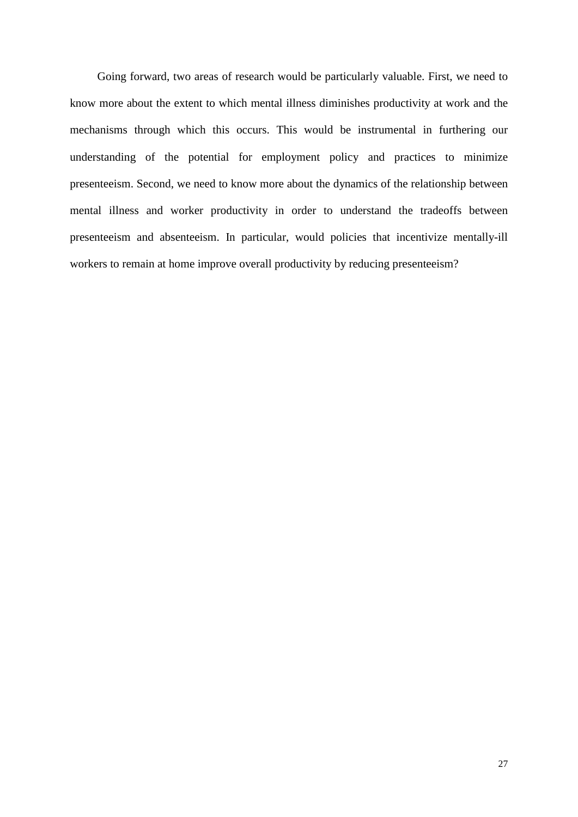Going forward, two areas of research would be particularly valuable. First, we need to know more about the extent to which mental illness diminishes productivity at work and the mechanisms through which this occurs. This would be instrumental in furthering our understanding of the potential for employment policy and practices to minimize presenteeism. Second, we need to know more about the dynamics of the relationship between mental illness and worker productivity in order to understand the tradeoffs between presenteeism and absenteeism. In particular, would policies that incentivize mentally-ill workers to remain at home improve overall productivity by reducing presenteeism?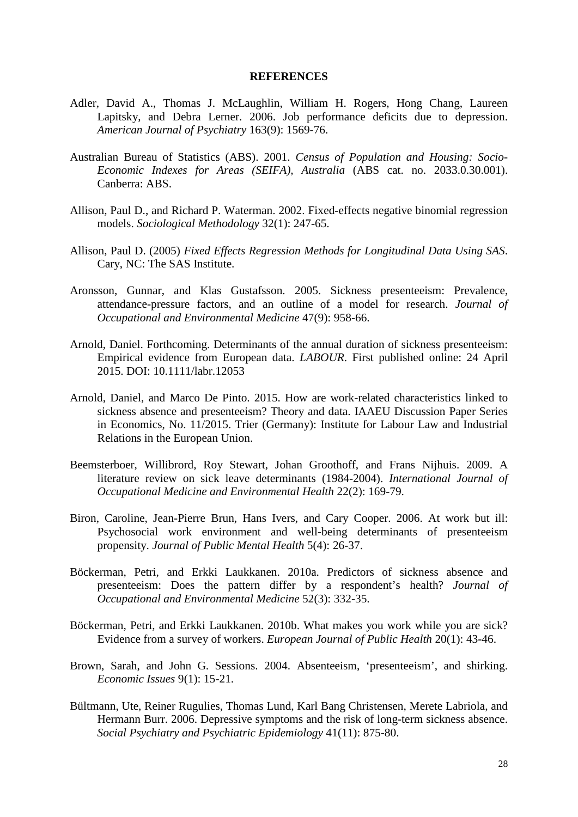#### **REFERENCES**

- Adler, David A., Thomas J. McLaughlin, William H. Rogers, Hong Chang, Laureen Lapitsky, and Debra Lerner. 2006. Job performance deficits due to depression. *American Journal of Psychiatry* 163(9): 1569-76.
- Australian Bureau of Statistics (ABS). 2001. *Census of Population and Housing: Socio-Economic Indexes for Areas (SEIFA), Australia* (ABS cat. no. 2033.0.30.001). Canberra: ABS.
- Allison, Paul D., and Richard P. Waterman. 2002. Fixed-effects negative binomial regression models. *Sociological Methodology* 32(1): 247-65.
- Allison, Paul D. (2005) *[Fixed Effects Regression Methods for Longitudinal Data Using SAS](http://statisticalhorizons.com/resources/books)*. Cary, NC: The SAS Institute.
- Aronsson, Gunnar, and Klas Gustafsson. 2005. Sickness presenteeism: Prevalence, attendance-pressure factors, and an outline of a model for research. *Journal of Occupational and Environmental Medicine* 47(9): 958-66.
- Arnold, Daniel. Forthcoming. Determinants of the annual duration of sickness presenteeism: Empirical evidence from European data. *LABOUR*. First published online: 24 April 2015. DOI: 10.1111/labr. 12053.
- Arnold, Daniel, and Marco De Pinto. 2015. How are work-related characteristics linked to sickness absence and presenteeism? Theory and data. IAAEU Discussion Paper Series in Economics, No. 11/2015. Trier (Germany): Institute for Labour Law and Industrial Relations in the European Union.
- Beemsterboer, Willibrord, Roy Stewart, Johan Groothoff, and Frans Nijhuis. 2009. A literature review on sick leave determinants (1984-2004). *International Journal of Occupational Medicine and Environmental Health* 22(2): 169-79.
- Biron, Caroline, Jean-Pierre Brun, Hans Ivers, and Cary Cooper. 2006. At work but ill: Psychosocial work environment and well-being determinants of presenteeism propensity. *Journal of Public Mental Health* 5(4): 26-37.
- Böckerman, Petri, and Erkki Laukkanen. 2010a. Predictors of sickness absence and presenteeism: Does the pattern differ by a respondent's health? *Journal of Occupational and Environmental Medicine* 52(3): 332-35.
- Böckerman, Petri, and Erkki Laukkanen. 2010b. What makes you work while you are sick? Evidence from a survey of workers. *European Journal of Public Health* 20(1): 43-46.
- Brown, Sarah, and John G. Sessions. 2004. Absenteeism, 'presenteeism', and shirking. *Economic Issues* 9(1): 15-21.
- Bültmann, Ute, Reiner Rugulies, Thomas Lund, Karl Bang Christensen, Merete Labriola, and Hermann Burr. 2006. Depressive symptoms and the risk of long-term sickness absence. *Social Psychiatry and Psychiatric Epidemiology* 41(11): 875-80.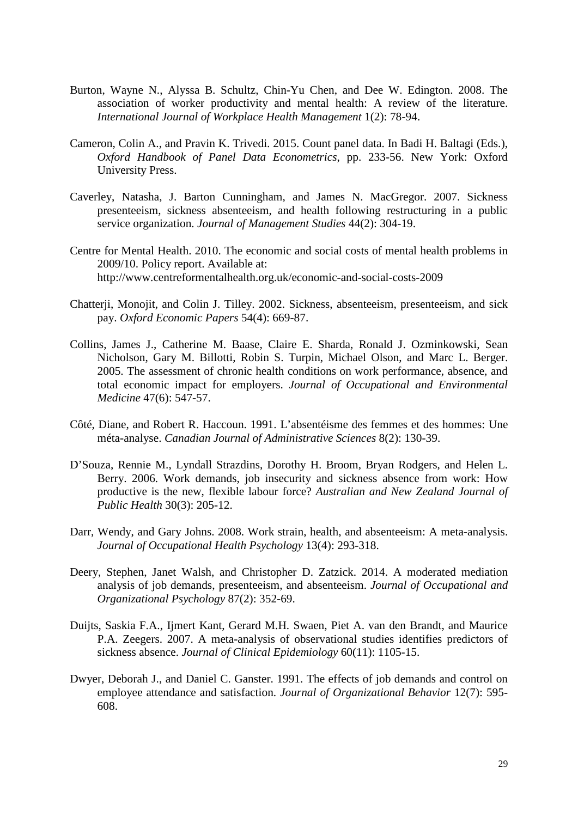- Burton, Wayne N., Alyssa B. Schultz, Chin-Yu Chen, and Dee W. Edington. 2008. The association of worker productivity and mental health: A review of the literature. *International Journal of Workplace Health Management* 1(2): 78-94.
- Cameron, Colin A., and Pravin K. Trivedi. 2015. Count panel data. In Badi H. Baltagi (Eds.), *Oxford Handbook of Panel Data Econometrics*, pp. 233-56. New York: Oxford University Press.
- Caverley, Natasha, J. Barton Cunningham, and James N. MacGregor. 2007. Sickness presenteeism, sickness absenteeism, and health following restructuring in a public service organization. *Journal of Management Studies* 44(2): 304-19.
- Centre for Mental Health. 2010. The economic and social costs of mental health problems in 2009/10. Policy report. Available at: http://www.centreformentalhealth.org.uk/economic-and-social-costs-2009
- Chatterji, Monojit, and Colin J. Tilley. 2002. Sickness, absenteeism, presenteeism, and sick pay. *Oxford Economic Papers* 54(4): 669-87.
- Collins, James J., Catherine M. Baase, Claire E. Sharda, Ronald J. Ozminkowski, Sean Nicholson, Gary M. Billotti, Robin S. Turpin, Michael Olson, and Marc L. Berger. 2005. The assessment of chronic health conditions on work performance, absence, and total economic impact for employers. *Journal of Occupational and Environmental Medicine* 47(6): 547-57.
- Côté, Diane, and Robert R. Haccoun. 1991. L'absentéisme des femmes et des hommes: Une méta-analyse. *Canadian Journal of Administrative Sciences* 8(2): 130-39.
- D'Souza, Rennie M., Lyndall Strazdins, Dorothy H. Broom, Bryan Rodgers, and Helen L. Berry. 2006. Work demands, job insecurity and sickness absence from work: How productive is the new, flexible labour force? *Australian and New Zealand Journal of Public Health* 30(3): 205-12.
- Darr, Wendy, and Gary Johns. 2008. Work strain, health, and absenteeism: A meta-analysis. *Journal of Occupational Health Psychology* 13(4): 293-318.
- Deery, Stephen, Janet Walsh, and Christopher D. Zatzick. 2014. A moderated mediation analysis of job demands, presenteeism, and absenteeism. *Journal of Occupational and Organizational Psychology* 87(2): 352-69.
- Duijts, Saskia F.A., Ijmert Kant, Gerard M.H. Swaen, Piet A. van den Brandt, and Maurice P.A. Zeegers. 2007. A meta-analysis of observational studies identifies predictors of sickness absence. *Journal of Clinical Epidemiology* 60(11): 1105-15.
- Dwyer, Deborah J., and Daniel C. Ganster. 1991. The effects of job demands and control on employee attendance and satisfaction. *Journal of Organizational Behavior* 12(7): 595- 608.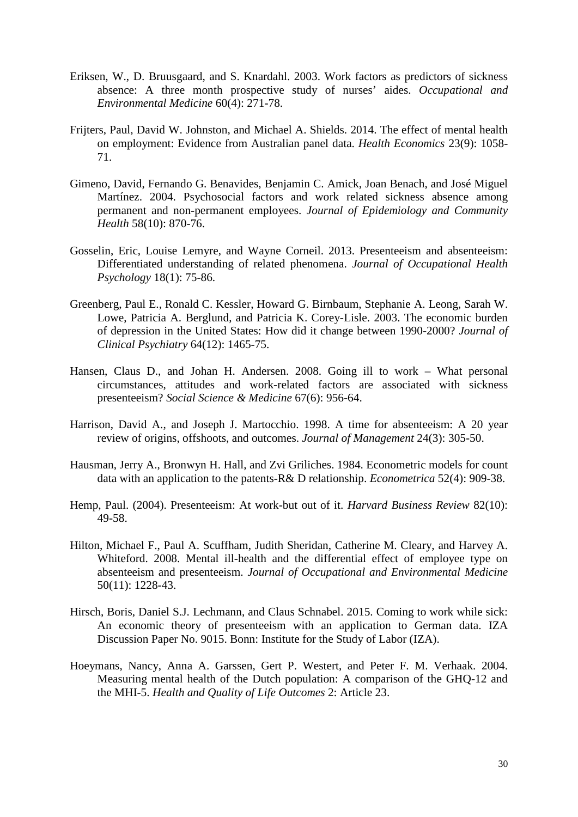- Eriksen, W., D. Bruusgaard, and S. Knardahl. 2003. Work factors as predictors of sickness absence: A three month prospective study of nurses' aides. *Occupational and Environmental Medicine* 60(4): 271-78.
- Frijters, Paul, David W. Johnston, and Michael A. Shields. 2014. The effect of mental health on employment: Evidence from Australian panel data. *Health Economics* 23(9): 1058- 71.
- Gimeno, David, Fernando G. Benavides, Benjamin C. Amick, Joan Benach, and José Miguel Martínez. 2004. Psychosocial factors and work related sickness absence among permanent and non-permanent employees. *Journal of Epidemiology and Community Health* 58(10): 870-76.
- Gosselin, Eric, Louise Lemyre, and Wayne Corneil. 2013. Presenteeism and absenteeism: Differentiated understanding of related phenomena. *Journal of Occupational Health Psychology* 18(1): 75-86.
- Greenberg, Paul E., Ronald C. Kessler, Howard G. Birnbaum, Stephanie A. Leong, Sarah W. Lowe, Patricia A. Berglund, and Patricia K. Corey-Lisle. 2003. The economic burden of depression in the United States: How did it change between 1990-2000? *Journal of Clinical Psychiatry* 64(12): 1465-75.
- Hansen, Claus D., and Johan H. Andersen. 2008. Going ill to work What personal circumstances, attitudes and work-related factors are associated with sickness presenteeism? *Social Science & Medicine* 67(6): 956-64.
- Harrison, David A., and Joseph J. Martocchio. 1998. A time for absenteeism: A 20 year review of origins, offshoots, and outcomes. *Journal of Management* 24(3): 305-50.
- Hausman, Jerry A., Bronwyn H. Hall, and Zvi Griliches. 1984. Econometric models for count data with an application to the patents-R& D relationship. *Econometrica* 52(4): 909-38.
- Hemp, Paul. (2004). Presenteeism: At work-but out of it. *Harvard Business Review* 82(10): 49-58.
- Hilton, Michael F., Paul A. Scuffham, Judith Sheridan, Catherine M. Cleary, and Harvey A. Whiteford. 2008. Mental ill-health and the differential effect of employee type on absenteeism and presenteeism. *Journal of Occupational and Environmental Medicine* 50(11): 1228-43.
- Hirsch, Boris, Daniel S.J. Lechmann, and Claus Schnabel. 2015. Coming to work while sick: An economic theory of presenteeism with an application to German data. IZA Discussion Paper No. 9015. Bonn: Institute for the Study of Labor (IZA).
- Hoeymans, Nancy, Anna A. Garssen, Gert P. Westert, and Peter F. M. Verhaak. 2004. Measuring mental health of the Dutch population: A comparison of the GHQ-12 and the MHI-5. *Health and Quality of Life Outcomes* 2: Article 23.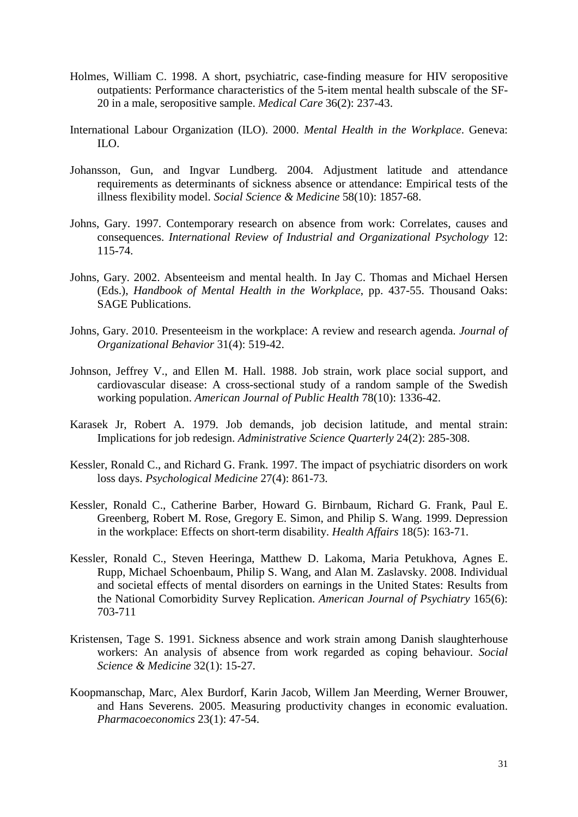- Holmes, William C. 1998. A short, psychiatric, case-finding measure for HIV seropositive outpatients: Performance characteristics of the 5-item mental health subscale of the SF-20 in a male, seropositive sample. *Medical Care* 36(2): 237-43.
- International Labour Organization (ILO). 2000. *Mental Health in the Workplace*. Geneva: ILO.
- Johansson, Gun, and Ingvar Lundberg. 2004. Adjustment latitude and attendance requirements as determinants of sickness absence or attendance: Empirical tests of the illness flexibility model. *Social Science & Medicine* 58(10): 1857-68.
- Johns, Gary. 1997. Contemporary research on absence from work: Correlates, causes and consequences. *International Review of Industrial and Organizational Psychology* 12: 115-74.
- Johns, Gary. 2002. Absenteeism and mental health. In Jay C. Thomas and Michael Hersen (Eds.), *Handbook of Mental Health in the Workplace*, pp. 437-55. Thousand Oaks: SAGE Publications.
- Johns, Gary. 2010. Presenteeism in the workplace: A review and research agenda. *Journal of Organizational Behavior* 31(4): 519-42.
- Johnson, Jeffrey V., and Ellen M. Hall. 1988. Job strain, work place social support, and cardiovascular disease: A cross-sectional study of a random sample of the Swedish working population. *American Journal of Public Health* 78(10): 1336-42.
- Karasek Jr, Robert A. 1979. Job demands, job decision latitude, and mental strain: Implications for job redesign. *Administrative Science Quarterly* 24(2): 285-308.
- Kessler, Ronald C., and Richard G. Frank. 1997. The impact of psychiatric disorders on work loss days. *Psychological Medicine* 27(4): 861-73.
- Kessler, Ronald C., Catherine Barber, Howard G. Birnbaum, Richard G. Frank, Paul E. Greenberg, Robert M. Rose, Gregory E. Simon, and Philip S. Wang. 1999. Depression in the workplace: Effects on short-term disability. *Health Affairs* 18(5): 163-71.
- Kessler, Ronald C., Steven Heeringa, Matthew D. Lakoma, Maria Petukhova, Agnes E. Rupp, Michael Schoenbaum, Philip S. Wang, and Alan M. Zaslavsky. 2008. Individual and societal effects of mental disorders on earnings in the United States: Results from the National Comorbidity Survey Replication. *American Journal of Psychiatry* 165(6): 703-711
- Kristensen, Tage S. 1991. Sickness absence and work strain among Danish slaughterhouse workers: An analysis of absence from work regarded as coping behaviour. *Social Science & Medicine* 32(1): 15-27.
- Koopmanschap, Marc, Alex Burdorf, Karin Jacob, Willem Jan Meerding, Werner Brouwer, and Hans Severens. 2005. Measuring productivity changes in economic evaluation. *Pharmacoeconomics* 23(1): 47-54.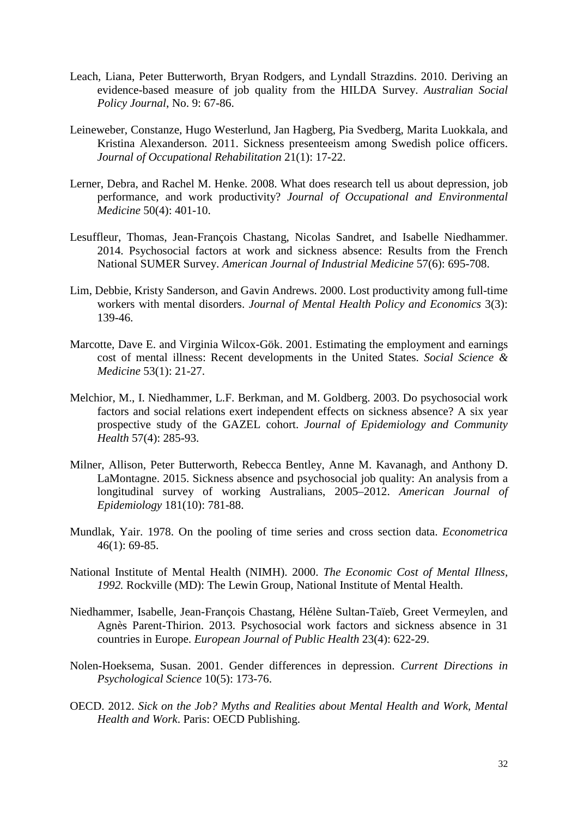- Leach, Liana, Peter Butterworth, Bryan Rodgers, and Lyndall Strazdins. 2010. Deriving an evidence-based measure of job quality from the HILDA Survey. *Australian Social Policy Journal*, No. 9: 67-86.
- Leineweber, Constanze, Hugo Westerlund, Jan Hagberg, Pia Svedberg, Marita Luokkala, and Kristina Alexanderson. 2011. Sickness presenteeism among Swedish police officers. *Journal of Occupational Rehabilitation* 21(1): 17-22.
- Lerner, Debra, and Rachel M. Henke. 2008. What does research tell us about depression, job performance, and work productivity? *Journal of Occupational and Environmental Medicine* 50(4): 401-10.
- Lesuffleur, Thomas, Jean-François Chastang, Nicolas Sandret, and Isabelle Niedhammer. 2014. Psychosocial factors at work and sickness absence: Results from the French National SUMER Survey. *American Journal of Industrial Medicine* 57(6): 695-708.
- Lim, Debbie, Kristy Sanderson, and Gavin Andrews. 2000. Lost productivity among full-time workers with mental disorders. *Journal of Mental Health Policy and Economics* 3(3): 139-46.
- Marcotte, Dave E. and Virginia Wilcox-Gök. 2001. Estimating the employment and earnings cost of mental illness: Recent developments in the United States. *Social Science & Medicine* 53(1): 21-27.
- Melchior, M., I. Niedhammer, L.F. Berkman, and M. Goldberg. 2003. Do psychosocial work factors and social relations exert independent effects on sickness absence? A six year prospective study of the GAZEL cohort. *Journal of Epidemiology and Community Health* 57(4): 285-93.
- Milner, Allison, Peter Butterworth, Rebecca Bentley, Anne M. Kavanagh, and Anthony D. LaMontagne. 2015. Sickness absence and psychosocial job quality: An analysis from a longitudinal survey of working Australians, 2005–2012. *American Journal of Epidemiology* 181(10): 781-88.
- Mundlak, Yair. 1978. On the pooling of time series and cross section data. *Econometrica* 46(1): 69-85.
- National Institute of Mental Health (NIMH). 2000. *The Economic Cost of Mental Illness, 1992.* Rockville (MD): The Lewin Group, National Institute of Mental Health.
- Niedhammer, Isabelle, Jean-François Chastang, Hélène Sultan-Taïeb, Greet Vermeylen, and Agnès Parent-Thirion. 2013. Psychosocial work factors and sickness absence in 31 countries in Europe. *European Journal of Public Health* 23(4): 622-29.
- Nolen-Hoeksema, Susan. 2001. Gender differences in depression. *Current Directions in Psychological Science* 10(5): 173-76.
- OECD. 2012. *Sick on the Job? Myths and Realities about Mental Health and Work, Mental Health and Work*. Paris: OECD Publishing.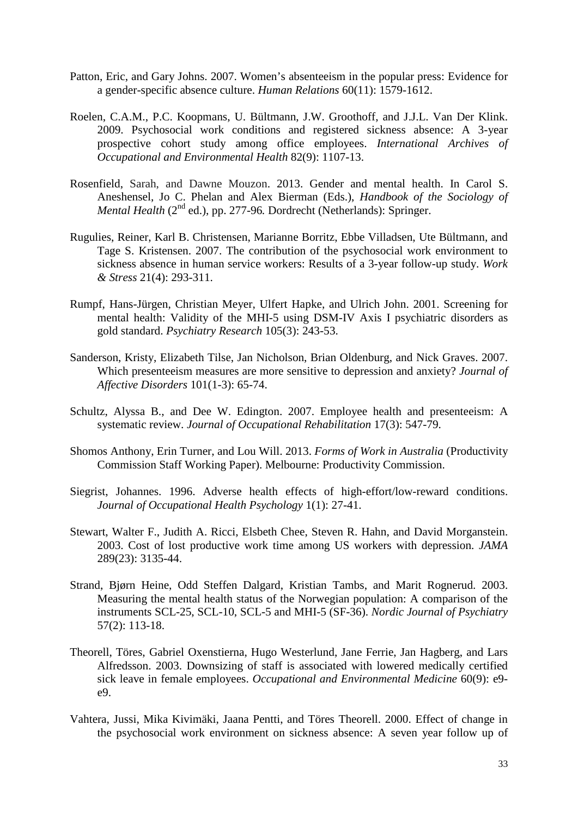- Patton, Eric, and Gary Johns. 2007. Women's absenteeism in the popular press: Evidence for a gender-specific absence culture. *Human Relations* 60(11): 1579-1612.
- Roelen, C.A.M., P.C. Koopmans, U. Bültmann, J.W. Groothoff, and J.J.L. Van Der Klink. 2009. Psychosocial work conditions and registered sickness absence: A 3-year prospective cohort study among office employees. *International Archives of Occupational and Environmental Health* 82(9): 1107-13.
- Rosenfield, Sarah, and Dawne Mouzon. 2013. Gender and mental health. In [Carol S.](http://link.springer.com/search?facet-creator=%22Carol+S.+Aneshensel%22)  [Aneshensel,](http://link.springer.com/search?facet-creator=%22Carol+S.+Aneshensel%22) Jo [C. Phelan](http://link.springer.com/search?facet-creator=%22Jo+C.+Phelan%22) and Alex [Bierman](http://link.springer.com/search?facet-creator=%22Alex+Bierman%22) (Eds.), *Handbook of the Sociology of Mental Health* (2<sup>nd</sup> ed.), pp. 277-96. Dordrecht (Netherlands): Springer.
- Rugulies, Reiner, Karl B. Christensen, Marianne Borritz, Ebbe Villadsen, Ute Bültmann, and Tage S. Kristensen. 2007. The contribution of the psychosocial work environment to sickness absence in human service workers: Results of a 3-year follow-up study. *Work & Stress* 21(4): 293-311.
- Rumpf, Hans-Jürgen, Christian Meyer, Ulfert Hapke, and Ulrich John. 2001. Screening for mental health: Validity of the MHI-5 using DSM-IV Axis I psychiatric disorders as gold standard. *Psychiatry Research* 105(3): 243-53.
- Sanderson, Kristy, Elizabeth Tilse, Jan Nicholson, Brian Oldenburg, and Nick Graves. 2007. Which presenteeism measures are more sensitive to depression and anxiety? *Journal of Affective Disorders* 101(1-3): 65-74.
- Schultz, Alyssa B., and Dee W. Edington. 2007. Employee health and presenteeism: A systematic review. *Journal of Occupational Rehabilitation* 17(3): 547-79.
- Shomos Anthony, Erin Turner, and Lou Will. 2013. *Forms of Work in Australia* (Productivity Commission Staff Working Paper). Melbourne: Productivity Commission.
- Siegrist, Johannes. 1996. Adverse health effects of high-effort/low-reward conditions. *Journal of Occupational Health Psychology* 1(1): 27-41.
- Stewart, Walter F., Judith A. Ricci, Elsbeth Chee, Steven R. Hahn, and David Morganstein. 2003. Cost of lost productive work time among US workers with depression. *JAMA* 289(23): 3135-44.
- Strand, Bjørn Heine, Odd Steffen Dalgard, Kristian Tambs, and Marit Rognerud. 2003. Measuring the mental health status of the Norwegian population: A comparison of the instruments SCL-25, SCL-10, SCL-5 and MHI-5 (SF-36). *Nordic Journal of Psychiatry* 57(2): 113-18.
- Theorell, Töres, Gabriel Oxenstierna, Hugo Westerlund, Jane Ferrie, Jan Hagberg, and Lars Alfredsson. 2003. Downsizing of staff is associated with lowered medically certified sick leave in female employees. *Occupational and Environmental Medicine* 60(9): e9 e9.
- Vahtera, Jussi, Mika Kivimäki, Jaana Pentti, and Töres Theorell. 2000. Effect of change in the psychosocial work environment on sickness absence: A seven year follow up of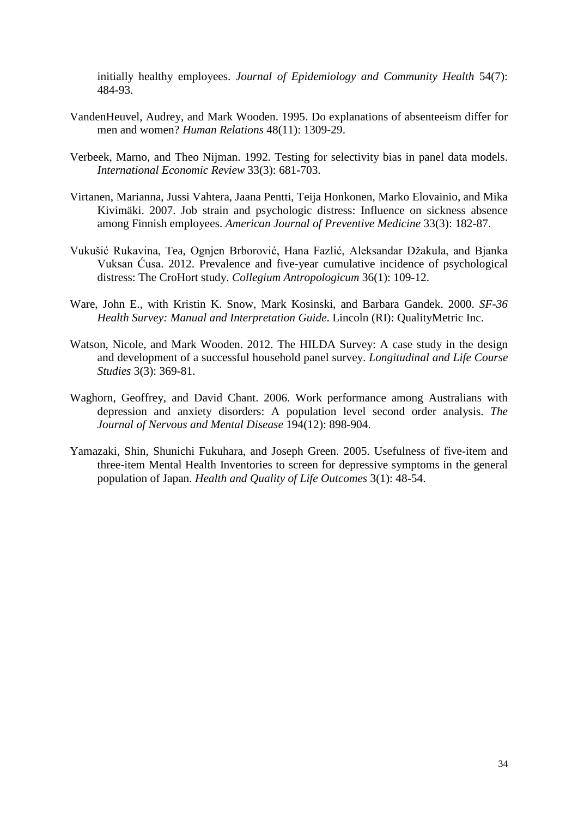initially healthy employees. *Journal of Epidemiology and Community Health* 54(7): 484-93.

- VandenHeuvel, Audrey, and Mark Wooden. 1995. Do explanations of absenteeism differ for men and women? *Human Relations* 48(11): 1309-29.
- Verbeek, Marno, and Theo Nijman. 1992. Testing for selectivity bias in panel data models. *International Economic Review* 33(3): 681-703.
- Virtanen, Marianna, Jussi Vahtera, Jaana Pentti, Teija Honkonen, Marko Elovainio, and Mika Kivimäki. 2007. Job strain and psychologic distress: Influence on sickness absence among Finnish employees. *American Journal of Preventive Medicine* 33(3): 182-87.
- Vukušić Rukavina, Tea, Ognjen Brborović, Hana Fazlić, Aleksandar Džakula, and Bjanka Vuksan Ćusa. 2012. Prevalence and five-year cumulative incidence of psychological distress: The CroHort study. *Collegium Antropologicum* 36(1): 109-12.
- Ware, John E., with Kristin K. Snow, Mark Kosinski, and Barbara Gandek. 2000. *SF-36 Health Survey: Manual and Interpretation Guide*. Lincoln (RI): QualityMetric Inc.
- Watson, Nicole, and Mark Wooden. 2012. The HILDA Survey: A case study in the design and development of a successful household panel survey. *Longitudinal and Life Course Studies* 3(3): 369-81.
- Waghorn, Geoffrey, and David Chant. 2006. Work performance among Australians with depression and anxiety disorders: A population level second order analysis. *The Journal of Nervous and Mental Disease* 194(12): 898-904.
- Yamazaki, Shin, Shunichi Fukuhara, and Joseph Green. 2005. Usefulness of five-item and three-item Mental Health Inventories to screen for depressive symptoms in the general population of Japan. *Health and Quality of Life Outcomes* 3(1): 48-54.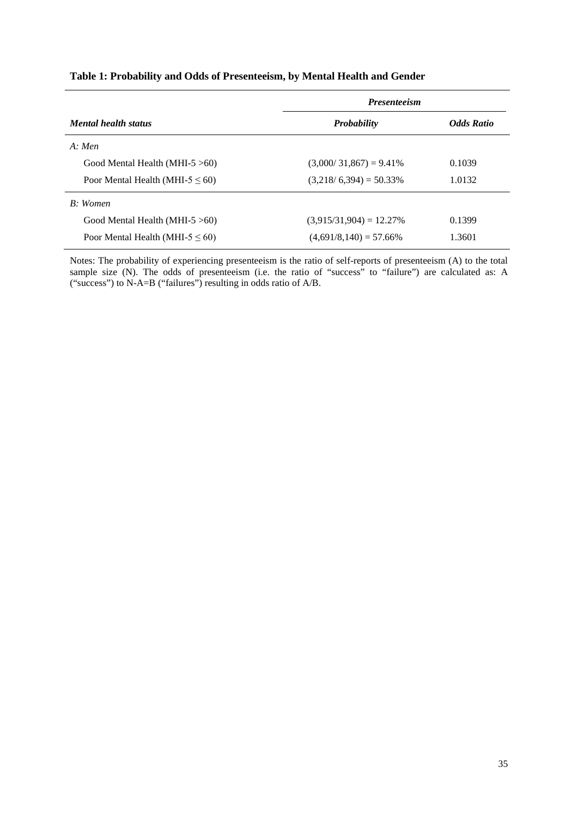|                                       | <i><b>Presenteeism</b></i> |                   |  |
|---------------------------------------|----------------------------|-------------------|--|
| <b>Mental health status</b>           | <b>Probability</b>         | <b>Odds Ratio</b> |  |
| A: Men                                |                            |                   |  |
| Good Mental Health (MHI- $5 > 60$ )   | $(3,000/31,867) = 9.41\%$  | 0.1039            |  |
| Poor Mental Health (MHI- $5 \le 60$ ) | $(3,218/6,394) = 50.33\%$  | 1.0132            |  |
| R: Women                              |                            |                   |  |
| Good Mental Health (MHI- $5 > 60$ )   | $(3,915/31,904) = 12.27\%$ | 0.1399            |  |
| Poor Mental Health (MHI- $5 \le 60$ ) | $(4,691/8,140) = 57.66\%$  | 1.3601            |  |

## **Table 1: Probability and Odds of Presenteeism, by Mental Health and Gender**

Notes: The probability of experiencing presenteeism is the ratio of self-reports of presenteeism (A) to the total sample size (N). The odds of presenteeism (i.e. the ratio of "success" to "failure") are calculated as: A ("success") to N-A=B ("failures") resulting in odds ratio of A/B.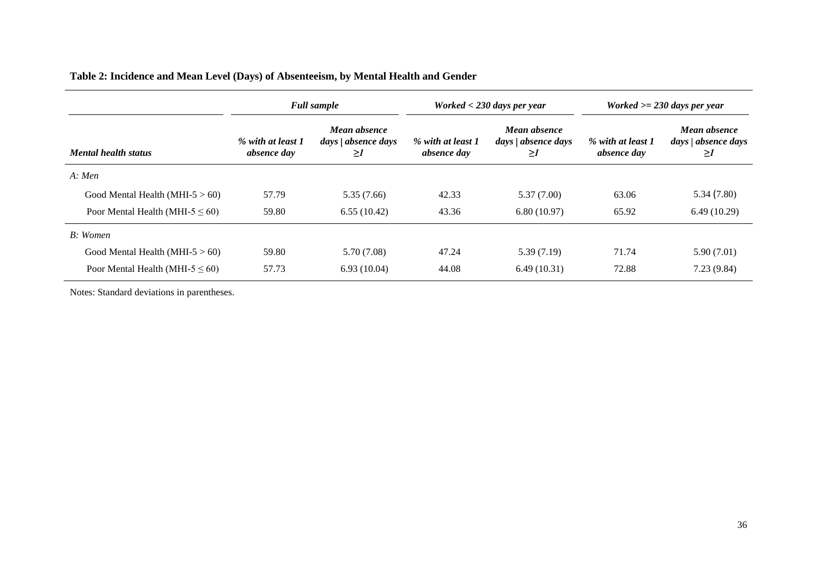|  |  | Table 2: Incidence and Mean Level (Days) of Absenteeism, by Mental Health and Gender |
|--|--|--------------------------------------------------------------------------------------|
|--|--|--------------------------------------------------------------------------------------|

|                                       |                                         | <b>Full sample</b>                              | Worked $<$ 230 days per year            |                                                       | Worked $\geq$ 230 days per year         |                                                 |  |
|---------------------------------------|-----------------------------------------|-------------------------------------------------|-----------------------------------------|-------------------------------------------------------|-----------------------------------------|-------------------------------------------------|--|
| <b>Mental health status</b>           | % with at least 1<br><i>absence day</i> | Mean absence<br>days   absence days<br>$\geq l$ | % with at least 1<br><i>absence day</i> | Mean absence<br>$days \mid absence \; days$<br>$\geq$ | % with at least 1<br><i>absence day</i> | Mean absence<br>days   absence days<br>$\geq l$ |  |
| A: Men                                |                                         |                                                 |                                         |                                                       |                                         |                                                 |  |
| Good Mental Health (MHI- $5 > 60$ )   | 57.79                                   | 5.35(7.66)                                      | 42.33                                   | 5.37(7.00)                                            | 63.06                                   | 5.34(7.80)                                      |  |
| Poor Mental Health (MHI- $5 \le 60$ ) | 59.80                                   | 6.55(10.42)                                     | 43.36                                   | 6.80(10.97)                                           | 65.92                                   | 6.49(10.29)                                     |  |
| B: Women                              |                                         |                                                 |                                         |                                                       |                                         |                                                 |  |
| Good Mental Health (MHI- $5 > 60$ )   | 59.80                                   | 5.70(7.08)                                      | 47.24                                   | 5.39(7.19)                                            | 71.74                                   | 5.90(7.01)                                      |  |
| Poor Mental Health (MHI- $5 \le 60$ ) | 57.73                                   | 6.93(10.04)                                     | 44.08                                   | 6.49(10.31)                                           | 72.88                                   | 7.23(9.84)                                      |  |

Notes: Standard deviations in parentheses.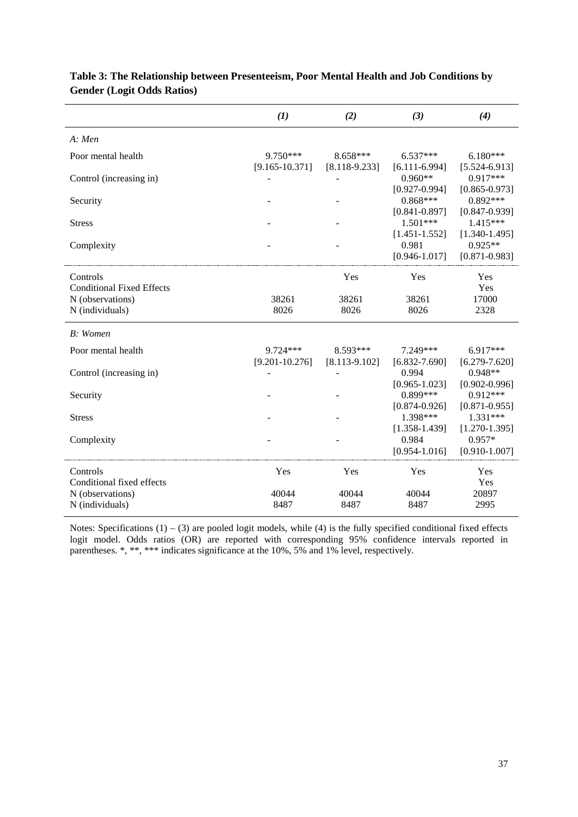|                                     | (1)                | (2)               | (3)                             | (4)                             |
|-------------------------------------|--------------------|-------------------|---------------------------------|---------------------------------|
| A: Men                              |                    |                   |                                 |                                 |
| Poor mental health                  | $9.750***$         | $8.658***$        | $6.537***$                      | $6.180***$                      |
|                                     | $[9.165 - 10.371]$ | $[8.118 - 9.233]$ | $[6.111 - 6.994]$               | $[5.524 - 6.913]$               |
| Control (increasing in)             |                    |                   | $0.960**$                       | $0.917***$                      |
| Security                            |                    |                   | $[0.927 - 0.994]$<br>$0.868***$ | $[0.865 - 0.973]$<br>$0.892***$ |
|                                     |                    |                   | $[0.841 - 0.897]$               | $[0.847 - 0.939]$               |
| <b>Stress</b>                       |                    |                   | 1.501***                        | 1.415***                        |
|                                     |                    |                   | $[1.451 - 1.552]$               | $[1.340 - 1.495]$               |
| Complexity                          |                    |                   | 0.981                           | $0.925**$                       |
|                                     |                    |                   | $[0.946 - 1.017]$               | $[0.871 - 0.983]$               |
| Controls                            |                    | Yes               | Yes                             | Yes                             |
| <b>Conditional Fixed Effects</b>    |                    |                   |                                 | Yes                             |
| N (observations)                    | 38261              | 38261             | 38261                           | 17000                           |
| N (individuals)                     | 8026               | 8026              | 8026                            | 2328                            |
| B: Women                            |                    |                   |                                 |                                 |
| Poor mental health                  | 9.724***           | 8.593***          | $7.249***$                      | 6.917***                        |
|                                     | $[9.201 - 10.276]$ | $[8.113 - 9.102]$ | $[6.832 - 7.690]$               | $[6.279 - 7.620]$               |
| Control (increasing in)             |                    |                   | 0.994                           | $0.948**$                       |
|                                     |                    |                   | $[0.965 - 1.023]$               | $[0.902 - 0.996]$               |
| Security                            |                    |                   | $0.899***$                      | $0.912***$                      |
| <b>Stress</b>                       |                    |                   | $[0.874 - 0.926]$<br>1.398***   | $[0.871 - 0.955]$<br>$1.331***$ |
|                                     |                    |                   | $[1.358 - 1.439]$               | $[1.270 - 1.395]$               |
| Complexity                          |                    |                   | 0.984                           | $0.957*$                        |
|                                     |                    |                   | $[0.954 - 1.016]$               | $[0.910 - 1.007]$               |
|                                     |                    |                   |                                 |                                 |
| Controls                            | Yes                | Yes               | Yes                             | Yes                             |
| Conditional fixed effects           | 40044              | 40044             | 40044                           | Yes<br>20897                    |
| N (observations)<br>N (individuals) | 8487               | 8487              | 8487                            | 2995                            |
|                                     |                    |                   |                                 |                                 |

#### **Table 3: The Relationship between Presenteeism, Poor Mental Health and Job Conditions by Gender (Logit Odds Ratios)**

Notes: Specifications  $(1) - (3)$  are pooled logit models, while  $(4)$  is the fully specified conditional fixed effects logit model. Odds ratios (OR) are reported with corresponding 95% confidence intervals reported in parentheses. \*, \*\*, \*\*\* indicates significance at the 10%, 5% and 1% level, respectively.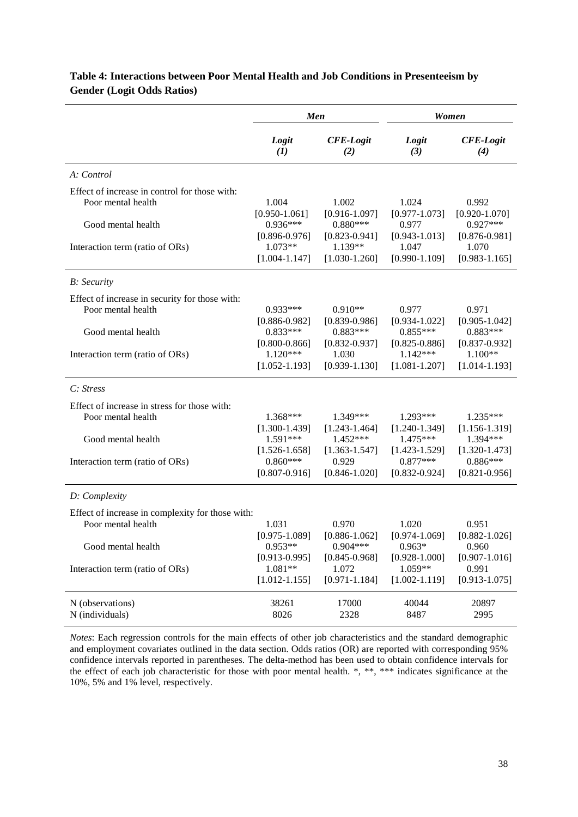|                                                                        | Men               |                   | Women             |                   |  |
|------------------------------------------------------------------------|-------------------|-------------------|-------------------|-------------------|--|
|                                                                        | Logit             | <b>CFE-Logit</b>  | Logit             | <b>CFE-Logit</b>  |  |
|                                                                        | $\mathcal{L}(I)$  | (2)               | (3)               | (4)               |  |
| A: Control                                                             |                   |                   |                   |                   |  |
| Effect of increase in control for those with:                          | 1.004             | 1.002             | 1.024             | 0.992             |  |
| Poor mental health                                                     | $[0.950 - 1.061]$ | $[0.916 - 1.097]$ | $[0.977 - 1.073]$ | $[0.920 - 1.070]$ |  |
| Good mental health                                                     | $0.936***$        | $0.880***$        | 0.977             | $0.927***$        |  |
| Interaction term (ratio of ORs)                                        | $[0.896 - 0.976]$ | $[0.823 - 0.941]$ | $[0.943 - 1.013]$ | $[0.876 - 0.981]$ |  |
|                                                                        | $1.073**$         | 1.139**           | 1.047             | 1.070             |  |
|                                                                        | $[1.004 - 1.147]$ | $[1.030 - 1.260]$ | $[0.990 - 1.109]$ | $[0.983 - 1.165]$ |  |
| <b>B</b> : Security                                                    |                   |                   |                   |                   |  |
| Effect of increase in security for those with:<br>Poor mental health   | $0.933***$        | $0.910**$         | 0.977             | 0.971             |  |
| Good mental health                                                     | $[0.886 - 0.982]$ | $[0.839 - 0.986]$ | $[0.934 - 1.022]$ | $[0.905 - 1.042]$ |  |
|                                                                        | $0.833***$        | $0.883***$        | $0.855***$        | $0.883***$        |  |
| Interaction term (ratio of ORs)                                        | $[0.800 - 0.866]$ | $[0.832 - 0.937]$ | $[0.825 - 0.886]$ | $[0.837 - 0.932]$ |  |
|                                                                        | $1.120***$        | 1.030             | $1.142***$        | 1.100**           |  |
|                                                                        | $[1.052 - 1.193]$ | $[0.939 - 1.130]$ | $[1.081 - 1.207]$ | $[1.014 - 1.193]$ |  |
| C: Stress                                                              |                   |                   |                   |                   |  |
| Effect of increase in stress for those with:<br>Poor mental health     | 1.368***          | 1.349***          | $1.293***$        | $1.235***$        |  |
| Good mental health                                                     | $[1.300 - 1.439]$ | $[1.243 - 1.464]$ | $[1.240 - 1.349]$ | $[1.156 - 1.319]$ |  |
|                                                                        | 1.591***          | 1.452***          | 1.475***          | 1.394***          |  |
| Interaction term (ratio of ORs)                                        | $[1.526 - 1.658]$ | $[1.363 - 1.547]$ | $[1.423 - 1.529]$ | $[1.320 - 1.473]$ |  |
|                                                                        | $0.860***$        | 0.929             | $0.877***$        | $0.886***$        |  |
|                                                                        | $[0.807 - 0.916]$ | $[0.846 - 1.020]$ | $[0.832 - 0.924]$ | $[0.821 - 0.956]$ |  |
| D: Complexity                                                          |                   |                   |                   |                   |  |
| Effect of increase in complexity for those with:<br>Poor mental health | 1.031             | 0.970             | 1.020             | 0.951             |  |
| Good mental health                                                     | $[0.975 - 1.089]$ | $[0.886 - 1.062]$ | $[0.974 - 1.069]$ | $[0.882 - 1.026]$ |  |
|                                                                        | $0.953**$         | $0.904***$        | $0.963*$          | 0.960             |  |
| Interaction term (ratio of ORs)                                        | $[0.913 - 0.995]$ | $[0.845 - 0.968]$ | $[0.928 - 1.000]$ | $[0.907 - 1.016]$ |  |
|                                                                        | 1.081**           | 1.072             | $1.059**$         | 0.991             |  |
|                                                                        | $[1.012 - 1.155]$ | $[0.971 - 1.184]$ | $[1.002 - 1.119]$ | $[0.913 - 1.075]$ |  |
| N (observations)                                                       | 38261             | 17000             | 40044             | 20897             |  |
| N (individuals)                                                        | 8026              | 2328              | 8487              | 2995              |  |

#### **Table 4: Interactions between Poor Mental Health and Job Conditions in Presenteeism by Gender (Logit Odds Ratios)**

*Notes*: Each regression controls for the main effects of other job characteristics and the standard demographic and employment covariates outlined in the data section. Odds ratios (OR) are reported with corresponding 95% confidence intervals reported in parentheses. The delta-method has been used to obtain confidence intervals for the effect of each job characteristic for those with poor mental health. \*, \*\*, \*\*\* indicates significance at the 10%, 5% and 1% level, respectively.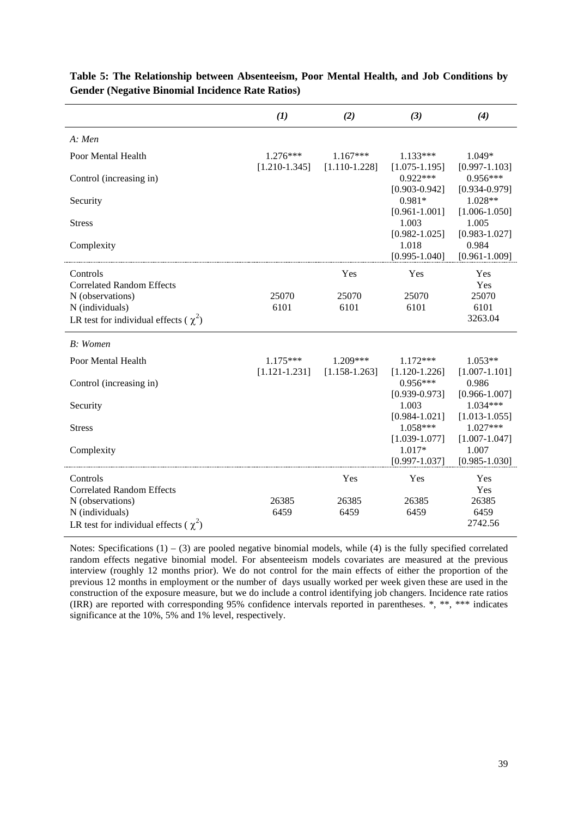|                                              | (1)               | (2)               | (3)                                                  | (4)                                               |
|----------------------------------------------|-------------------|-------------------|------------------------------------------------------|---------------------------------------------------|
| A: Men                                       |                   |                   |                                                      |                                                   |
| Poor Mental Health                           | $1.276***$        | $1.167***$        | $1.133***$                                           | 1.049*                                            |
| Control (increasing in)                      | $[1.210-1.345]$   | $[1.110 - 1.228]$ | $[1.075 - 1.195]$<br>$0.922***$                      | $[0.997 - 1.103]$<br>$0.956***$                   |
| Security                                     |                   |                   | $[0.903 - 0.942]$<br>$0.981*$<br>$[0.961 - 1.001]$   | $[0.934 - 0.979]$<br>1.028**<br>$[1.006 - 1.050]$ |
| <b>Stress</b>                                |                   |                   | 1.003                                                | 1.005                                             |
| Complexity                                   |                   |                   | $[0.982 - 1.025]$<br>1.018<br>$[0.995 - 1.040]$      | $[0.983 - 1.027]$<br>0.984<br>$[0.961 - 1.009]$   |
| Controls<br><b>Correlated Random Effects</b> |                   | Yes               | Yes                                                  | Yes<br>Yes                                        |
| N (observations)                             | 25070             | 25070             | 25070                                                | 25070                                             |
| N (individuals)                              | 6101              | 6101              | 6101                                                 | 6101                                              |
| LR test for individual effects ( $\chi^2$ )  |                   |                   |                                                      | 3263.04                                           |
| B: Women                                     |                   |                   |                                                      |                                                   |
| Poor Mental Health                           | $1.175***$        | $1.209***$        | $1.172***$                                           | $1.053**$                                         |
| Control (increasing in)                      | $[1.121 - 1.231]$ | $[1.158 - 1.263]$ | $[1.120 - 1.226]$<br>$0.956***$<br>$[0.939 - 0.973]$ | $[1.007 - 1.101]$<br>0.986<br>$[0.966 - 1.007]$   |
| Security                                     |                   |                   | 1.003                                                | $1.034***$                                        |
| <b>Stress</b>                                |                   |                   | $[0.984 - 1.021]$<br>1.058***                        | $[1.013 - 1.055]$<br>$1.027***$                   |
| Complexity                                   |                   |                   | $[1.039 - 1.077]$<br>1.017*<br>$[0.997 - 1.037]$     | $[1.007 - 1.047]$<br>1.007<br>$[0.985 - 1.030]$   |
| Controls<br><b>Correlated Random Effects</b> |                   | Yes               | Yes                                                  | Yes<br>Yes                                        |
| N (observations)                             | 26385             | 26385             | 26385                                                | 26385                                             |
| N (individuals)                              | 6459              | 6459              | 6459                                                 | 6459                                              |
| LR test for individual effects ( $\chi^2$ )  |                   |                   |                                                      | 2742.56                                           |

**Table 5: The Relationship between Absenteeism, Poor Mental Health, and Job Conditions by Gender (Negative Binomial Incidence Rate Ratios)**

Notes: Specifications  $(1) - (3)$  are pooled negative binomial models, while (4) is the fully specified correlated random effects negative binomial model. For absenteeism models covariates are measured at the previous interview (roughly 12 months prior). We do not control for the main effects of either the proportion of the previous 12 months in employment or the number of days usually worked per week given these are used in the construction of the exposure measure, but we do include a control identifying job changers. Incidence rate ratios (IRR) are reported with corresponding 95% confidence intervals reported in parentheses. \*, \*\*, \*\*\* indicates significance at the 10%, 5% and 1% level, respectively.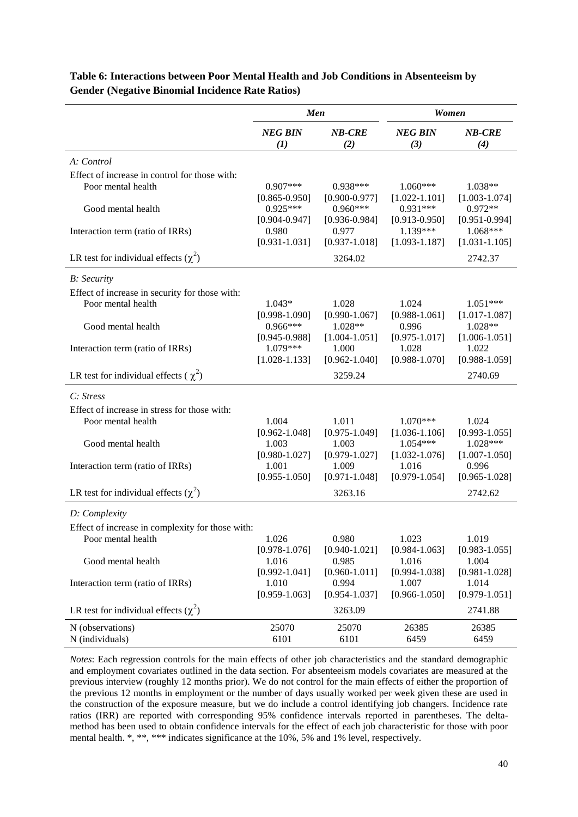|                                                  | Men                            |                            | <b>Women</b>                  |                                 |
|--------------------------------------------------|--------------------------------|----------------------------|-------------------------------|---------------------------------|
|                                                  | <b>NEG BIN</b><br>$\mathbf{U}$ | <b>NB-CRE</b><br>(2)       | <b>NEG BIN</b><br>(3)         | $NB-CRE$<br>(4)                 |
| A: Control                                       |                                |                            |                               |                                 |
| Effect of increase in control for those with:    |                                |                            |                               |                                 |
| Poor mental health                               | $0.907***$                     | $0.938***$                 | 1.060***                      | 1.038**                         |
|                                                  | $[0.865 - 0.950]$              | $[0.900 - 0.977]$          | $[1.022 - 1.101]$             | $[1.003 - 1.074]$               |
| Good mental health                               | $0.925***$                     | $0.960***$                 | $0.931***$                    | $0.972**$                       |
|                                                  | $[0.904 - 0.947]$              | $[0.936 - 0.984]$          | $[0.913 - 0.950]$             | $[0.951 - 0.994]$<br>$1.068***$ |
| Interaction term (ratio of IRRs)                 | 0.980<br>$[0.931 - 1.031]$     | 0.977<br>$[0.937 - 1.018]$ | 1.139***<br>$[1.093 - 1.187]$ | $[1.031 - 1.105]$               |
|                                                  |                                |                            |                               |                                 |
| LR test for individual effects $(\chi^2)$        |                                | 3264.02                    |                               | 2742.37                         |
| <b>B</b> : Security                              |                                |                            |                               |                                 |
| Effect of increase in security for those with:   |                                |                            |                               |                                 |
| Poor mental health                               | $1.043*$                       | 1.028                      | 1.024                         | $1.051***$                      |
|                                                  | $[0.998 - 1.090]$              | $[0.990 - 1.067]$          | $[0.988 - 1.061]$             | $[1.017 - 1.087]$               |
| Good mental health                               | $0.966***$                     | $1.028**$                  | 0.996                         | 1.028**                         |
|                                                  | $[0.945 - 0.988]$              | $[1.004 - 1.051]$          | $[0.975 - 1.017]$             | $[1.006 - 1.051]$               |
| Interaction term (ratio of IRRs)                 | 1.079***                       | 1.000                      | 1.028                         | 1.022                           |
|                                                  | $[1.028 - 1.133]$              | $[0.962 - 1.040]$          | $[0.988 - 1.070]$             | $[0.988 - 1.059]$               |
| LR test for individual effects ( $\chi^2$ )      |                                | 3259.24                    |                               | 2740.69                         |
| C: Stress                                        |                                |                            |                               |                                 |
| Effect of increase in stress for those with:     |                                |                            |                               |                                 |
| Poor mental health                               | 1.004                          | 1.011                      | $1.070***$                    | 1.024                           |
|                                                  | $[0.962 - 1.048]$              | $[0.975 - 1.049]$          | $[1.036 - 1.106]$             | $[0.993 - 1.055]$               |
| Good mental health                               | 1.003                          | 1.003                      | 1.054***                      | 1.028***                        |
|                                                  | $[0.980 - 1.027]$              | $[0.979 - 1.027]$          | $[1.032 - 1.076]$             | $[1.007 - 1.050]$               |
| Interaction term (ratio of IRRs)                 | 1.001                          | 1.009                      | 1.016                         | 0.996                           |
|                                                  | $[0.955 - 1.050]$              | $[0.971 - 1.048]$          | $[0.979 - 1.054]$             | $[0.965 - 1.028]$               |
| LR test for individual effects $(\chi^2)$        |                                | 3263.16                    |                               | 2742.62                         |
| D: Complexity                                    |                                |                            |                               |                                 |
| Effect of increase in complexity for those with: |                                |                            |                               |                                 |
| Poor mental health                               | 1.026                          | 0.980                      | 1.023                         | 1.019                           |
|                                                  | $[0.978 - 1.076]$              | $[0.940 - 1.021]$          | $[0.984 - 1.063]$             | $[0.983 - 1.055]$               |
| Good mental health                               | 1.016                          | 0.985                      | 1.016                         | 1.004                           |
|                                                  | $[0.992 - 1.041]$              | $[0.960 - 1.011]$          | $[0.994 - 1.038]$             | $[0.981 - 1.028]$               |
| Interaction term (ratio of IRRs)                 | 1.010                          | 0.994                      | 1.007                         | 1.014                           |
|                                                  | $[0.959 - 1.063]$              | $[0.954 - 1.037]$          | $[0.966 - 1.050]$             | $[0.979 - 1.051]$               |
| LR test for individual effects $(\chi^2)$        |                                | 3263.09                    |                               | 2741.88                         |
| N (observations)                                 | 25070                          | 25070                      | 26385                         | 26385                           |
| N (individuals)                                  | 6101                           | 6101                       | 6459                          | 6459                            |

#### **Table 6: Interactions between Poor Mental Health and Job Conditions in Absenteeism by Gender (Negative Binomial Incidence Rate Ratios)**

*Notes*: Each regression controls for the main effects of other job characteristics and the standard demographic and employment covariates outlined in the data section. For absenteeism models covariates are measured at the previous interview (roughly 12 months prior). We do not control for the main effects of either the proportion of the previous 12 months in employment or the number of days usually worked per week given these are used in the construction of the exposure measure, but we do include a control identifying job changers. Incidence rate ratios (IRR) are reported with corresponding 95% confidence intervals reported in parentheses. The deltamethod has been used to obtain confidence intervals for the effect of each job characteristic for those with poor mental health. \*, \*\*, \*\*\* indicates significance at the 10%, 5% and 1% level, respectively.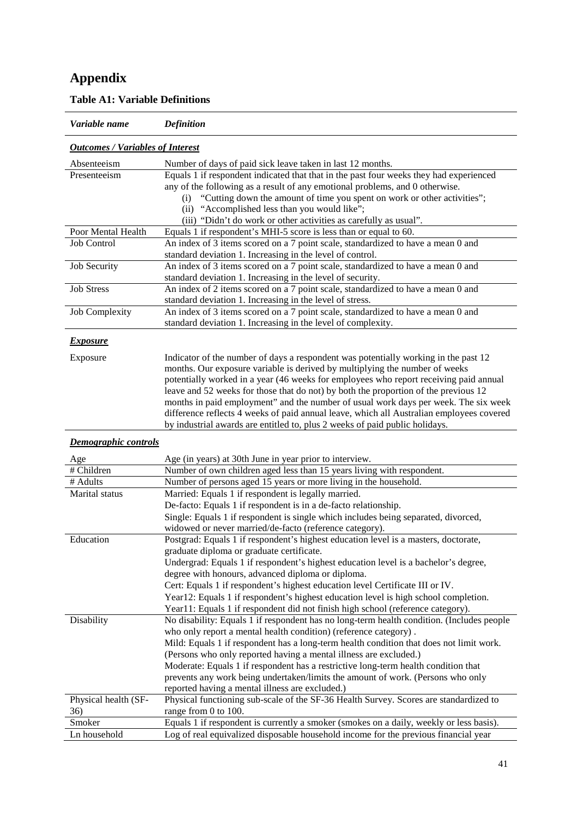# **Appendix**

### **Table A1: Variable Definitions**

| Variable name                           | <b>Definition</b>                                                                                                                                                       |
|-----------------------------------------|-------------------------------------------------------------------------------------------------------------------------------------------------------------------------|
| <b>Outcomes / Variables of Interest</b> |                                                                                                                                                                         |
| Absenteeism                             | Number of days of paid sick leave taken in last 12 months.                                                                                                              |
| Presenteeism                            | Equals 1 if respondent indicated that that in the past four weeks they had experienced                                                                                  |
|                                         | any of the following as a result of any emotional problems, and 0 otherwise.                                                                                            |
|                                         | "Cutting down the amount of time you spent on work or other activities";<br>(i)                                                                                         |
|                                         | (ii) "Accomplished less than you would like";                                                                                                                           |
|                                         | (iii) "Didn't do work or other activities as carefully as usual".                                                                                                       |
| Poor Mental Health                      | Equals 1 if respondent's MHI-5 score is less than or equal to 60.                                                                                                       |
| <b>Job Control</b>                      | An index of 3 items scored on a 7 point scale, standardized to have a mean 0 and                                                                                        |
| Job Security                            | standard deviation 1. Increasing in the level of control.<br>An index of 3 items scored on a 7 point scale, standardized to have a mean 0 and                           |
|                                         | standard deviation 1. Increasing in the level of security.                                                                                                              |
| <b>Job Stress</b>                       | An index of 2 items scored on a 7 point scale, standardized to have a mean 0 and                                                                                        |
|                                         | standard deviation 1. Increasing in the level of stress.                                                                                                                |
| Job Complexity                          | An index of 3 items scored on a 7 point scale, standardized to have a mean 0 and                                                                                        |
|                                         | standard deviation 1. Increasing in the level of complexity.                                                                                                            |
|                                         |                                                                                                                                                                         |
| <b>Exposure</b>                         |                                                                                                                                                                         |
| Exposure                                | Indicator of the number of days a respondent was potentially working in the past 12                                                                                     |
|                                         | months. Our exposure variable is derived by multiplying the number of weeks                                                                                             |
|                                         | potentially worked in a year (46 weeks for employees who report receiving paid annual                                                                                   |
|                                         | leave and 52 weeks for those that do not) by both the proportion of the previous 12                                                                                     |
|                                         | months in paid employment" and the number of usual work days per week. The six week                                                                                     |
|                                         | difference reflects 4 weeks of paid annual leave, which all Australian employees covered<br>by industrial awards are entitled to, plus 2 weeks of paid public holidays. |
|                                         |                                                                                                                                                                         |
| <b>Demographic controls</b>             |                                                                                                                                                                         |
| Age                                     | Age (in years) at 30th June in year prior to interview.                                                                                                                 |
| # Children                              | Number of own children aged less than 15 years living with respondent.                                                                                                  |
| # Adults                                | Number of persons aged 15 years or more living in the household.                                                                                                        |
| Marital status                          | Married: Equals 1 if respondent is legally married.                                                                                                                     |
|                                         | De-facto: Equals 1 if respondent is in a de-facto relationship.                                                                                                         |
|                                         | Single: Equals 1 if respondent is single which includes being separated, divorced,                                                                                      |
|                                         | widowed or never married/de-facto (reference category).                                                                                                                 |
| Education                               | Postgrad: Equals 1 if respondent's highest education level is a masters, doctorate,                                                                                     |
|                                         | graduate diploma or graduate certificate.                                                                                                                               |
|                                         | Undergrad: Equals 1 if respondent's highest education level is a bachelor's degree,                                                                                     |
|                                         | degree with honours, advanced diploma or diploma.                                                                                                                       |
|                                         | Cert: Equals 1 if respondent's highest education level Certificate III or IV.                                                                                           |
|                                         | Year12: Equals 1 if respondent's highest education level is high school completion.                                                                                     |
|                                         | Year11: Equals 1 if respondent did not finish high school (reference category).                                                                                         |
| Disability                              | No disability: Equals 1 if respondent has no long-term health condition. (Includes people                                                                               |
|                                         | who only report a mental health condition) (reference category).                                                                                                        |
|                                         | Mild: Equals 1 if respondent has a long-term health condition that does not limit work.<br>(Persons who only reported having a mental illness are excluded.)            |
|                                         | Moderate: Equals 1 if respondent has a restrictive long-term health condition that                                                                                      |
|                                         | prevents any work being undertaken/limits the amount of work. (Persons who only                                                                                         |
|                                         | reported having a mental illness are excluded.)                                                                                                                         |
| Physical health (SF-                    | Physical functioning sub-scale of the SF-36 Health Survey. Scores are standardized to                                                                                   |
| 36)                                     | range from 0 to 100.                                                                                                                                                    |
| Smoker                                  | Equals 1 if respondent is currently a smoker (smokes on a daily, weekly or less basis).                                                                                 |
| Ln household                            | Log of real equivalized disposable household income for the previous financial year                                                                                     |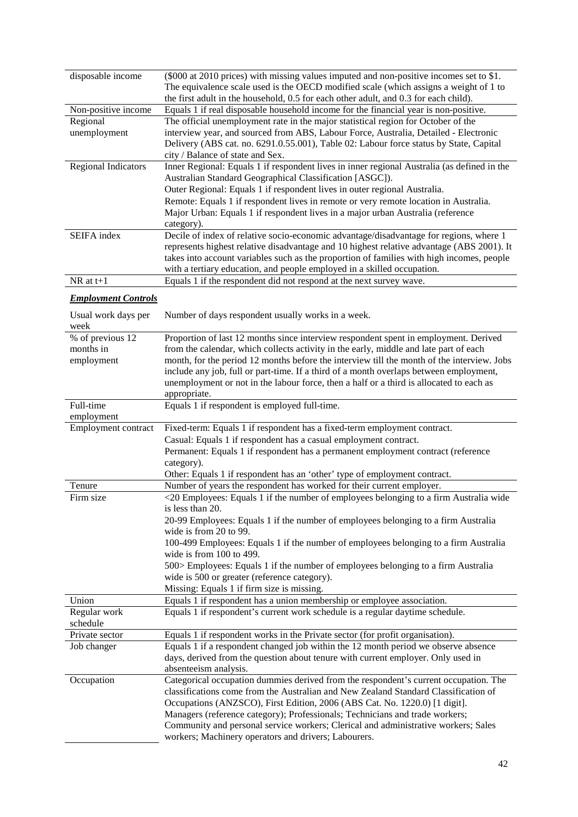| disposable income          | (\$000 at 2010 prices) with missing values imputed and non-positive incomes set to \$1.     |
|----------------------------|---------------------------------------------------------------------------------------------|
|                            | The equivalence scale used is the OECD modified scale (which assigns a weight of 1 to       |
|                            | the first adult in the household, 0.5 for each other adult, and 0.3 for each child).        |
| Non-positive income        | Equals 1 if real disposable household income for the financial year is non-positive.        |
| Regional                   | The official unemployment rate in the major statistical region for October of the           |
|                            |                                                                                             |
| unemployment               | interview year, and sourced from ABS, Labour Force, Australia, Detailed - Electronic        |
|                            | Delivery (ABS cat. no. 6291.0.55.001), Table 02: Labour force status by State, Capital      |
|                            | city / Balance of state and Sex.                                                            |
| <b>Regional Indicators</b> | Inner Regional: Equals 1 if respondent lives in inner regional Australia (as defined in the |
|                            | Australian Standard Geographical Classification [ASGC]).                                    |
|                            | Outer Regional: Equals 1 if respondent lives in outer regional Australia.                   |
|                            |                                                                                             |
|                            | Remote: Equals 1 if respondent lives in remote or very remote location in Australia.        |
|                            | Major Urban: Equals 1 if respondent lives in a major urban Australia (reference             |
|                            | category).                                                                                  |
| SEIFA index                | Decile of index of relative socio-economic advantage/disadvantage for regions, where 1      |
|                            | represents highest relative disadvantage and 10 highest relative advantage (ABS 2001). It   |
|                            | takes into account variables such as the proportion of families with high incomes, people   |
|                            |                                                                                             |
|                            | with a tertiary education, and people employed in a skilled occupation.                     |
| $NR$ at $t+1$              | Equals 1 if the respondent did not respond at the next survey wave.                         |
| <b>Employment Controls</b> |                                                                                             |
|                            |                                                                                             |
| Usual work days per        | Number of days respondent usually works in a week.                                          |
| week                       |                                                                                             |
| % of previous 12           | Proportion of last 12 months since interview respondent spent in employment. Derived        |
| months in                  | from the calendar, which collects activity in the early, middle and late part of each       |
|                            |                                                                                             |
| employment                 | month, for the period 12 months before the interview till the month of the interview. Jobs  |
|                            | include any job, full or part-time. If a third of a month overlaps between employment,      |
|                            | unemployment or not in the labour force, then a half or a third is allocated to each as     |
|                            | appropriate.                                                                                |
| Full-time                  | Equals 1 if respondent is employed full-time.                                               |
| employment                 |                                                                                             |
|                            |                                                                                             |
|                            |                                                                                             |
| Employment contract        | Fixed-term: Equals 1 if respondent has a fixed-term employment contract.                    |
|                            | Casual: Equals 1 if respondent has a casual employment contract.                            |
|                            | Permanent: Equals 1 if respondent has a permanent employment contract (reference            |
|                            | category).                                                                                  |
|                            |                                                                                             |
|                            | Other: Equals 1 if respondent has an 'other' type of employment contract.                   |
| Tenure                     | Number of years the respondent has worked for their current employer.                       |
| Firm size                  | <20 Employees: Equals 1 if the number of employees belonging to a firm Australia wide       |
|                            | is less than 20.                                                                            |
|                            | 20-99 Employees: Equals 1 if the number of employees belonging to a firm Australia          |
|                            | wide is from 20 to 99.                                                                      |
|                            | 100-499 Employees: Equals 1 if the number of employees belonging to a firm Australia        |
|                            | wide is from 100 to 499.                                                                    |
|                            |                                                                                             |
|                            | 500 > Employees: Equals 1 if the number of employees belonging to a firm Australia          |
|                            | wide is 500 or greater (reference category).                                                |
|                            | Missing: Equals 1 if firm size is missing.                                                  |
| Union                      | Equals 1 if respondent has a union membership or employee association.                      |
| Regular work               | Equals 1 if respondent's current work schedule is a regular daytime schedule.               |
| schedule                   |                                                                                             |
| Private sector             | Equals 1 if respondent works in the Private sector (for profit organisation).               |
| Job changer                | Equals 1 if a respondent changed job within the 12 month period we observe absence          |
|                            |                                                                                             |
|                            | days, derived from the question about tenure with current employer. Only used in            |
|                            | absenteeism analysis.                                                                       |
| Occupation                 | Categorical occupation dummies derived from the respondent's current occupation. The        |
|                            | classifications come from the Australian and New Zealand Standard Classification of         |
|                            | Occupations (ANZSCO), First Edition, 2006 (ABS Cat. No. 1220.0) [1 digit].                  |
|                            | Managers (reference category); Professionals; Technicians and trade workers;                |
|                            | Community and personal service workers; Clerical and administrative workers; Sales          |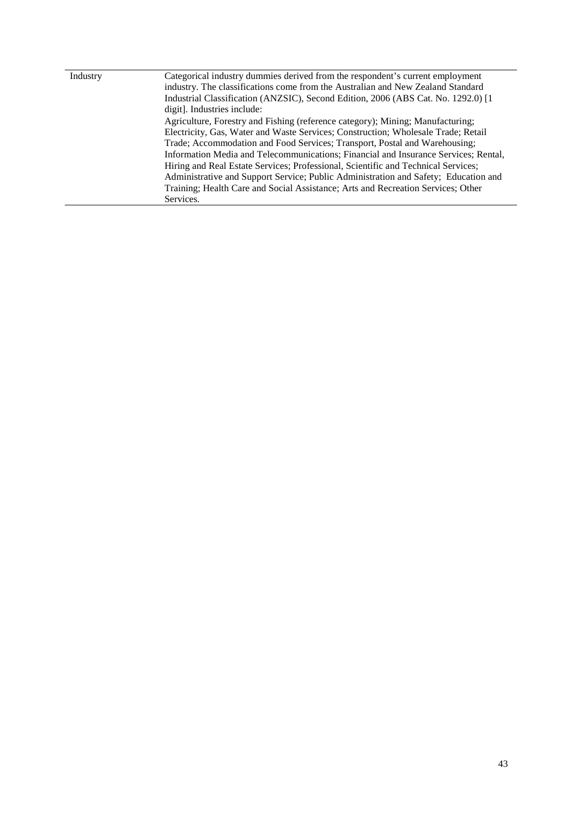| Industry | Categorical industry dummies derived from the respondent's current employment       |
|----------|-------------------------------------------------------------------------------------|
|          | industry. The classifications come from the Australian and New Zealand Standard     |
|          | Industrial Classification (ANZSIC), Second Edition, 2006 (ABS Cat. No. 1292.0) [1]  |
|          | digit]. Industries include:                                                         |
|          | Agriculture, Forestry and Fishing (reference category); Mining; Manufacturing;      |
|          | Electricity, Gas, Water and Waste Services; Construction; Wholesale Trade; Retail   |
|          | Trade; Accommodation and Food Services; Transport, Postal and Warehousing;          |
|          | Information Media and Telecommunications; Financial and Insurance Services; Rental, |
|          | Hiring and Real Estate Services; Professional, Scientific and Technical Services;   |
|          | Administrative and Support Service; Public Administration and Safety; Education and |
|          | Training; Health Care and Social Assistance; Arts and Recreation Services; Other    |
|          | Services.                                                                           |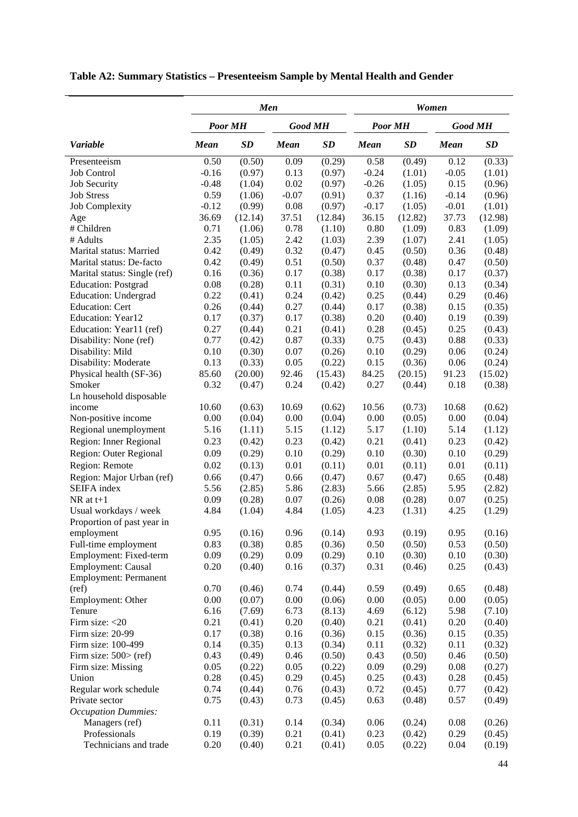|                              | Men         |                |          | <b>Women</b>   |          |                |          |                |
|------------------------------|-------------|----------------|----------|----------------|----------|----------------|----------|----------------|
|                              |             | <b>Poor MH</b> |          | <b>Good MH</b> |          | <b>Poor MH</b> |          | <b>Good MH</b> |
| <b>Variable</b>              | <b>Mean</b> | SD             | Mean     | SD             | Mean     | SD             | Mean     | SD             |
| Presenteeism                 | 0.50        | (0.50)         | 0.09     | (0.29)         | 0.58     | (0.49)         | 0.12     | (0.33)         |
| Job Control                  | $-0.16$     | (0.97)         | 0.13     | (0.97)         | $-0.24$  | (1.01)         | $-0.05$  | (1.01)         |
| Job Security                 | $-0.48$     | (1.04)         | 0.02     | (0.97)         | $-0.26$  | (1.05)         | 0.15     | (0.96)         |
| <b>Job Stress</b>            | 0.59        | (1.06)         | $-0.07$  | (0.91)         | 0.37     | (1.16)         | $-0.14$  | (0.96)         |
| <b>Job Complexity</b>        | $-0.12$     | (0.99)         | 0.08     | (0.97)         | $-0.17$  | (1.05)         | $-0.01$  | (1.01)         |
| Age                          | 36.69       | (12.14)        | 37.51    | (12.84)        | 36.15    | (12.82)        | 37.73    | (12.98)        |
| # Children                   | 0.71        | (1.06)         | 0.78     | (1.10)         | 0.80     | (1.09)         | 0.83     | (1.09)         |
| # Adults                     | 2.35        | (1.05)         | 2.42     | (1.03)         | 2.39     | (1.07)         | 2.41     | (1.05)         |
| Marital status: Married      | 0.42        | (0.49)         | 0.32     | (0.47)         | 0.45     | (0.50)         | 0.36     | (0.48)         |
| Marital status: De-facto     | 0.42        | (0.49)         | 0.51     | (0.50)         | 0.37     | (0.48)         | 0.47     | (0.50)         |
| Marital status: Single (ref) | 0.16        | (0.36)         | 0.17     | (0.38)         | 0.17     | (0.38)         | 0.17     | (0.37)         |
| <b>Education: Postgrad</b>   | 0.08        | (0.28)         | 0.11     | (0.31)         | 0.10     | (0.30)         | 0.13     | (0.34)         |
| <b>Education: Undergrad</b>  | 0.22        | (0.41)         | 0.24     | (0.42)         | 0.25     | (0.44)         | 0.29     | (0.46)         |
| <b>Education: Cert</b>       | 0.26        | (0.44)         | 0.27     | (0.44)         | 0.17     | (0.38)         | 0.15     | (0.35)         |
| Education: Year12            | 0.17        | (0.37)         | 0.17     | (0.38)         | 0.20     | (0.40)         | 0.19     | (0.39)         |
| Education: Year11 (ref)      | 0.27        | (0.44)         | 0.21     | (0.41)         | 0.28     | (0.45)         | 0.25     | (0.43)         |
| Disability: None (ref)       | 0.77        | (0.42)         | 0.87     | (0.33)         | 0.75     | (0.43)         | 0.88     | (0.33)         |
| Disability: Mild             | 0.10        | (0.30)         | 0.07     | (0.26)         | 0.10     | (0.29)         | 0.06     | (0.24)         |
| Disability: Moderate         | 0.13        | (0.33)         | 0.05     | (0.22)         | 0.15     | (0.36)         | 0.06     | (0.24)         |
| Physical health (SF-36)      | 85.60       | (20.00)        | 92.46    | (15.43)        | 84.25    | (20.15)        | 91.23    | (15.02)        |
| Smoker                       | 0.32        | (0.47)         | 0.24     | (0.42)         | 0.27     | (0.44)         | 0.18     | (0.38)         |
| Ln household disposable      |             |                |          |                |          |                |          |                |
| income                       | 10.60       | (0.63)         | 10.69    | (0.62)         | 10.56    | (0.73)         | 10.68    | (0.62)         |
| Non-positive income          | 0.00        | (0.04)         | 0.00     | (0.04)         | $0.00\,$ | (0.05)         | $0.00\,$ | (0.04)         |
| Regional unemployment        | 5.16        | (1.11)         | 5.15     | (1.12)         | 5.17     | (1.10)         | 5.14     | (1.12)         |
| Region: Inner Regional       | 0.23        | (0.42)         | 0.23     | (0.42)         | 0.21     | (0.41)         | 0.23     | (0.42)         |
| Region: Outer Regional       | 0.09        | (0.29)         | 0.10     | (0.29)         | 0.10     | (0.30)         | 0.10     | (0.29)         |
|                              |             |                |          |                |          |                |          |                |
| Region: Remote               | 0.02        | (0.13)         | 0.01     | (0.11)         | 0.01     | (0.11)         | 0.01     | (0.11)         |
| Region: Major Urban (ref)    | 0.66        | (0.47)         | 0.66     | (0.47)         | 0.67     | (0.47)         | 0.65     | (0.48)         |
| SEIFA index                  | 5.56        | (2.85)         | 5.86     | (2.83)         | 5.66     | (2.85)         | 5.95     | (2.82)         |
| $NR$ at $t+1$                | 0.09        | (0.28)         | 0.07     | (0.26)         | 0.08     | (0.28)         | 0.07     | (0.25)         |
| Usual workdays / week        | 4.84        | (1.04)         | 4.84     | (1.05)         | 4.23     | (1.31)         | 4.25     | (1.29)         |
| Proportion of past year in   |             |                |          |                |          |                |          |                |
| employment                   | 0.95        | (0.16)         | 0.96     | (0.14)         | 0.93     | (0.19)         | 0.95     | (0.16)         |
| Full-time employment         | 0.83        | (0.38)         | 0.85     | (0.36)         | 0.50     | (0.50)         | 0.53     | (0.50)         |
| Employment: Fixed-term       | 0.09        | (0.29)         | 0.09     | (0.29)         | 0.10     | (0.30)         | 0.10     | (0.30)         |
| Employment: Causal           | 0.20        | (0.40)         | 0.16     | (0.37)         | 0.31     | (0.46)         | 0.25     | (0.43)         |
| <b>Employment: Permanent</b> |             |                |          |                |          |                |          |                |
| (ref)                        | 0.70        | (0.46)         | 0.74     | (0.44)         | 0.59     | (0.49)         | 0.65     | (0.48)         |
| Employment: Other            | $0.00\,$    | (0.07)         | $0.00\,$ | (0.06)         | 0.00     | (0.05)         | 0.00     | (0.05)         |
| Tenure                       | 6.16        | (7.69)         | 6.73     | (8.13)         | 4.69     | (6.12)         | 5.98     | (7.10)         |
| Firm size: < 20              | 0.21        | (0.41)         | 0.20     | (0.40)         | 0.21     | (0.41)         | 0.20     | (0.40)         |
| Firm size: 20-99             | 0.17        | (0.38)         | 0.16     | (0.36)         | 0.15     | (0.36)         | 0.15     | (0.35)         |
| Firm size: 100-499           | 0.14        | (0.35)         | 0.13     | (0.34)         | 0.11     | (0.32)         | 0.11     | (0.32)         |
| Firm size: $500$ (ref)       | 0.43        | (0.49)         | 0.46     | (0.50)         | 0.43     | (0.50)         | 0.46     | (0.50)         |
| Firm size: Missing           | 0.05        | (0.22)         | 0.05     | (0.22)         | 0.09     | (0.29)         | 0.08     | (0.27)         |
| Union                        | 0.28        | (0.45)         | 0.29     | (0.45)         | 0.25     | (0.43)         | 0.28     | (0.45)         |
| Regular work schedule        | 0.74        | (0.44)         | 0.76     | (0.43)         | 0.72     | (0.45)         | 0.77     | (0.42)         |
| Private sector               | 0.75        | (0.43)         | 0.73     | (0.45)         | 0.63     | (0.48)         | 0.57     | (0.49)         |
| <b>Occupation Dummies:</b>   |             |                |          |                |          |                |          |                |
| Managers (ref)               | 0.11        | (0.31)         | 0.14     | (0.34)         | 0.06     | (0.24)         | 0.08     | (0.26)         |
| Professionals                | 0.19        | (0.39)         | 0.21     | (0.41)         | 0.23     | (0.42)         | 0.29     | (0.45)         |
| Technicians and trade        | 0.20        | (0.40)         | 0.21     | (0.41)         | 0.05     | (0.22)         | 0.04     | (0.19)         |

| Table A2: Summary Statistics - Presenteeism Sample by Mental Health and Gender |  |  |
|--------------------------------------------------------------------------------|--|--|
|                                                                                |  |  |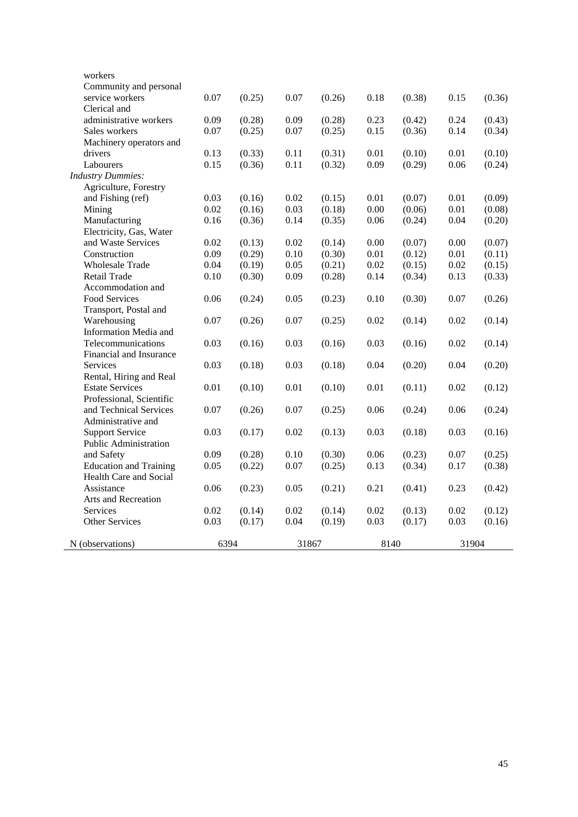| N (observations)                           | 6394 |        | 31867 |        | 8140 |        | 31904    |        |
|--------------------------------------------|------|--------|-------|--------|------|--------|----------|--------|
| Other Services                             | 0.03 | (0.17) | 0.04  | (0.19) | 0.03 | (0.17) | 0.03     | (0.16) |
| Services                                   | 0.02 | (0.14) | 0.02  | (0.14) | 0.02 | (0.13) | 0.02     | (0.12) |
| Arts and Recreation                        |      |        |       |        |      |        |          |        |
| Assistance                                 | 0.06 | (0.23) | 0.05  | (0.21) | 0.21 | (0.41) | 0.23     | (0.42) |
| Health Care and Social                     |      |        |       |        |      |        |          |        |
| <b>Education and Training</b>              | 0.05 | (0.22) | 0.07  | (0.25) | 0.13 | (0.34) | 0.17     | (0.38) |
| and Safety                                 | 0.09 | (0.28) | 0.10  | (0.30) | 0.06 | (0.23) | 0.07     | (0.25) |
| Public Administration                      |      |        |       |        |      |        |          |        |
| <b>Support Service</b>                     | 0.03 | (0.17) | 0.02  | (0.13) | 0.03 | (0.18) | 0.03     | (0.16) |
| Administrative and                         |      |        |       |        |      |        |          |        |
| and Technical Services                     | 0.07 | (0.26) | 0.07  | (0.25) | 0.06 | (0.24) | 0.06     | (0.24) |
| Professional, Scientific                   |      |        |       |        |      |        |          |        |
| <b>Estate Services</b>                     | 0.01 | (0.10) | 0.01  | (0.10) | 0.01 | (0.11) | 0.02     | (0.12) |
| Rental, Hiring and Real                    |      |        |       |        |      |        |          |        |
| <b>Services</b>                            | 0.03 | (0.18) | 0.03  | (0.18) | 0.04 | (0.20) | 0.04     | (0.20) |
| Financial and Insurance                    |      |        |       |        |      |        |          |        |
| Telecommunications                         | 0.03 | (0.16) | 0.03  | (0.16) | 0.03 | (0.16) | 0.02     | (0.14) |
| Information Media and                      |      |        |       |        |      |        |          |        |
| Warehousing                                | 0.07 | (0.26) | 0.07  | (0.25) | 0.02 | (0.14) | 0.02     | (0.14) |
| Transport, Postal and                      |      |        |       |        |      |        |          |        |
| <b>Food Services</b>                       | 0.06 | (0.24) | 0.05  | (0.23) | 0.10 | (0.30) | 0.07     | (0.26) |
| Accommodation and                          |      |        |       |        |      |        |          |        |
| Retail Trade                               | 0.10 | (0.30) | 0.09  | (0.28) | 0.14 | (0.34) | 0.13     | (0.33) |
| <b>Wholesale Trade</b>                     | 0.04 | (0.19) | 0.05  | (0.21) | 0.02 | (0.15) | 0.02     | (0.15) |
| Construction                               | 0.09 | (0.29) | 0.10  | (0.30) | 0.01 | (0.12) | 0.01     | (0.11) |
| and Waste Services                         | 0.02 | (0.13) | 0.02  | (0.14) | 0.00 | (0.07) | 0.00     | (0.07) |
| Electricity, Gas, Water                    |      |        |       |        |      |        |          |        |
| Manufacturing                              | 0.16 | (0.36) | 0.14  | (0.35) | 0.06 | (0.24) | 0.04     | (0.20) |
| Mining                                     | 0.02 | (0.16) | 0.03  | (0.18) | 0.00 | (0.06) | 0.01     | (0.08) |
| Agriculture, Forestry<br>and Fishing (ref) | 0.03 | (0.16) | 0.02  | (0.15) | 0.01 | (0.07) | 0.01     | (0.09) |
| <b>Industry Dummies:</b>                   |      |        |       |        |      |        |          |        |
| Labourers                                  | 0.15 | (0.36) | 0.11  | (0.32) | 0.09 | (0.29) | $0.06\,$ | (0.24) |
| drivers                                    | 0.13 | (0.33) | 0.11  | (0.31) | 0.01 | (0.10) | 0.01     | (0.10) |
| Machinery operators and                    |      |        |       |        |      |        |          |        |
| Sales workers                              | 0.07 | (0.25) | 0.07  | (0.25) | 0.15 | (0.36) | 0.14     | (0.34) |
| administrative workers                     | 0.09 | (0.28) | 0.09  | (0.28) | 0.23 | (0.42) | 0.24     | (0.43) |
| Clerical and                               |      |        |       |        |      |        |          |        |
| service workers                            | 0.07 | (0.25) | 0.07  | (0.26) | 0.18 | (0.38) | 0.15     | (0.36) |
| Community and personal                     |      |        |       |        |      |        |          |        |
| workers                                    |      |        |       |        |      |        |          |        |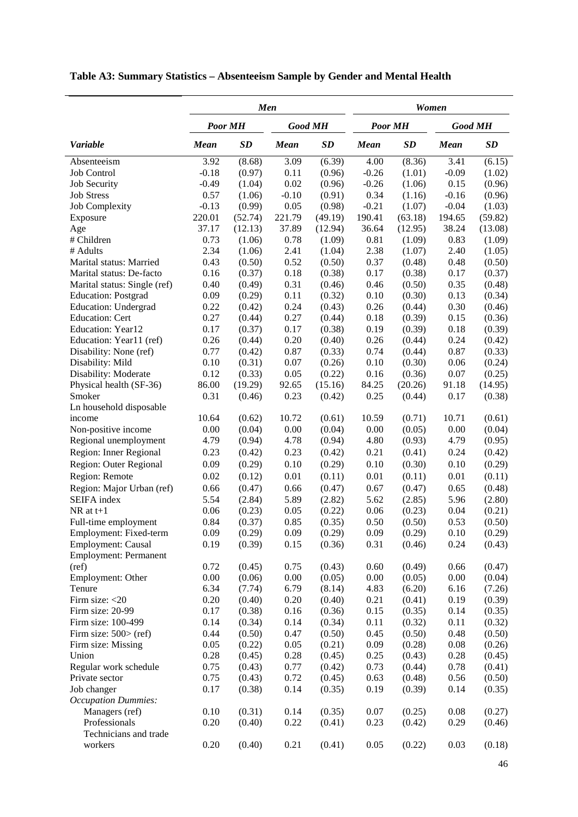|                                          |                | Men              |                |                  | <b>Women</b>   |         |              |                  |  |
|------------------------------------------|----------------|------------------|----------------|------------------|----------------|---------|--------------|------------------|--|
|                                          | <b>Poor MH</b> |                  | <b>Good MH</b> |                  | <b>Poor MH</b> |         |              | <b>Good MH</b>   |  |
| <b>Variable</b>                          | <b>Mean</b>    | SD               | <b>Mean</b>    | SD               | <b>Mean</b>    | SD      | <b>Mean</b>  | SD               |  |
| Absenteeism                              | 3.92           | (8.68)           | 3.09           | (6.39)           | 4.00           | (8.36)  | 3.41         | (6.15)           |  |
| Job Control                              | $-0.18$        | (0.97)           | 0.11           | (0.96)           | $-0.26$        | (1.01)  | $-0.09$      | (1.02)           |  |
| <b>Job Security</b>                      | $-0.49$        | (1.04)           | 0.02           | (0.96)           | $-0.26$        | (1.06)  | 0.15         | (0.96)           |  |
| <b>Job Stress</b>                        | 0.57           | (1.06)           | $-0.10$        | (0.91)           | 0.34           | (1.16)  | $-0.16$      | (0.96)           |  |
| <b>Job Complexity</b>                    | $-0.13$        | (0.99)           | 0.05           | (0.98)           | $-0.21$        | (1.07)  | $-0.04$      | (1.03)           |  |
| Exposure                                 | 220.01         | (52.74)          | 221.79         | (49.19)          | 190.41         | (63.18) | 194.65       | (59.82)          |  |
| Age                                      | 37.17          | (12.13)          | 37.89          | (12.94)          | 36.64          | (12.95) | 38.24        | (13.08)          |  |
| # Children                               | 0.73           | (1.06)           | 0.78           | (1.09)           | 0.81           | (1.09)  | 0.83         | (1.09)           |  |
| # Adults                                 | 2.34           | (1.06)           | 2.41           | (1.04)           | 2.38           | (1.07)  | 2.40         | (1.05)           |  |
| Marital status: Married                  | 0.43           | (0.50)           | 0.52           | (0.50)           | 0.37           | (0.48)  | 0.48         | (0.50)           |  |
| Marital status: De-facto                 | 0.16           | (0.37)           | 0.18           | (0.38)           | 0.17           | (0.38)  | 0.17         | (0.37)           |  |
| Marital status: Single (ref)             | 0.40           | (0.49)           | 0.31           | (0.46)           | 0.46           | (0.50)  | 0.35         | (0.48)           |  |
| <b>Education: Postgrad</b>               | 0.09           | (0.29)           | 0.11           | (0.32)           | 0.10           | (0.30)  | 0.13         | (0.34)           |  |
| <b>Education: Undergrad</b>              | 0.22           | (0.42)           | 0.24           | (0.43)           | 0.26           | (0.44)  | 0.30         | (0.46)           |  |
| <b>Education: Cert</b>                   | 0.27           | (0.44)           | 0.27           | (0.44)           | 0.18           | (0.39)  | 0.15         | (0.36)           |  |
| Education: Year12                        | 0.17           | (0.37)           | 0.17           | (0.38)           | 0.19           | (0.39)  | 0.18         | (0.39)           |  |
| Education: Year11 (ref)                  | 0.26           | (0.44)           | 0.20           | (0.40)           | 0.26           | (0.44)  | 0.24         | (0.42)           |  |
| Disability: None (ref)                   | 0.77           | (0.42)           | 0.87           | (0.33)           | 0.74           | (0.44)  | 0.87         | (0.33)           |  |
| Disability: Mild                         | 0.10           | (0.31)           | 0.07           | (0.26)           | 0.10           | (0.30)  | 0.06         | (0.24)           |  |
| Disability: Moderate                     | 0.12           | (0.33)           | 0.05           | (0.22)           | 0.16           | (0.36)  | 0.07         | (0.25)           |  |
| Physical health (SF-36)                  | 86.00          | (19.29)          | 92.65          | (15.16)          | 84.25          | (20.26) | 91.18        | (14.95)          |  |
| Smoker                                   | 0.31           | (0.46)           | 0.23           | (0.42)           | 0.25           | (0.44)  | 0.17         | (0.38)           |  |
| Ln household disposable                  |                |                  |                |                  |                |         |              |                  |  |
| income                                   | 10.64          | (0.62)           | 10.72          | (0.61)           | 10.59          | (0.71)  | 10.71        | (0.61)           |  |
| Non-positive income                      | 0.00           | (0.04)           | 0.00           | (0.04)           | 0.00           | (0.05)  | 0.00         | (0.04)           |  |
| Regional unemployment                    | 4.79           | (0.94)           | 4.78           | (0.94)           | 4.80           | (0.93)  | 4.79         | (0.95)           |  |
| Region: Inner Regional                   | 0.23           | (0.42)           | 0.23           | (0.42)           | 0.21           | (0.41)  | 0.24         | (0.42)           |  |
| Region: Outer Regional                   | 0.09           | (0.29)           | 0.10           | (0.29)           | 0.10           | (0.30)  | 0.10         | (0.29)           |  |
| Region: Remote                           | 0.02           | (0.12)           | 0.01           | (0.11)           | 0.01           | (0.11)  | 0.01         | (0.11)           |  |
|                                          |                |                  | 0.66           |                  | 0.67           | (0.47)  |              | (0.48)           |  |
| Region: Major Urban (ref)<br>SEIFA index | 0.66<br>5.54   | (0.47)<br>(2.84) | 5.89           | (0.47)<br>(2.82) | 5.62           | (2.85)  | 0.65<br>5.96 | (2.80)           |  |
| $NR$ at $t+1$                            | 0.06           |                  | 0.05           | (0.22)           | 0.06           | (0.23)  | 0.04         |                  |  |
|                                          | 0.84           | (0.23)<br>(0.37) | 0.85           |                  | 0.50           |         | 0.53         | (0.21)<br>(0.50) |  |
| Full-time employment                     |                |                  |                | (0.35)           |                | (0.50)  |              |                  |  |
| Employment: Fixed-term                   | 0.09           | (0.29)<br>(0.39) | 0.09           | (0.29)           | 0.09           | (0.29)  | 0.10         | (0.29)           |  |
| Employment: Causal                       | 0.19           |                  | 0.15           | (0.36)           | 0.31           | (0.46)  | 0.24         | (0.43)           |  |
| <b>Employment: Permanent</b>             | 0.72           |                  | 0.75           |                  | 0.60           |         | 0.66         |                  |  |
| (ref)                                    | 0.00           | (0.45)           | 0.00           | (0.43)           | 0.00           | (0.49)  |              | (0.47)           |  |
| Employment: Other                        |                | (0.06)           |                | (0.05)           |                | (0.05)  | 0.00         | (0.04)           |  |
| Tenure                                   | 6.34           | (7.74)           | 6.79           | (8.14)           | 4.83           | (6.20)  | 6.16         | (7.26)           |  |
| Firm size: $<$ 20                        | 0.20           | (0.40)           | 0.20           | (0.40)           | 0.21           | (0.41)  | 0.19         | (0.39)           |  |
| Firm size: 20-99                         | 0.17           | (0.38)           | 0.16           | (0.36)           | 0.15           | (0.35)  | 0.14         | (0.35)           |  |
| Firm size: 100-499                       | 0.14           | (0.34)           | 0.14           | (0.34)           | 0.11           | (0.32)  | 0.11         | (0.32)           |  |
| Firm size: $500$ (ref)                   | 0.44           | (0.50)           | 0.47           | (0.50)           | 0.45           | (0.50)  | 0.48         | (0.50)           |  |
| Firm size: Missing                       | 0.05           | (0.22)           | 0.05           | (0.21)           | 0.09           | (0.28)  | 0.08         | (0.26)           |  |
| Union                                    | 0.28           | (0.45)           | 0.28           | (0.45)           | 0.25           | (0.43)  | 0.28         | (0.45)           |  |
| Regular work schedule                    | 0.75           | (0.43)           | 0.77           | (0.42)           | 0.73           | (0.44)  | 0.78         | (0.41)           |  |
| Private sector                           | 0.75           | (0.43)           | 0.72           | (0.45)           | 0.63           | (0.48)  | 0.56         | (0.50)           |  |
| Job changer                              | 0.17           | (0.38)           | 0.14           | (0.35)           | 0.19           | (0.39)  | 0.14         | (0.35)           |  |
| <b>Occupation Dummies:</b>               |                |                  |                |                  |                |         |              |                  |  |
| Managers (ref)                           | 0.10           | (0.31)           | 0.14           | (0.35)           | 0.07           | (0.25)  | 0.08         | (0.27)           |  |
| Professionals                            | 0.20           | (0.40)           | 0.22           | (0.41)           | 0.23           | (0.42)  | 0.29         | (0.46)           |  |
| Technicians and trade                    |                |                  |                |                  |                |         |              |                  |  |
| workers                                  | 0.20           | (0.40)           | 0.21           | (0.41)           | 0.05           | (0.22)  | 0.03         | (0.18)           |  |

| Table A3: Summary Statistics - Absenteeism Sample by Gender and Mental Health |  |  |
|-------------------------------------------------------------------------------|--|--|
|                                                                               |  |  |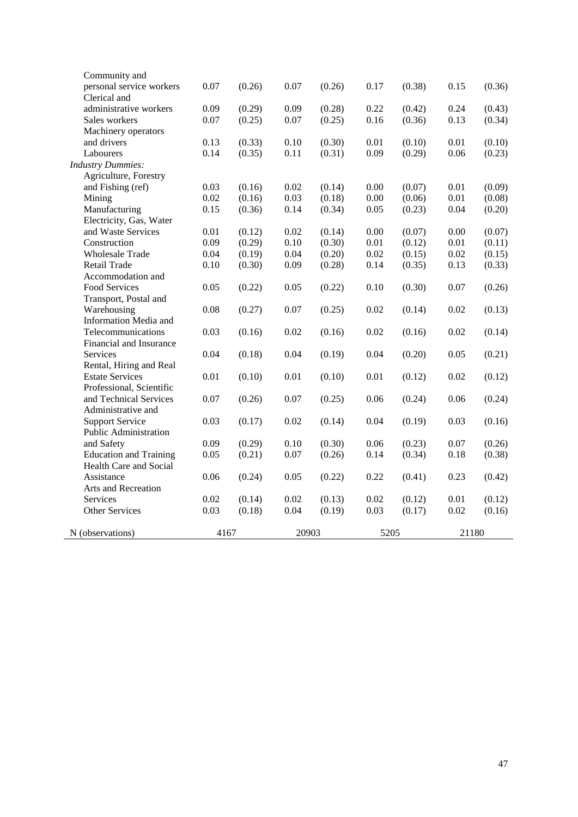| Community and<br>personal service workers | 0.07 | (0.26) | 0.07  | (0.26) | 0.17 | (0.38) | 0.15  | (0.36) |
|-------------------------------------------|------|--------|-------|--------|------|--------|-------|--------|
| Clerical and                              |      |        |       |        |      |        |       |        |
| administrative workers                    | 0.09 | (0.29) | 0.09  | (0.28) | 0.22 | (0.42) | 0.24  | (0.43) |
| Sales workers                             | 0.07 | (0.25) | 0.07  | (0.25) | 0.16 | (0.36) | 0.13  | (0.34) |
| Machinery operators                       |      |        |       |        |      |        |       |        |
| and drivers                               |      | (0.33) | 0.10  | (0.30) | 0.01 | (0.10) | 0.01  | (0.10) |
|                                           | 0.13 |        |       |        |      |        |       |        |
| Labourers                                 | 0.14 | (0.35) | 0.11  | (0.31) | 0.09 | (0.29) | 0.06  | (0.23) |
| <b>Industry Dummies:</b>                  |      |        |       |        |      |        |       |        |
| Agriculture, Forestry                     |      |        |       |        |      |        |       |        |
| and Fishing (ref)                         | 0.03 | (0.16) | 0.02  | (0.14) | 0.00 | (0.07) | 0.01  | (0.09) |
| Mining                                    | 0.02 | (0.16) | 0.03  | (0.18) | 0.00 | (0.06) | 0.01  | (0.08) |
| Manufacturing                             | 0.15 | (0.36) | 0.14  | (0.34) | 0.05 | (0.23) | 0.04  | (0.20) |
| Electricity, Gas, Water                   |      |        |       |        |      |        |       |        |
| and Waste Services                        | 0.01 | (0.12) | 0.02  | (0.14) | 0.00 | (0.07) | 0.00  | (0.07) |
| Construction                              | 0.09 | (0.29) | 0.10  | (0.30) | 0.01 | (0.12) | 0.01  | (0.11) |
| <b>Wholesale Trade</b>                    | 0.04 | (0.19) | 0.04  | (0.20) | 0.02 | (0.15) | 0.02  | (0.15) |
| Retail Trade                              | 0.10 | (0.30) | 0.09  | (0.28) | 0.14 | (0.35) | 0.13  | (0.33) |
| Accommodation and                         |      |        |       |        |      |        |       |        |
| Food Services                             | 0.05 | (0.22) | 0.05  | (0.22) | 0.10 | (0.30) | 0.07  | (0.26) |
| Transport, Postal and                     |      |        |       |        |      |        |       |        |
| Warehousing                               | 0.08 | (0.27) | 0.07  | (0.25) | 0.02 | (0.14) | 0.02  | (0.13) |
| Information Media and                     |      |        |       |        |      |        |       |        |
| Telecommunications                        | 0.03 | (0.16) | 0.02  | (0.16) | 0.02 | (0.16) | 0.02  | (0.14) |
| Financial and Insurance                   |      |        |       |        |      |        |       |        |
| Services                                  | 0.04 | (0.18) | 0.04  | (0.19) | 0.04 | (0.20) | 0.05  | (0.21) |
| Rental, Hiring and Real                   |      |        |       |        |      |        |       |        |
| <b>Estate Services</b>                    | 0.01 | (0.10) | 0.01  | (0.10) | 0.01 | (0.12) | 0.02  | (0.12) |
| Professional, Scientific                  |      |        |       |        |      |        |       |        |
| and Technical Services                    | 0.07 | (0.26) | 0.07  | (0.25) | 0.06 | (0.24) | 0.06  | (0.24) |
| Administrative and                        |      |        |       |        |      |        |       |        |
| <b>Support Service</b>                    | 0.03 | (0.17) | 0.02  | (0.14) | 0.04 | (0.19) | 0.03  | (0.16) |
| Public Administration                     |      |        |       |        |      |        |       |        |
| and Safety                                | 0.09 | (0.29) | 0.10  | (0.30) | 0.06 | (0.23) | 0.07  | (0.26) |
| <b>Education and Training</b>             | 0.05 | (0.21) | 0.07  | (0.26) | 0.14 | (0.34) | 0.18  | (0.38) |
| Health Care and Social                    |      |        |       |        |      |        |       |        |
| Assistance                                | 0.06 |        |       |        |      |        | 0.23  |        |
|                                           |      | (0.24) | 0.05  | (0.22) | 0.22 | (0.41) |       | (0.42) |
| Arts and Recreation                       |      |        |       |        |      |        |       |        |
| <b>Services</b>                           | 0.02 | (0.14) | 0.02  | (0.13) | 0.02 | (0.12) | 0.01  | (0.12) |
| Other Services                            | 0.03 | (0.18) | 0.04  | (0.19) | 0.03 | (0.17) | 0.02  | (0.16) |
| N (observations)                          | 4167 |        | 20903 |        | 5205 |        | 21180 |        |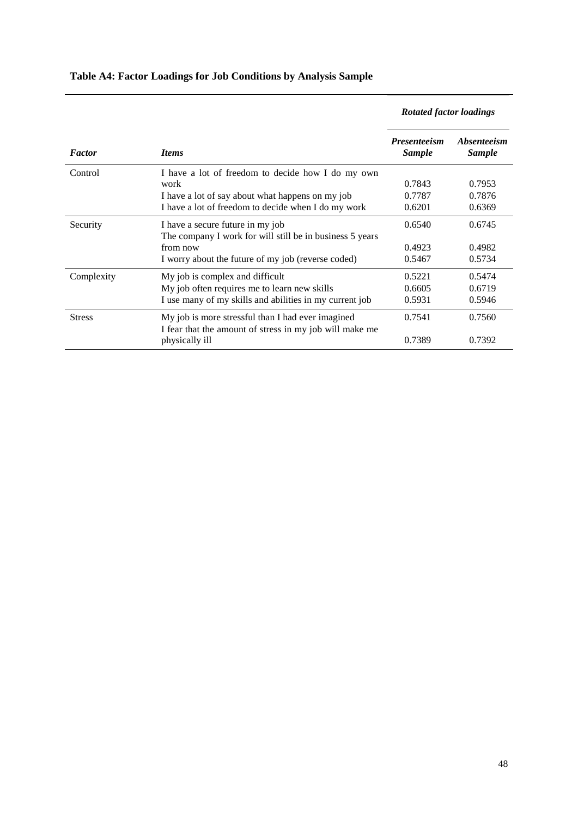| <b>Factor</b> | <i>Items</i>                                                                                                                                                         | <i>Presenteeism</i><br><b>Sample</b> | <i><b>Absenteeism</b></i><br><i>Sample</i> |
|---------------|----------------------------------------------------------------------------------------------------------------------------------------------------------------------|--------------------------------------|--------------------------------------------|
| Control       | I have a lot of freedom to decide how I do my own<br>work<br>I have a lot of say about what happens on my job<br>I have a lot of freedom to decide when I do my work | 0.7843<br>0.7787<br>0.6201           | 0.7953<br>0.7876<br>0.6369                 |
| Security      | I have a secure future in my job<br>The company I work for will still be in business 5 years<br>from now<br>I worry about the future of my job (reverse coded)       | 0.6540<br>0.4923<br>0.5467           | 0.6745<br>0.4982<br>0.5734                 |
| Complexity    | My job is complex and difficult<br>My job often requires me to learn new skills<br>I use many of my skills and abilities in my current job                           | 0.5221<br>0.6605<br>0.5931           | 0.5474<br>0.6719<br>0.5946                 |
| <b>Stress</b> | My job is more stressful than I had ever imagined<br>I fear that the amount of stress in my job will make me<br>physically ill                                       | 0.7541<br>0.7389                     | 0.7560<br>0.7392                           |

### **Table A4: Factor Loadings for Job Conditions by Analysis Sample**

### *Rotated factor loadings*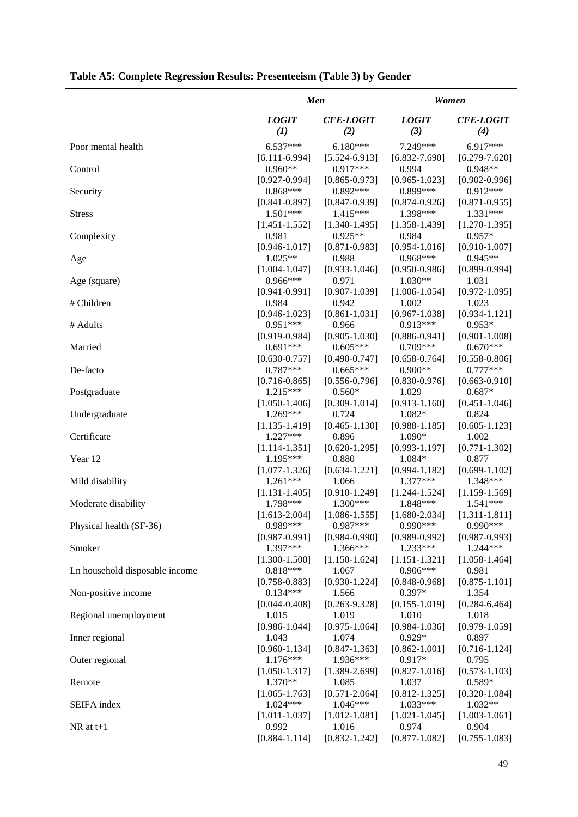|                                | Men                             |                               | <b>Women</b>                |                             |  |
|--------------------------------|---------------------------------|-------------------------------|-----------------------------|-----------------------------|--|
|                                | <b>LOGIT</b><br>(1)             | <b>CFE-LOGIT</b><br>(2)       | <b>LOGIT</b><br>(3)         | <b>CFE-LOGIT</b><br>(4)     |  |
| Poor mental health             | $6.537***$                      | $6.180***$                    | 7.249***                    | 6.917***                    |  |
|                                | $[6.111 - 6.994]$               | $[5.524 - 6.913]$             | $[6.832 - 7.690]$           | $[6.279 - 7.620]$           |  |
| Control                        | $0.960**$                       | $0.917***$                    | 0.994                       | 0.948**                     |  |
|                                | $[0.927 - 0.994]$               | $[0.865 - 0.973]$             | $[0.965 - 1.023]$           | $[0.902 - 0.996]$           |  |
| Security                       | $0.868***$                      | $0.892***$                    | $0.899***$                  | $0.912***$                  |  |
|                                | $[0.841 - 0.897]$               | $[0.847 - 0.939]$             | $[0.874 - 0.926]$           | $[0.871 - 0.955]$           |  |
| <b>Stress</b>                  | $1.501***$                      | 1.415***                      | 1.398***                    | 1.331***                    |  |
|                                | $[1.451 - 1.552]$               | $[1.340 - 1.495]$             | $[1.358 - 1.439]$           | $[1.270 - 1.395]$           |  |
| Complexity                     | 0.981                           | $0.925**$                     | 0.984                       | $0.957*$                    |  |
|                                | $[0.946 - 1.017]$               | $[0.871 - 0.983]$             | $[0.954 - 1.016]$           | $[0.910 - 1.007]$           |  |
| Age                            | $1.025**$                       | 0.988                         | $0.968***$                  | $0.945**$                   |  |
|                                | $[1.004 - 1.047]$               | $[0.933 - 1.046]$             | $[0.950 - 0.986]$           | $[0.899 - 0.994]$           |  |
| Age (square)                   | $0.966***$                      | 0.971                         | 1.030**                     | 1.031                       |  |
|                                | $[0.941 - 0.991]$<br>0.984      | $[0.907 - 1.039]$             | $[1.006 - 1.054]$           | $[0.972 - 1.095]$           |  |
| # Children                     | $[0.946 - 1.023]$               | 0.942<br>$[0.861 - 1.031]$    | 1.002<br>$[0.967 - 1.038]$  | 1.023<br>$[0.934 - 1.121]$  |  |
| # Adults                       | $0.951***$                      | 0.966                         | $0.913***$                  | $0.953*$                    |  |
|                                | $[0.919 - 0.984]$               | $[0.905 - 1.030]$             | $[0.886 - 0.941]$           | $[0.901 - 1.008]$           |  |
| Married                        | $0.691***$                      | $0.605***$                    | $0.709***$                  | $0.670***$                  |  |
|                                | $[0.630 - 0.757]$               | $[0.490 - 0.747]$             | $[0.658 - 0.764]$           | $[0.558 - 0.806]$           |  |
| De-facto                       | $0.787***$                      | $0.665***$                    | $0.900**$                   | $0.777***$                  |  |
|                                | $[0.716 - 0.865]$               | $[0.556 - 0.796]$             | $[0.830 - 0.976]$           | $[0.663 - 0.910]$           |  |
| Postgraduate                   | $1.215***$                      | $0.560*$                      | 1.029                       | $0.687*$                    |  |
|                                | $[1.050 - 1.406]$               | $[0.309 - 1.014]$             | $[0.913 - 1.160]$           | $[0.451 - 1.046]$           |  |
| Undergraduate                  | $1.269***$                      | 0.724                         | 1.082*                      | 0.824                       |  |
|                                | $[1.135 - 1.419]$               | $[0.465 - 1.130]$             | $[0.988 - 1.185]$           | $[0.605 - 1.123]$           |  |
| Certificate                    | $1.227***$                      | 0.896                         | 1.090*                      | 1.002                       |  |
|                                | $[1.114 - 1.351]$               | $[0.620 - 1.295]$             | $[0.993 - 1.197]$           | $[0.771 - 1.302]$           |  |
| Year 12                        | 1.195***                        | 0.880                         | 1.084*                      | 0.877                       |  |
|                                | $[1.077 - 1.326]$               | $[0.634 - 1.221]$             | $[0.994 - 1.182]$           | $[0.699 - 1.102]$           |  |
| Mild disability                | $1.261***$                      | 1.066                         | $1.377***$                  | 1.348***                    |  |
|                                | $[1.131 - 1.405]$               | $[0.910 - 1.249]$             | $[1.244 - 1.524]$           | $[1.159-1.569]$             |  |
| Moderate disability            | 1.798***                        | 1.300***                      | 1.848***                    | 1.541***                    |  |
|                                | $[1.613 - 2.004]$               | $[1.086 - 1.555]$             | $[1.680 - 2.034]$           | $[1.311 - 1.811]$           |  |
| Physical health (SF-36)        | $0.989***$                      | $0.987***$                    | $0.990***$                  | $0.990***$                  |  |
|                                | $[0.987 - 0.991]$               | $[0.984 - 0.990]$             | $[0.989 - 0.992]$           | $[0.987 - 0.993]$           |  |
| Smoker                         | 1.397***                        | 1.366***                      | $1.233***$                  | 1.244***                    |  |
|                                | $[1.300 - 1.500]$               | $[1.150-1.624]$               | $[1.151 - 1.321]$           | $[1.058 - 1.464]$           |  |
| Ln household disposable income | $0.818***$                      | 1.067                         | $0.906***$                  | 0.981                       |  |
|                                | $[0.758 - 0.883]$               | $[0.930 - 1.224]$             | $[0.848 - 0.968]$           | $[0.875 - 1.101]$           |  |
| Non-positive income            | $0.134***$                      | 1.566                         | $0.397*$                    | 1.354                       |  |
|                                | $[0.044 - 0.408]$               | $[0.263 - 9.328]$             | $[0.155 - 1.019]$           | $[0.284 - 6.464]$           |  |
| Regional unemployment          | 1.015                           | 1.019                         | 1.010                       | 1.018                       |  |
|                                | $[0.986 - 1.044]$               | $[0.975 - 1.064]$             | $[0.984 - 1.036]$           | $[0.979 - 1.059]$           |  |
| Inner regional                 | 1.043                           | 1.074                         | $0.929*$                    | 0.897                       |  |
|                                | $[0.960 - 1.134]$<br>$1.176***$ | $[0.847 - 1.363]$<br>1.936*** | $[0.862 - 1.001]$<br>0.917* | $[0.716 - 1.124]$<br>0.795  |  |
| Outer regional                 |                                 |                               |                             |                             |  |
|                                | $[1.050 - 1.317]$<br>1.370**    | $[1.389 - 2.699]$             | $[0.827 - 1.016]$           | $[0.573 - 1.103]$<br>0.589* |  |
| Remote                         | $[1.065 - 1.763]$               | 1.085<br>$[0.571 - 2.064]$    | 1.037<br>$[0.812 - 1.325]$  | $[0.320 - 1.084]$           |  |
| SEIFA index                    | $1.024***$                      | $1.046***$                    | $1.033***$                  | $1.032**$                   |  |
|                                | $[1.011 - 1.037]$               | $[1.012 - 1.081]$             | $[1.021 - 1.045]$           | $[1.003 - 1.061]$           |  |
| $NR$ at $t+1$                  | 0.992                           | 1.016                         | 0.974                       | 0.904                       |  |
|                                | $[0.884 - 1.114]$               | $[0.832 - 1.242]$             | $[0.877 - 1.082]$           | $[0.755 - 1.083]$           |  |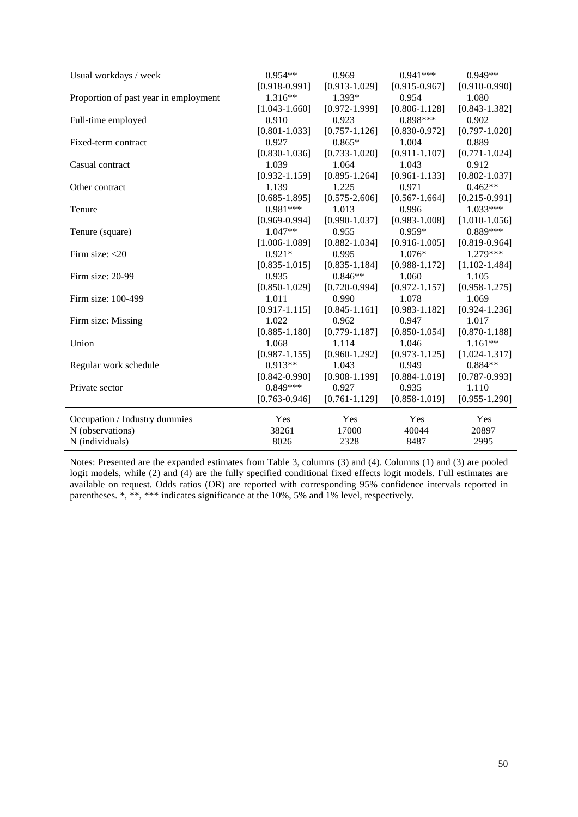| Usual workdays / week                 | $0.954**$         | 0.969             | $0.941***$        | $0.949**$         |
|---------------------------------------|-------------------|-------------------|-------------------|-------------------|
|                                       | $[0.918 - 0.991]$ | $[0.913 - 1.029]$ | $[0.915 - 0.967]$ | $[0.910 - 0.990]$ |
| Proportion of past year in employment | 1.316**           | 1.393*            | 0.954             | 1.080             |
|                                       | $[1.043 - 1.660]$ | $[0.972 - 1.999]$ | $[0.806 - 1.128]$ | $[0.843 - 1.382]$ |
| Full-time employed                    | 0.910             | 0.923             | $0.898***$        | 0.902             |
|                                       | $[0.801 - 1.033]$ | $[0.757 - 1.126]$ | $[0.830 - 0.972]$ | $[0.797 - 1.020]$ |
| Fixed-term contract                   | 0.927             | $0.865*$          | 1.004             | 0.889             |
|                                       | $[0.830 - 1.036]$ | $[0.733 - 1.020]$ | $[0.911 - 1.107]$ | $[0.771 - 1.024]$ |
| Casual contract                       | 1.039             | 1.064             | 1.043             | 0.912             |
|                                       | $[0.932 - 1.159]$ | $[0.895 - 1.264]$ | $[0.961 - 1.133]$ | $[0.802 - 1.037]$ |
| Other contract                        | 1.139             | 1.225             | 0.971             | $0.462**$         |
|                                       | $[0.685 - 1.895]$ | $[0.575 - 2.606]$ | $[0.567 - 1.664]$ | $[0.215 - 0.991]$ |
| Tenure                                | 0.981***          | 1.013             | 0.996             | 1.033***          |
|                                       | $[0.969 - 0.994]$ | $[0.990 - 1.037]$ | $[0.983 - 1.008]$ | $[1.010 - 1.056]$ |
| Tenure (square)                       | $1.047**$         | 0.955             | $0.959*$          | $0.889***$        |
|                                       | $[1.006 - 1.089]$ | $[0.882 - 1.034]$ | $[0.916 - 1.005]$ | $[0.819 - 0.964]$ |
| Firm size: $<$ 20                     | $0.921*$          | 0.995             | 1.076*            | 1.279***          |
|                                       | $[0.835 - 1.015]$ | $[0.835 - 1.184]$ | $[0.988 - 1.172]$ | $[1.102 - 1.484]$ |
| Firm size: $20-99$                    | 0.935             | $0.846**$         | 1.060             | 1.105             |
|                                       | $[0.850 - 1.029]$ | $[0.720 - 0.994]$ | $[0.972 - 1.157]$ | $[0.958 - 1.275]$ |
| Firm size: 100-499                    | 1.011             | 0.990             | 1.078             | 1.069             |
|                                       | $[0.917 - 1.115]$ | $[0.845 - 1.161]$ | $[0.983 - 1.182]$ | $[0.924 - 1.236]$ |
| Firm size: Missing                    | 1.022             | 0.962             | 0.947             | 1.017             |
|                                       | $[0.885 - 1.180]$ | $[0.779 - 1.187]$ | $[0.850 - 1.054]$ | $[0.870 - 1.188]$ |
| Union                                 | 1.068             | 1.114             | 1.046             | $1.161**$         |
|                                       | $[0.987 - 1.155]$ | $[0.960 - 1.292]$ | $[0.973 - 1.125]$ | $[1.024 - 1.317]$ |
| Regular work schedule                 | $0.913**$         | 1.043             | 0.949             | $0.884**$         |
|                                       | $[0.842 - 0.990]$ | $[0.908 - 1.199]$ | $[0.884 - 1.019]$ | $[0.787 - 0.993]$ |
| Private sector                        | $0.849***$        | 0.927             | 0.935             | 1.110             |
|                                       | $[0.763 - 0.946]$ | $[0.761 - 1.129]$ | $[0.858 - 1.019]$ | $[0.955 - 1.290]$ |
| Occupation / Industry dummies         | Yes               | Yes               | Yes               | Yes               |
| N (observations)                      | 38261             | 17000             | 40044             | 20897             |
| N (individuals)                       | 8026              | 2328              | 8487              | 2995              |
|                                       |                   |                   |                   |                   |

Notes: Presented are the expanded estimates from Table 3, columns (3) and (4). Columns (1) and (3) are pooled logit models, while (2) and (4) are the fully specified conditional fixed effects logit models. Full estimates are available on request. Odds ratios (OR) are reported with corresponding 95% confidence intervals reported in parentheses. \*, \*\*, \*\*\* indicates significance at the 10%, 5% and 1% level, respectively.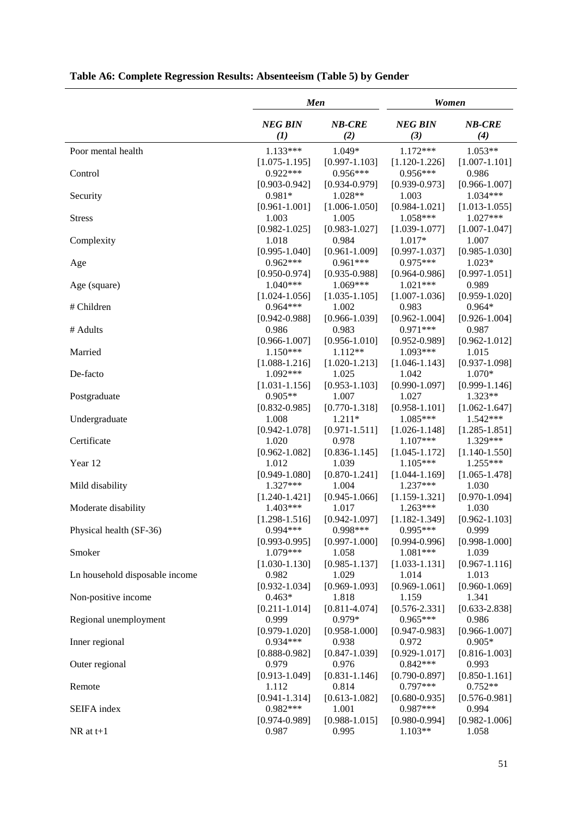|                                | Men                           |                                | Women                           |                               |
|--------------------------------|-------------------------------|--------------------------------|---------------------------------|-------------------------------|
|                                | <b>NEG BIN</b><br>(1)         | <b>NB-CRE</b><br>(2)           | <b>NEG BIN</b><br>(3)           | <b>NB-CRE</b><br>(4)          |
| Poor mental health             | $1.133***$                    | 1.049*                         | 1.172***                        | 1.053**                       |
|                                | $[1.075 - 1.195]$             | $[0.997 - 1.103]$              | $[1.120 - 1.226]$               | $[1.007 - 1.101]$             |
| Control                        | $0.922***$                    | $0.956***$                     | $0.956***$                      | 0.986                         |
|                                | $[0.903 - 0.942]$<br>$0.981*$ | $[0.934 - 0.979]$<br>$1.028**$ | $[0.939 - 0.973]$               | $[0.966 - 1.007]$<br>1.034*** |
| Security                       | $[0.961 - 1.001]$             | $[1.006 - 1.050]$              | 1.003<br>$[0.984 - 1.021]$      | $[1.013 - 1.055]$             |
| <b>Stress</b>                  | 1.003                         | 1.005                          | 1.058***                        | $1.027***$                    |
|                                | $[0.982 - 1.025]$             | $[0.983 - 1.027]$              | $[1.039 - 1.077]$               | $[1.007 - 1.047]$             |
| Complexity                     | 1.018                         | 0.984                          | 1.017*                          | 1.007                         |
|                                | $[0.995 - 1.040]$             | $[0.961 - 1.009]$              | $[0.997 - 1.037]$               | $[0.985 - 1.030]$             |
| Age                            | $0.962***$                    | $0.961***$                     | 0.975***                        | $1.023*$                      |
|                                | $[0.950 - 0.974]$             | $[0.935 - 0.988]$              | $[0.964 - 0.986]$               | $[0.997 - 1.051]$             |
| Age (square)                   | $1.040***$                    | 1.069***                       | $1.021***$                      | 0.989                         |
|                                | $[1.024 - 1.056]$             | $[1.035 - 1.105]$              | $[1.007 - 1.036]$               | $[0.959 - 1.020]$             |
| # Children                     | $0.964***$                    | 1.002                          | 0.983                           | $0.964*$                      |
| # Adults                       | $[0.942 - 0.988]$<br>0.986    | $[0.966 - 1.039]$<br>0.983     | $[0.962 - 1.004]$<br>$0.971***$ | $[0.926 - 1.004]$<br>0.987    |
|                                | $[0.966 - 1.007]$             | $[0.956 - 1.010]$              | $[0.952 - 0.989]$               | $[0.962 - 1.012]$             |
| Married                        | $1.150***$                    | $1.112**$                      | $1.093***$                      | 1.015                         |
|                                | $[1.088 - 1.216]$             | $[1.020 - 1.213]$              | $[1.046 - 1.143]$               | $[0.937 - 1.098]$             |
| De-facto                       | 1.092***                      | 1.025                          | 1.042                           | 1.070*                        |
|                                | $[1.031 - 1.156]$             | $[0.953 - 1.103]$              | $[0.990 - 1.097]$               | $[0.999 - 1.146]$             |
| Postgraduate                   | $0.905**$                     | 1.007                          | 1.027                           | $1.323**$                     |
|                                | $[0.832 - 0.985]$             | $[0.770 - 1.318]$              | $[0.958 - 1.101]$               | $[1.062 - 1.647]$             |
| Undergraduate                  | 1.008                         | 1.211*                         | $1.085***$                      | 1.542***                      |
|                                | $[0.942 - 1.078]$             | $[0.971 - 1.511]$              | $[1.026 - 1.148]$               | $[1.285 - 1.851]$             |
| Certificate                    | 1.020                         | 0.978                          | $1.107***$                      | 1.329***                      |
| Year 12                        | $[0.962 - 1.082]$<br>1.012    | $[0.836 - 1.145]$<br>1.039     | $[1.045 - 1.172]$<br>$1.105***$ | $[1.140 - 1.550]$<br>1.255*** |
|                                | $[0.949 - 1.080]$             | $[0.870 - 1.241]$              | $[1.044 - 1.169]$               | $[1.065 - 1.478]$             |
| Mild disability                | 1.327***                      | 1.004                          | $1.237***$                      | 1.030                         |
|                                | $[1.240 - 1.421]$             | $[0.945 - 1.066]$              | $[1.159-1.321]$                 | $[0.970 - 1.094]$             |
| Moderate disability            | $1.403***$                    | 1.017                          | $1.263***$                      | 1.030                         |
|                                | $[1.298 - 1.516]$             | $[0.942 - 1.097]$              | $[1.182 - 1.349]$               | $[0.962 - 1.103]$             |
| Physical health (SF-36)        | $0.994***$                    | 0.998***                       | $0.995***$                      | 0.999                         |
|                                | $[0.993 - 0.995]$             | $[0.997 - 1.000]$              | $[0.994 - 0.996]$               | $[0.998 - 1.000]$             |
| Smoker                         | 1.079***                      | 1.058                          | 1.081***                        | 1.039                         |
|                                | $[1.030 - 1.130]$             | $[0.985 - 1.137]$              | $[1.033 - 1.131]$               | $[0.967 - 1.116]$             |
| Ln household disposable income | 0.982                         | 1.029                          | 1.014                           | 1.013                         |
|                                | $[0.932 - 1.034]$<br>$0.463*$ | $[0.969 - 1.093]$<br>1.818     | $[0.969 - 1.061]$<br>1.159      | $[0.960 - 1.069]$<br>1.341    |
| Non-positive income            | $[0.211 - 1.014]$             | $[0.811 - 4.074]$              | $[0.576 - 2.331]$               | $[0.633 - 2.838]$             |
| Regional unemployment          | 0.999                         | $0.979*$                       | $0.965***$                      | 0.986                         |
|                                | $[0.979 - 1.020]$             | $[0.958 - 1.000]$              | $[0.947 - 0.983]$               | $[0.966 - 1.007]$             |
| Inner regional                 | $0.934***$                    | 0.938                          | 0.972                           | $0.905*$                      |
|                                | $[0.888 - 0.982]$             | $[0.847 - 1.039]$              | $[0.929 - 1.017]$               | $[0.816 - 1.003]$             |
| Outer regional                 | 0.979                         | 0.976                          | $0.842***$                      | 0.993                         |
|                                | $[0.913 - 1.049]$             | $[0.831 - 1.146]$              | $[0.790 - 0.897]$               | $[0.850 - 1.161]$             |
| Remote                         | 1.112                         | 0.814                          | $0.797***$                      | $0.752**$                     |
|                                | $[0.941 - 1.314]$             | $[0.613 - 1.082]$              | $[0.680 - 0.935]$               | $[0.576 - 0.981]$             |
| SEIFA index                    | $0.982***$                    | 1.001                          | 0.987***                        | 0.994                         |
|                                | $[0.974 - 0.989]$             | $[0.988 - 1.015]$              | $[0.980 - 0.994]$               | $[0.982 - 1.006]$             |
| $NR$ at $t+1$                  | 0.987                         | 0.995                          | 1.103**                         | 1.058                         |